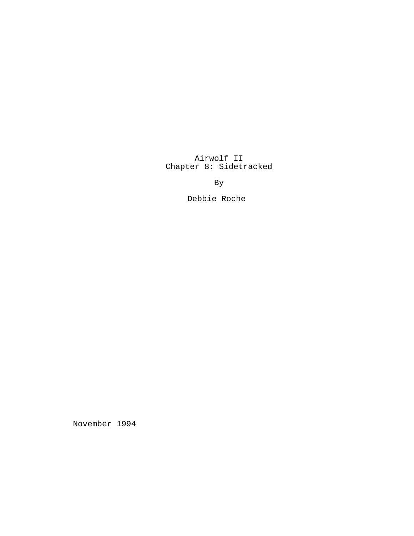Airwolf II Chapter 8: Sidetracked

By

Debbie Roche

November 1994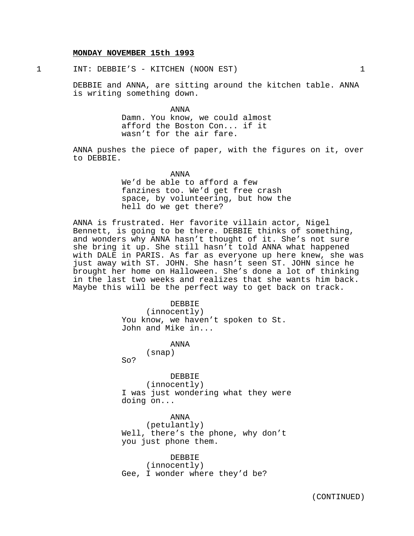#### **MONDAY NOVEMBER 15th 1993**

1 INT: DEBBIE'S - KITCHEN (NOON EST) 1

DEBBIE and ANNA, are sitting around the kitchen table. ANNA is writing something down.

> ANNA Damn. You know, we could almost afford the Boston Con... if it wasn't for the air fare.

ANNA pushes the piece of paper, with the figures on it, over to DEBBIE.

> ANNA We'd be able to afford a few fanzines too. We'd get free crash space, by volunteering, but how the hell do we get there?

ANNA is frustrated. Her favorite villain actor, Nigel Bennett, is going to be there. DEBBIE thinks of something, and wonders why ANNA hasn't thought of it. She's not sure she bring it up. She still hasn't told ANNA what happened with DALE in PARIS. As far as everyone up here knew, she was just away with ST. JOHN. She hasn't seen ST. JOHN since he brought her home on Halloween. She's done a lot of thinking in the last two weeks and realizes that she wants him back. Maybe this will be the perfect way to get back on track.

> DEBBIE (innocently) You know, we haven't spoken to St. John and Mike in...

> > ANNA (snap)

So?

DEBBIE (innocently) I was just wondering what they were doing on...

ANNA (petulantly) Well, there's the phone, why don't you just phone them.

DEBBIE (innocently) Gee, I wonder where they'd be?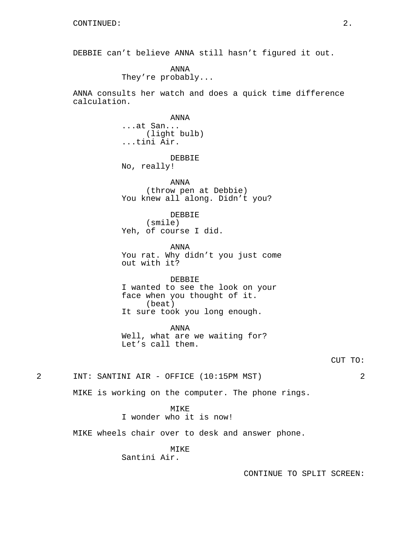DEBBIE can't believe ANNA still hasn't figured it out.

ANNA They're probably...

ANNA consults her watch and does a quick time difference calculation.

> ANNA ...at San... (light bulb) ...tini Air.

DEBBIE No, really!

ANNA (throw pen at Debbie) You knew all along. Didn't you?

DEBBIE (smile) Yeh, of course I did.

ANNA You rat. Why didn't you just come out with it?

DEBBIE I wanted to see the look on your face when you thought of it. (beat) It sure took you long enough.

ANNA Well, what are we waiting for? Let's call them.

CUT TO:

2 INT: SANTINI AIR - OFFICE (10:15PM MST) 2

MIKE is working on the computer. The phone rings.

MIKE

I wonder who it is now!

MIKE wheels chair over to desk and answer phone.

MIKE

Santini Air.

CONTINUE TO SPLIT SCREEN: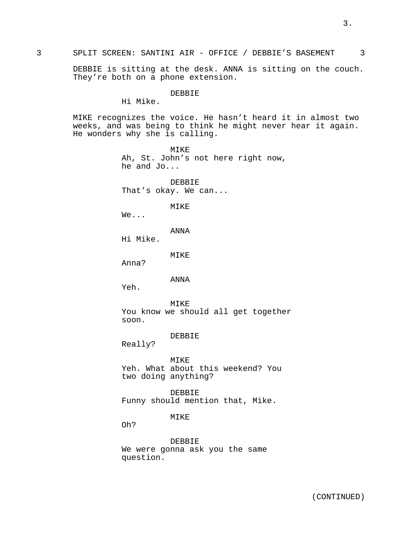DEBBIE is sitting at the desk. ANNA is sitting on the couch. They're both on a phone extension.

## DEBBIE

Hi Mike.

MIKE recognizes the voice. He hasn't heard it in almost two weeks, and was being to think he might never hear it again. He wonders why she is calling.

> MIKE Ah, St. John's not here right now, he and Jo...

DEBBIE That's okay. We can...

MIKE

We...

ANNA

Hi Mike.

MIKE

Anna?

ANNA

Yeh.

MIKE You know we should all get together soon.

DEBBIE

Really?

MIKE Yeh. What about this weekend? You two doing anything?

DEBBIE Funny should mention that, Mike.

## MIKE

Oh?

DEBBIE We were gonna ask you the same question.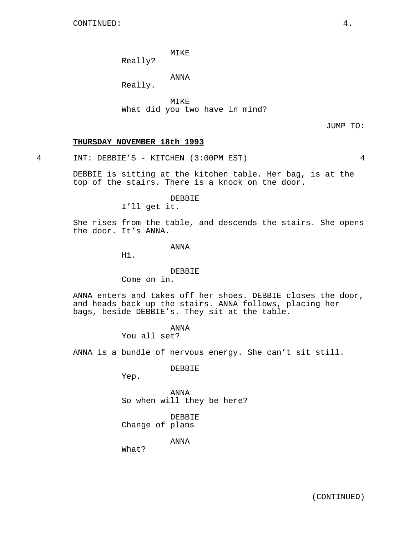MIKE

Really?

ANNA

Really.

MIKE What did you two have in mind?

JUMP TO:

# **THURSDAY NOVEMBER 18th 1993**

4 INT: DEBBIE'S - KITCHEN (3:00PM EST) 4

DEBBIE is sitting at the kitchen table. Her bag, is at the top of the stairs. There is a knock on the door.

DEBBIE

I'll get it.

She rises from the table, and descends the stairs. She opens the door. It's ANNA.

ANNA

Hi.

## DEBBIE

Come on in.

ANNA enters and takes off her shoes. DEBBIE closes the door, and heads back up the stairs. ANNA follows, placing her bags, beside DEBBIE's. They sit at the table.

> ANNA You all set?

ANNA is a bundle of nervous energy. She can't sit still.

DEBBIE

Yep.

ANNA So when will they be here?

DEBBIE Change of plans

ANNA

What?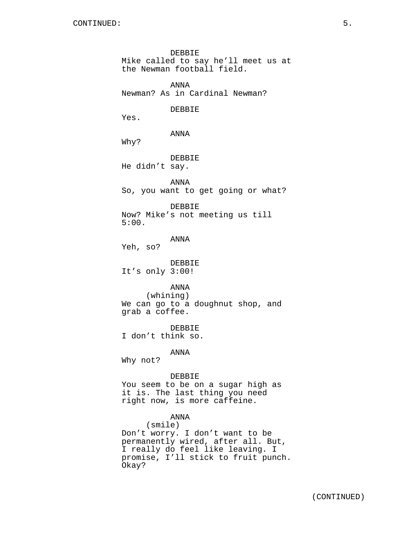DEBBIE Mike called to say he'll meet us at the Newman football field. ANNA Newman? As in Cardinal Newman? DEBBIE Yes. ANNA Why? DEBBIE He didn't say. ANNA So, you want to get going or what? DEBBIE Now? Mike's not meeting us till 5:00. ANNA Yeh, so? DEBBIE It's only 3:00! ANNA (whining) We can go to a doughnut shop, and grab a coffee. DEBBIE I don't think so. ANNA Why not? DEBBIE You seem to be on a sugar high as it is. The last thing you need right now, is more caffeine. ANNA (smile) Don't worry. I don't want to be permanently wired, after all. But, I really do feel like leaving. I promise, I'll stick to fruit punch. Okay?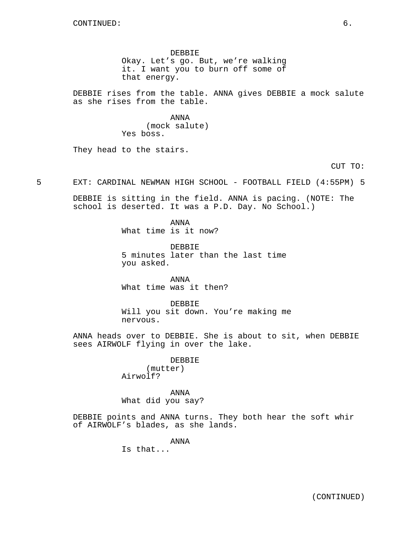DEBBIE Okay. Let's go. But, we're walking it. I want you to burn off some of that energy.

DEBBIE rises from the table. ANNA gives DEBBIE a mock salute as she rises from the table.

> ANNA (mock salute) Yes boss.

They head to the stairs.

CUT TO:

5 EXT: CARDINAL NEWMAN HIGH SCHOOL - FOOTBALL FIELD (4:55PM) 5

DEBBIE is sitting in the field. ANNA is pacing. (NOTE: The school is deserted. It was a P.D. Day. No School.)

> ANNA What time is it now?

DEBBIE 5 minutes later than the last time you asked.

ANNA What time was it then?

DEBBIE Will you sit down. You're making me nervous.

ANNA heads over to DEBBIE. She is about to sit, when DEBBIE sees AIRWOLF flying in over the lake.

> DEBBIE (mutter) Airwolf?

ANNA What did you say?

DEBBIE points and ANNA turns. They both hear the soft whir of AIRWOLF's blades, as she lands.

> ANNA Is that...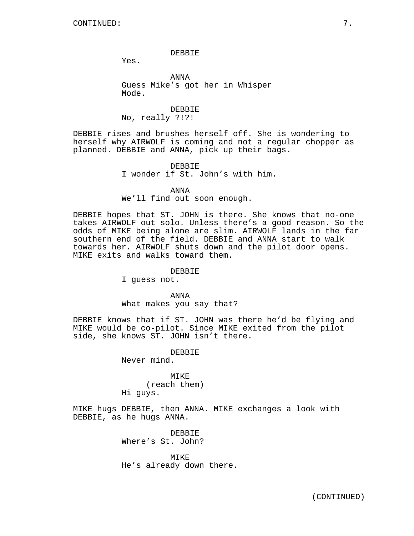#### DEBBIE

Yes.

ANNA Guess Mike's got her in Whisper Mode.

DEBBIE No, really ?!?!

DEBBIE rises and brushes herself off. She is wondering to herself why AIRWOLF is coming and not a regular chopper as planned. DEBBIE and ANNA, pick up their bags.

> DEBBIE I wonder if St. John's with him.

ANNA We'll find out soon enough.

DEBBIE hopes that ST. JOHN is there. She knows that no-one takes AIRWOLF out solo. Unless there's a good reason. So the odds of MIKE being alone are slim. AIRWOLF lands in the far southern end of the field. DEBBIE and ANNA start to walk towards her. AIRWOLF shuts down and the pilot door opens. MIKE exits and walks toward them.

# DEBBIE

I guess not.

ANNA What makes you say that?

DEBBIE knows that if ST. JOHN was there he'd be flying and MIKE would be co-pilot. Since MIKE exited from the pilot side, she knows ST. JOHN isn't there.

> DEBBIE Never mind.

MIKE (reach them) Hi guys.

MIKE hugs DEBBIE, then ANNA. MIKE exchanges a look with DEBBIE, as he hugs ANNA.

> DEBBIE Where's St. John?

MIKE He's already down there.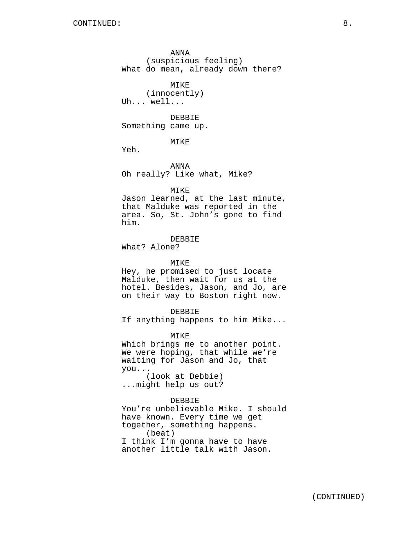ANNA (suspicious feeling) What do mean, already down there?

MIKE (innocently) Uh... well...

DEBBIE Something came up.

MIKE

Yeh.

ANNA Oh really? Like what, Mike?

#### MIKE

Jason learned, at the last minute, that Malduke was reported in the area. So, St. John's gone to find him.

## DEBBIE

What? Alone?

#### MIKE

Hey, he promised to just locate Malduke, then wait for us at the hotel. Besides, Jason, and Jo, are on their way to Boston right now.

DEBBIE

If anything happens to him Mike...

MIKE

Which brings me to another point. We were hoping, that while we're waiting for Jason and Jo, that you...

(look at Debbie) ...might help us out?

### DEBBIE

You're unbelievable Mike. I should have known. Every time we get together, something happens. (beat) I think I'm gonna have to have another little talk with Jason.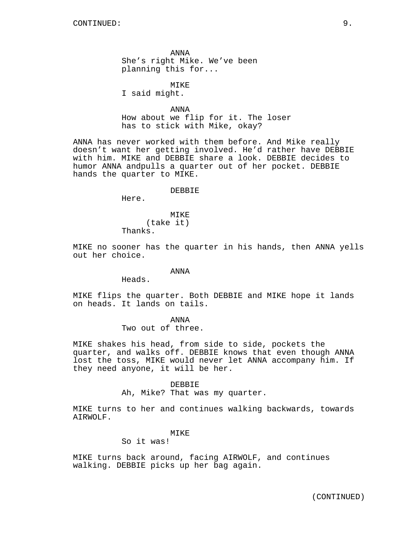ANNA She's right Mike. We've been planning this for...

MIKE

I said might.

ANNA How about we flip for it. The loser has to stick with Mike, okay?

ANNA has never worked with them before. And Mike really doesn't want her getting involved. He'd rather have DEBBIE with him. MIKE and DEBBIE share a look. DEBBIE decides to humor ANNA andpulls a quarter out of her pocket. DEBBIE hands the quarter to MIKE.

DEBBIE

Here.

MIKE (take it) Thanks.

MIKE no sooner has the quarter in his hands, then ANNA yells out her choice.

## ANNA

Heads.

MIKE flips the quarter. Both DEBBIE and MIKE hope it lands on heads. It lands on tails.

ANNA

Two out of three.

MIKE shakes his head, from side to side, pockets the quarter, and walks off. DEBBIE knows that even though ANNA lost the toss, MIKE would never let ANNA accompany him. If they need anyone, it will be her.

#### DEBBIE

Ah, Mike? That was my quarter.

MIKE turns to her and continues walking backwards, towards AIRWOLF.

### MIKE

So it was!

MIKE turns back around, facing AIRWOLF, and continues walking. DEBBIE picks up her bag again.

(CONTINUED)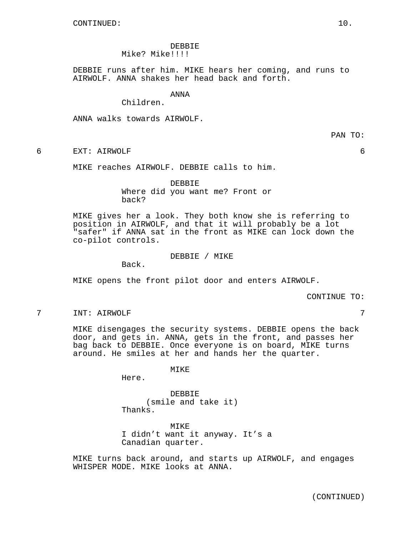DEBBIE Mike? Mike!!!!

DEBBIE runs after him. MIKE hears her coming, and runs to AIRWOLF. ANNA shakes her head back and forth.

ANNA

Children.

ANNA walks towards AIRWOLF.

PAN TO:

6 EXT: AIRWOLF 6

MIKE reaches AIRWOLF. DEBBIE calls to him.

DEBBIE Where did you want me? Front or

back?

MIKE gives her a look. They both know she is referring to position in AIRWOLF, and that it will probably be a lot "safer" if ANNA sat in the front as MIKE can lock down the co-pilot controls.

DEBBIE / MIKE

Back.

MIKE opens the front pilot door and enters AIRWOLF.

CONTINUE TO:

7 INT: AIRWOLF 7

MIKE disengages the security systems. DEBBIE opens the back door, and gets in. ANNA, gets in the front, and passes her bag back to DEBBIE. Once everyone is on board, MIKE turns around. He smiles at her and hands her the quarter.

MIKE

Here.

DEBBIE (smile and take it) Thanks.

MIKE I didn't want it anyway. It's a Canadian quarter.

MIKE turns back around, and starts up AIRWOLF, and engages WHISPER MODE. MIKE looks at ANNA.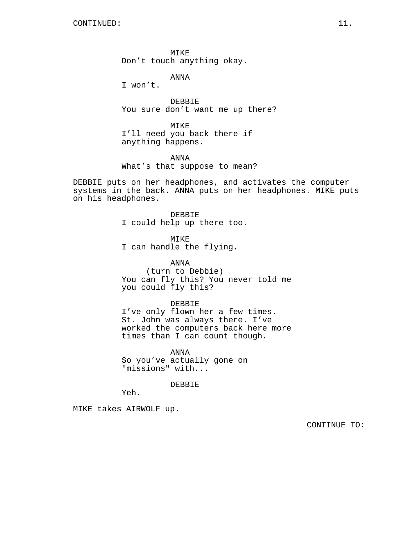MIKE Don't touch anything okay.

ANNA

I won't.

DEBBIE You sure don't want me up there?

MIKE I'll need you back there if anything happens.

ANNA What's that suppose to mean?

DEBBIE puts on her headphones, and activates the computer systems in the back. ANNA puts on her headphones. MIKE puts on his headphones.

> DEBBIE I could help up there too.

MIKE I can handle the flying.

you could fly this?

ANNA (turn to Debbie) You can fly this? You never told me

DEBBIE I've only flown her a few times. St. John was always there. I've

worked the computers back here more times than I can count though.

ANNA So you've actually gone on "missions" with...

DEBBIE

Yeh.

MIKE takes AIRWOLF up.

CONTINUE TO: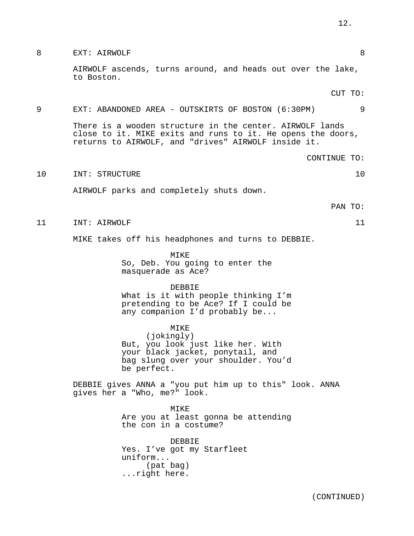| 8  | 8<br>EXT: AIRWOLF                                                                                                                                                              |
|----|--------------------------------------------------------------------------------------------------------------------------------------------------------------------------------|
|    | AIRWOLF ascends, turns around, and heads out over the lake,<br>to Boston.                                                                                                      |
|    | CUT TO:                                                                                                                                                                        |
| 9  | EXT: ABANDONED AREA - OUTSKIRTS OF BOSTON (6:30PM)<br>9                                                                                                                        |
|    | There is a wooden structure in the center. AIRWOLF lands<br>close to it. MIKE exits and runs to it. He opens the doors,<br>returns to AIRWOLF, and "drives" AIRWOLF inside it. |
|    | CONTINUE TO:                                                                                                                                                                   |
| 10 | INT: STRUCTURE<br>10                                                                                                                                                           |
|    | AIRWOLF parks and completely shuts down.                                                                                                                                       |
|    | PAN TO:                                                                                                                                                                        |
| 11 | 11<br>INT: AIRWOLF                                                                                                                                                             |
|    | MIKE takes off his headphones and turns to DEBBIE.                                                                                                                             |
|    | MIKE<br>So, Deb. You going to enter the<br>masquerade as Ace?                                                                                                                  |
|    | <b>DEBBIE</b><br>What is it with people thinking I'm<br>pretending to be Ace? If I could be<br>any companion I'd probably be                                                   |
|    | MIKE<br>(jokingly)<br>But, you look just like her. With<br>your black jacket, ponytail, and<br>bag slung over your shoulder. You'd<br>be perfect.                              |
|    | DEBBIE gives ANNA a "you put him up to this" look. ANNA<br>gives her a "Who, me?" look.                                                                                        |
|    | MIKE<br>Are you at least gonna be attending<br>the con in a costume?                                                                                                           |
|    | <b>DEBBIE</b><br>Yes. I've got my Starfleet<br>uniform<br>(pat bag)<br>right here.                                                                                             |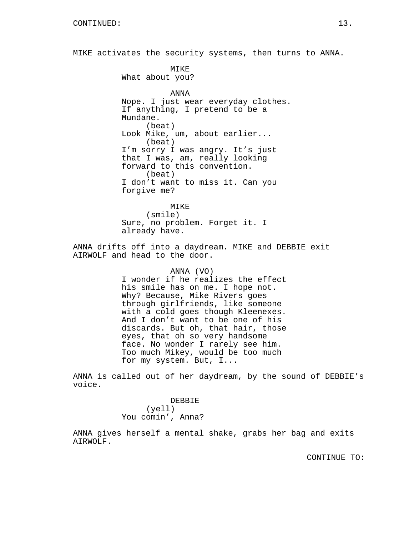MIKE activates the security systems, then turns to ANNA.

MIKE What about you? ANNA Nope. I just wear everyday clothes. If anything, I pretend to be a Mundane. (beat) Look Mike, um, about earlier... (beat) I'm sorry I was angry. It's just that I was, am, really looking forward to this convention. (beat) I don't want to miss it. Can you forgive me?

MIKE (smile) Sure, no problem. Forget it. I already have.

ANNA drifts off into a daydream. MIKE and DEBBIE exit AIRWOLF and head to the door.

> ANNA (VO) I wonder if he realizes the effect his smile has on me. I hope not. Why? Because, Mike Rivers goes through girlfriends, like someone with a cold goes though Kleenexes. And I don't want to be one of his discards. But oh, that hair, those eyes, that oh so very handsome face. No wonder I rarely see him. Too much Mikey, would be too much for my system. But, I...

ANNA is called out of her daydream, by the sound of DEBBIE's voice.

> DEBBIE (yell) You comin', Anna?

ANNA gives herself a mental shake, grabs her bag and exits AIRWOLF.

CONTINUE TO: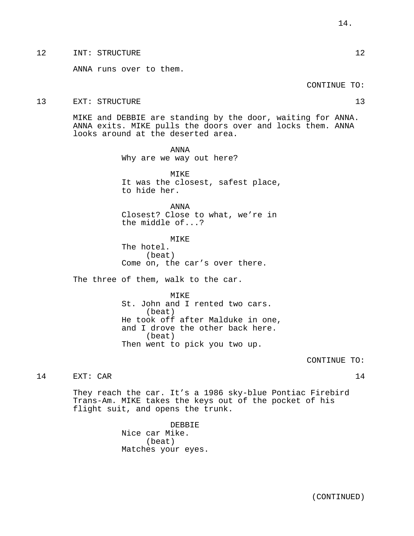# 12 INT: STRUCTURE 12

ANNA runs over to them.

#### CONTINUE TO:

#### 13 EXT: STRUCTURE 13 and 13

MIKE and DEBBIE are standing by the door, waiting for ANNA. ANNA exits. MIKE pulls the doors over and locks them. ANNA looks around at the deserted area.

> ANNA Why are we way out here?

MIKE It was the closest, safest place, to hide her.

ANNA Closest? Close to what, we're in the middle of...?

MIKE The hotel. (beat) Come on, the car's over there.

The three of them, walk to the car.

MTK<sub>E</sub> St. John and I rented two cars. (beat) He took off after Malduke in one, and I drove the other back here. (beat) Then went to pick you two up.

CONTINUE TO:

# 14 EXT: CAR 14

They reach the car. It's a 1986 sky-blue Pontiac Firebird Trans-Am. MIKE takes the keys out of the pocket of his flight suit, and opens the trunk.

> DEBBIE Nice car Mike. (beat) Matches your eyes.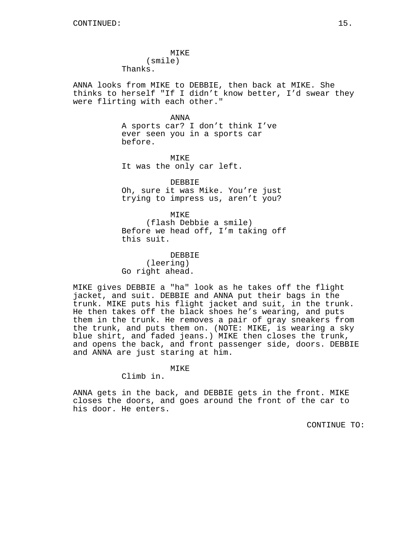MIKE (smile) Thanks.

ANNA looks from MIKE to DEBBIE, then back at MIKE. She thinks to herself "If I didn't know better, I'd swear they were flirting with each other."

ANNA

A sports car? I don't think I've ever seen you in a sports car before.

MIKE It was the only car left.

DEBBIE Oh, sure it was Mike. You're just trying to impress us, aren't you?

MIKE (flash Debbie a smile) Before we head off, I'm taking off this suit.

DEBBIE (leering) Go right ahead.

MIKE gives DEBBIE a "ha" look as he takes off the flight jacket, and suit. DEBBIE and ANNA put their bags in the trunk. MIKE puts his flight jacket and suit, in the trunk. He then takes off the black shoes he's wearing, and puts them in the trunk. He removes a pair of gray sneakers from the trunk, and puts them on. (NOTE: MIKE, is wearing a sky blue shirt, and faded jeans.) MIKE then closes the trunk, and opens the back, and front passenger side, doors. DEBBIE and ANNA are just staring at him.

MIKE

Climb in.

ANNA gets in the back, and DEBBIE gets in the front. MIKE closes the doors, and goes around the front of the car to his door. He enters.

CONTINUE TO: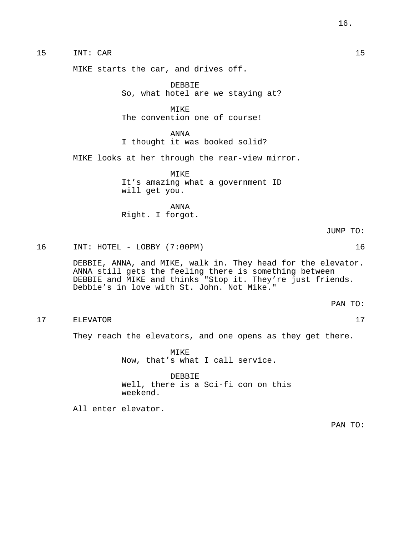15 INT: CAR 15

MIKE starts the car, and drives off.

DEBBIE So, what hotel are we staying at?

**MTKE** The convention one of course!

ANNA I thought it was booked solid?

MIKE looks at her through the rear-view mirror.

MIKE It's amazing what a government ID will get you.

ANNA Right. I forgot.

JUMP TO:

16 INT: HOTEL - LOBBY (7:00PM) 16

DEBBIE, ANNA, and MIKE, walk in. They head for the elevator. ANNA still gets the feeling there is something between DEBBIE and MIKE and thinks "Stop it. They're just friends. Debbie's in love with St. John. Not Mike."

PAN TO:

17 ELEVATOR 17

They reach the elevators, and one opens as they get there.

MIKE Now, that's what I call service.

DEBBIE Well, there is a Sci-fi con on this weekend.

All enter elevator.

PAN TO: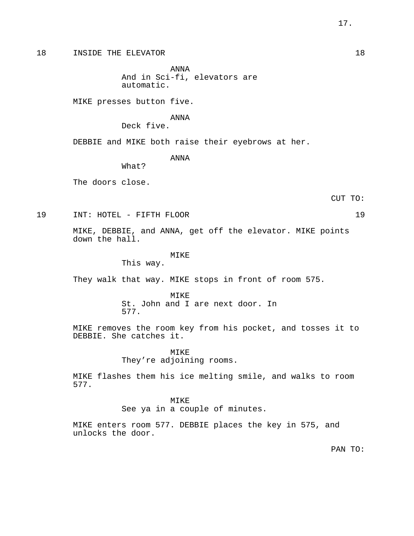18 INSIDE THE ELEVATOR 18

ANNA And in Sci-fi, elevators are automatic.

MIKE presses button five.

ANNA

Deck five.

DEBBIE and MIKE both raise their eyebrows at her.

ANNA

What?

The doors close.

CUT TO:

19 INT: HOTEL - FIFTH FLOOR 19

MIKE, DEBBIE, and ANNA, get off the elevator. MIKE points down the hall.

#### MIKE

This way.

They walk that way. MIKE stops in front of room 575.

MTK<sub>E</sub> St. John and I are next door. In 577.

MIKE removes the room key from his pocket, and tosses it to DEBBIE. She catches it.

> MTKF. They're adjoining rooms.

MIKE flashes them his ice melting smile, and walks to room 577.

#### MIKE

See ya in a couple of minutes.

MIKE enters room 577. DEBBIE places the key in 575, and unlocks the door.

PAN TO: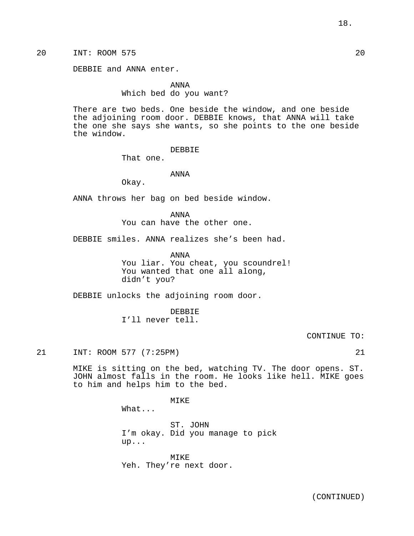20 INT: ROOM 575 20

DEBBIE and ANNA enter.

ANNA Which bed do you want?

There are two beds. One beside the window, and one beside the adjoining room door. DEBBIE knows, that ANNA will take the one she says she wants, so she points to the one beside the window.

## DEBBIE

That one.

## ANNA

Okay.

ANNA throws her bag on bed beside window.

ANNA You can have the other one.

DEBBIE smiles. ANNA realizes she's been had.

ANNA

You liar. You cheat, you scoundrel! You wanted that one all along, didn't you?

DEBBIE unlocks the adjoining room door.

DEBBIE I'll never tell.

CONTINUE TO:

21 INT: ROOM 577 (7:25PM) 21

MIKE is sitting on the bed, watching TV. The door opens. ST. JOHN almost falls in the room. He looks like hell. MIKE goes to him and helps him to the bed.

MIKE

What...

ST. JOHN I'm okay. Did you manage to pick up...

MIKE Yeh. They're next door.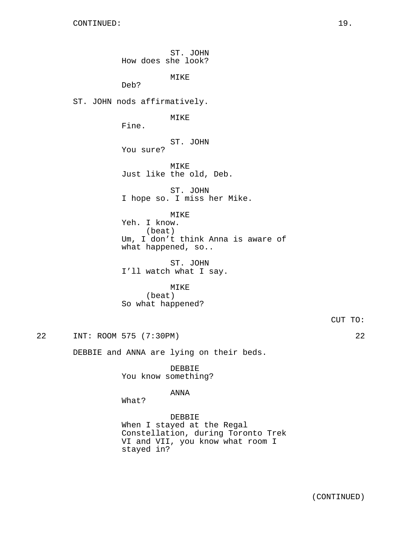ST. JOHN How does she look? MIKE Deb? ST. JOHN nods affirmatively. MIKE Fine. ST. JOHN You sure? MIKE Just like the old, Deb. ST. JOHN I hope so. I miss her Mike. MIKE Yeh. I know. (beat) Um, I don't think Anna is aware of what happened, so.. ST. JOHN I'll watch what I say. MIKE (beat) So what happened? CUT TO:

22 INT: ROOM 575 (7:30PM) 22

DEBBIE and ANNA are lying on their beds.

DEBBIE You know something?

### ANNA

What?

DEBBIE When I stayed at the Regal Constellation, during Toronto Trek VI and VII, you know what room I stayed in?

(CONTINUED)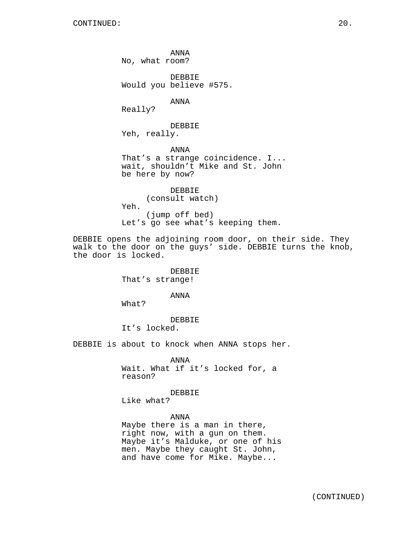ANNA No, what room? DEBBIE Would you believe #575. ANNA Really? DEBBIE Yeh, really. ANNA That's a strange coincidence. I... wait, shouldn't Mike and St. John be here by now? DEBBIE (consult watch) Yeh. (jump off bed) Let's go see what's keeping them.

DEBBIE opens the adjoining room door, on their side. They walk to the door on the guys' side. DEBBIE turns the knob, the door is locked.

> DEBBIE That's strange!

> > ANNA

What?

DEBBIE

It's locked.

DEBBIE is about to knock when ANNA stops her.

ANNA Wait. What if it's locked for, a reason?

#### DEBBIE

Like what?

ANNA Maybe there is a man in there, right now, with a gun on them. Maybe it's Malduke, or one of his men. Maybe they caught St. John, and have come for Mike. Maybe...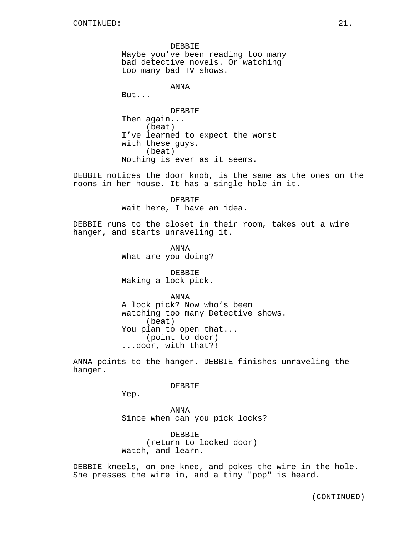DEBBIE Maybe you've been reading too many bad detective novels. Or watching too many bad TV shows.

ANNA

But...

DEBBIE Then again... (beat) I've learned to expect the worst with these guys. (beat) Nothing is ever as it seems.

DEBBIE notices the door knob, is the same as the ones on the rooms in her house. It has a single hole in it.

> DEBBIE Wait here, I have an idea.

DEBBIE runs to the closet in their room, takes out a wire hanger, and starts unraveling it.

> ANNA What are you doing?

DEBBIE Making a lock pick.

ANNA A lock pick? Now who's been watching too many Detective shows. (beat) You plan to open that... (point to door) ...door, with that?!

ANNA points to the hanger. DEBBIE finishes unraveling the hanger.

DEBBIE

Yep.

ANNA Since when can you pick locks?

DEBBIE (return to locked door) Watch, and learn.

DEBBIE kneels, on one knee, and pokes the wire in the hole. She presses the wire in, and a tiny "pop" is heard.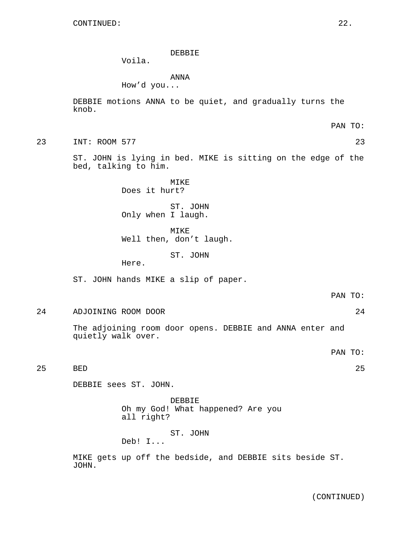#### DEBBIE

Voila.

ANNA

How'd you...

DEBBIE motions ANNA to be quiet, and gradually turns the knob.

PAN TO:

23 INT: ROOM 577 23

ST. JOHN is lying in bed. MIKE is sitting on the edge of the bed, talking to him.

> MIKE Does it hurt?

ST. JOHN Only when I laugh.

MIKE Well then, don't laugh.

ST. JOHN

Here.

ST. JOHN hands MIKE a slip of paper.

24 ADJOINING ROOM DOOR 24

The adjoining room door opens. DEBBIE and ANNA enter and quietly walk over.

PAN TO:

25 BED 25

DEBBIE sees ST. JOHN.

DEBBIE Oh my God! What happened? Are you all right?

ST. JOHN

Deb! I...

MIKE gets up off the bedside, and DEBBIE sits beside ST. JOHN.

(CONTINUED)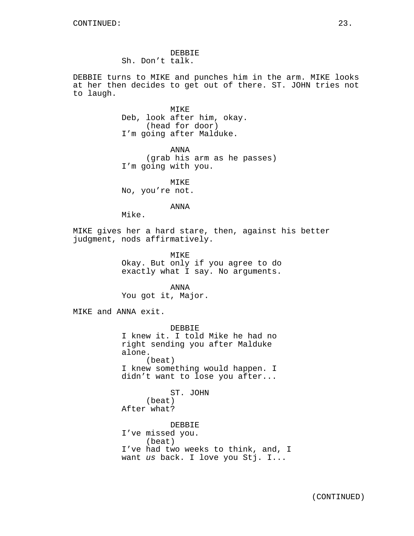DEBBIE Sh. Don't talk.

DEBBIE turns to MIKE and punches him in the arm. MIKE looks at her then decides to get out of there. ST. JOHN tries not to laugh.

> MIKE Deb, look after him, okay. (head for door) I'm going after Malduke.

ANNA (grab his arm as he passes) I'm going with you.

MIKE No, you're not.

ANNA

Mike.

MIKE gives her a hard stare, then, against his better judgment, nods affirmatively.

> MIKE Okay. But only if you agree to do exactly what I say. No arguments.

ANNA You got it, Major.

MIKE and ANNA exit.

DEBBIE I knew it. I told Mike he had no right sending you after Malduke alone. (beat) I knew something would happen. I didn't want to lose you after...

ST. JOHN (beat) After what? DEBBIE I've missed you. (beat) I've had two weeks to think, and, I want us back. I love you Stj. I...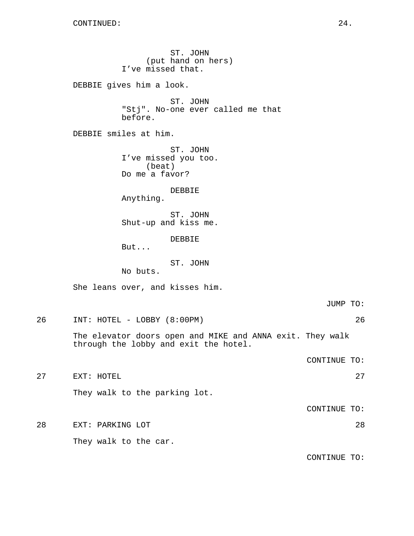ST. JOHN (put hand on hers) I've missed that. DEBBIE gives him a look. ST. JOHN "Stj". No-one ever called me that before. DEBBIE smiles at him. ST. JOHN I've missed you too. (beat) Do me a favor? DEBBIE Anything. ST. JOHN Shut-up and kiss me. DEBBIE But... ST. JOHN No buts. She leans over, and kisses him. JUMP TO: 26 INT: HOTEL - LOBBY (8:00PM) 26 The elevator doors open and MIKE and ANNA exit. They walk through the lobby and exit the hotel. CONTINUE TO: 27 EXT: HOTEL 27 They walk to the parking lot. CONTINUE TO: 28 EXT: PARKING LOT 28 They walk to the car. CONTINUE TO: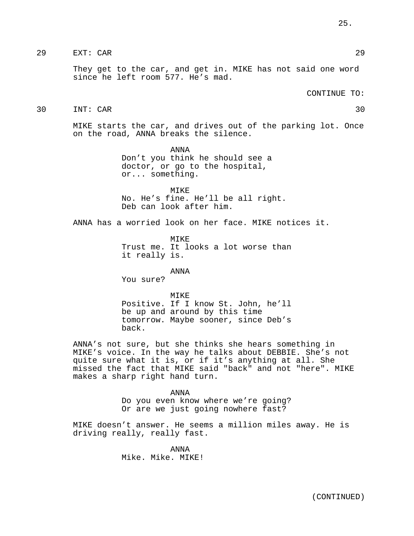# 29 EXT: CAR 29

They get to the car, and get in. MIKE has not said one word since he left room 577. He's mad.

CONTINUE TO:

# 30 INT: CAR 30

MIKE starts the car, and drives out of the parking lot. Once on the road, ANNA breaks the silence.

> ANNA Don't you think he should see a doctor, or go to the hospital, or... something.

MIKE No. He's fine. He'll be all right. Deb can look after him.

ANNA has a worried look on her face. MIKE notices it.

MIKE Trust me. It looks a lot worse than it really is.

ANNA

You sure?

#### MTKE<sup>®</sup>

Positive. If I know St. John, he'll be up and around by this time tomorrow. Maybe sooner, since Deb's back.

ANNA's not sure, but she thinks she hears something in MIKE's voice. In the way he talks about DEBBIE. She's not quite sure what it is, or if it's anything at all. She missed the fact that MIKE said "back" and not "here". MIKE makes a sharp right hand turn.

> ANNA Do you even know where we're going? Or are we just going nowhere fast?

MIKE doesn't answer. He seems a million miles away. He is driving really, really fast.

> ANNA Mike. Mike. MIKE!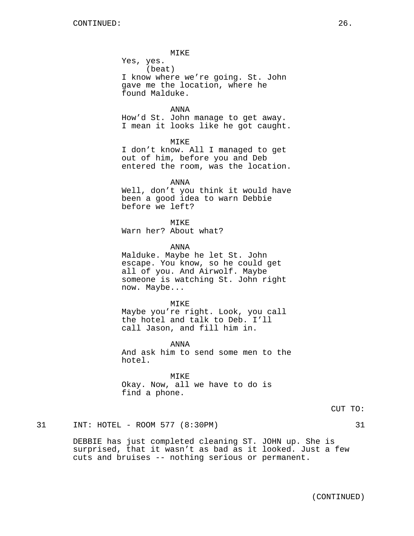MIKE

Yes, yes. (beat) I know where we're going. St. John gave me the location, where he found Malduke.

ANNA How'd St. John manage to get away. I mean it looks like he got caught.

MIKE

I don't know. All I managed to get out of him, before you and Deb entered the room, was the location.

ANNA

Well, don't you think it would have been a good idea to warn Debbie before we left?

MIKE Warn her? About what?

ANNA

Malduke. Maybe he let St. John escape. You know, so he could get all of you. And Airwolf. Maybe someone is watching St. John right now. Maybe...

MIKE Maybe you're right. Look, you call the hotel and talk to Deb. I'll call Jason, and fill him in.

ANNA And ask him to send some men to the hotel.

MIKE Okay. Now, all we have to do is find a phone.

# 31 INT: HOTEL - ROOM 577 (8:30PM) 31

DEBBIE has just completed cleaning ST. JOHN up. She is surprised, that it wasn't as bad as it looked. Just a few cuts and bruises -- nothing serious or permanent.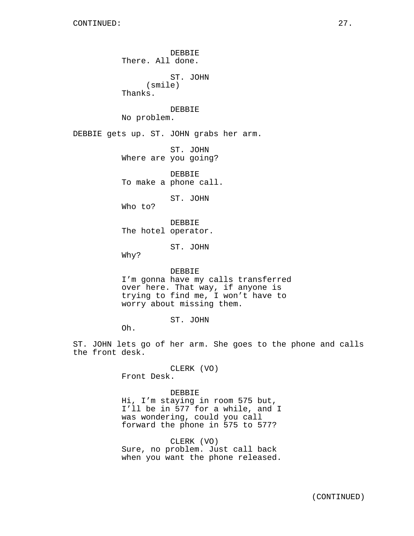DEBBIE There. All done. ST. JOHN (smile) Thanks. DEBBIE No problem. DEBBIE gets up. ST. JOHN grabs her arm. ST. JOHN Where are you going? DEBBIE To make a phone call. ST. JOHN Who to? DEBBIE The hotel operator. ST. JOHN Why? DEBBIE I'm gonna have my calls transferred over here. That way, if anyone is trying to find me, I won't have to worry about missing them. ST. JOHN Oh. ST. JOHN lets go of her arm. She goes to the phone and calls the front desk.

> CLERK (VO) Front Desk.

DEBBIE Hi, I'm staying in room 575 but, I'll be in 577 for a while, and I was wondering, could you call forward the phone in 575 to 577?

CLERK (VO) Sure, no problem. Just call back when you want the phone released.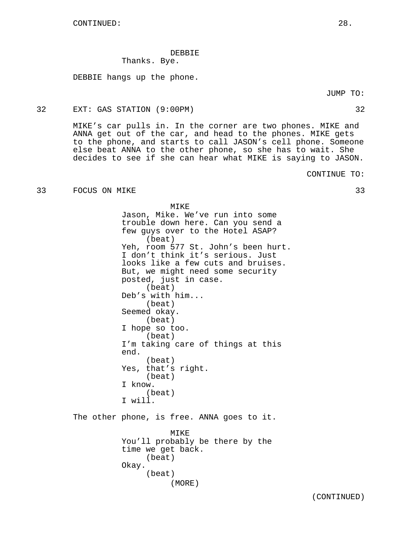## DEBBIE Thanks. Bye.

DEBBIE hangs up the phone.

Okay.

(beat)

(MORE)

JUMP TO:

## 32 EXT: GAS STATION (9:00PM) 32

MIKE's car pulls in. In the corner are two phones. MIKE and ANNA get out of the car, and head to the phones. MIKE gets to the phone, and starts to call JASON's cell phone. Someone else beat ANNA to the other phone, so she has to wait. She decides to see if she can hear what MIKE is saying to JASON.

CONTINUE TO:

# 33 FOCUS ON MIKE 33

MIKE Jason, Mike. We've run into some trouble down here. Can you send a few guys over to the Hotel ASAP? (beat) Yeh, room 577 St. John's been hurt. I don't think it's serious. Just looks like a few cuts and bruises. But, we might need some security posted, just in case. (beat) Deb's with him... (beat) Seemed okay. (beat) I hope so too. (beat) I'm taking care of things at this end. (beat) Yes, that's right. (beat) I know. (beat) I will. The other phone, is free. ANNA goes to it. MIKE You'll probably be there by the time we get back. (beat)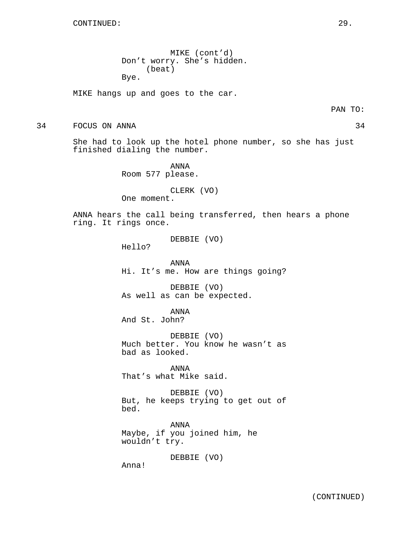MIKE (cont'd) Don't worry. She's hidden. (beat) Bye.

MIKE hangs up and goes to the car.

PAN TO:

34 FOCUS ON ANNA 34

She had to look up the hotel phone number, so she has just finished dialing the number.

> ANNA Room 577 please.

> > CLERK (VO)

One moment.

ANNA hears the call being transferred, then hears a phone ring. It rings once.

DEBBIE (VO)

Hello?

ANNA Hi. It's me. How are things going?

DEBBIE (VO) As well as can be expected.

ANNA And St. John?

DEBBIE (VO) Much better. You know he wasn't as bad as looked.

ANNA That's what Mike said.

DEBBIE (VO) But, he keeps trying to get out of bed.

ANNA Maybe, if you joined him, he wouldn't try.

DEBBIE (VO)

Anna!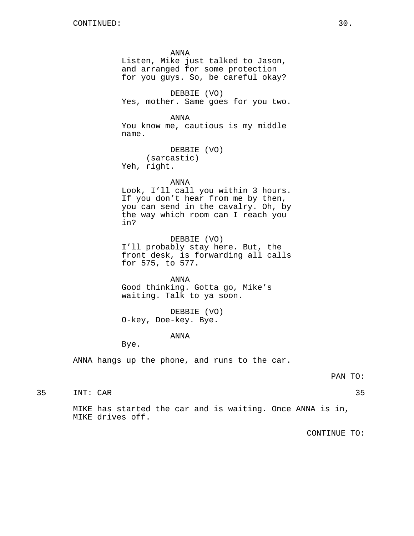ANNA Listen, Mike just talked to Jason, and arranged for some protection for you guys. So, be careful okay? DEBBIE (VO) Yes, mother. Same goes for you two. ANNA You know me, cautious is my middle name. DEBBIE (VO) (sarcastic) Yeh, right. ANNA Look, I'll call you within 3 hours. If you don't hear from me by then, you can send in the cavalry. Oh, by the way which room can I reach you in? DEBBIE (VO) I'll probably stay here. But, the front desk, is forwarding all calls for 575, to 577. ANNA Good thinking. Gotta go, Mike's waiting. Talk to ya soon. DEBBIE (VO) O-key, Doe-key. Bye.

# ANNA

Bye.

ANNA hangs up the phone, and runs to the car.

#### PAN TO:

35 INT: CAR 35

MIKE has started the car and is waiting. Once ANNA is in, MIKE drives off.

CONTINUE TO: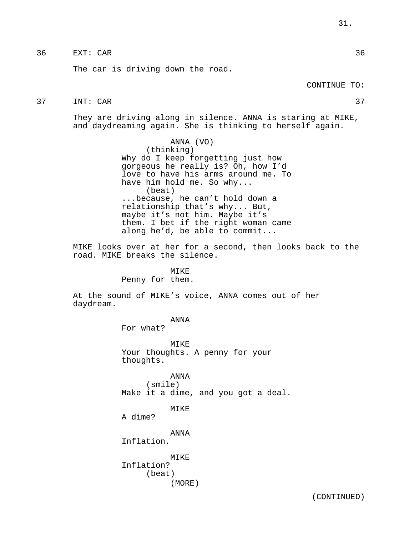# 36 EXT: CAR 36

The car is driving down the road.

# 37 INT: CAR 37

They are driving along in silence. ANNA is staring at MIKE, and daydreaming again. She is thinking to herself again.

> ANNA (VO) (thinking) Why do I keep forgetting just how gorgeous he really is? Oh, how I'd love to have his arms around me. To have him hold me. So why... (beat) ...because, he can't hold down a relationship that's why... But, maybe it's not him. Maybe it's them. I bet if the right woman came along he'd, be able to commit...

MIKE looks over at her for a second, then looks back to the road. MIKE breaks the silence.

## MIKE

Penny for them.

At the sound of MIKE's voice, ANNA comes out of her daydream.

ANNA

For what?

MIKE Your thoughts. A penny for your thoughts.

ANNA (smile) Make it a dime, and you got a deal.

MIKE

A dime?

ANNA

Inflation.

MIKE Inflation? (beat) (MORE)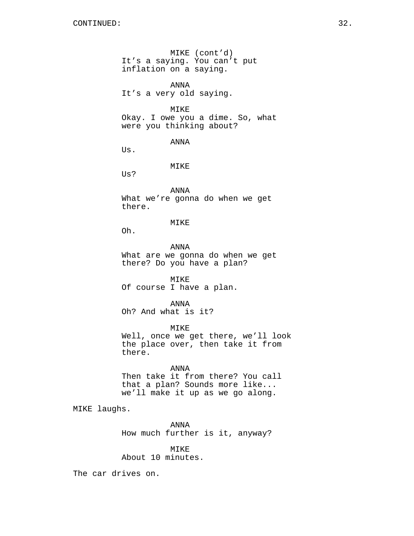MIKE (cont'd) It's a saying. You can't put inflation on a saying.

ANNA It's a very old saying.

MIKE

Okay. I owe you a dime. So, what were you thinking about?

ANNA

Us.

MIKE

Us?

ANNA What we're gonna do when we get there.

MIKE

Oh.

ANNA What are we gonna do when we get there? Do you have a plan?

MIKE Of course I have a plan.

ANNA Oh? And what is it?

MIKE Well, once we get there, we'll look the place over, then take it from there.

ANNA

Then take it from there? You call that a plan? Sounds more like... we'll make it up as we go along.

MIKE laughs.

ANNA How much further is it, anyway?

MIKE About 10 minutes.

The car drives on.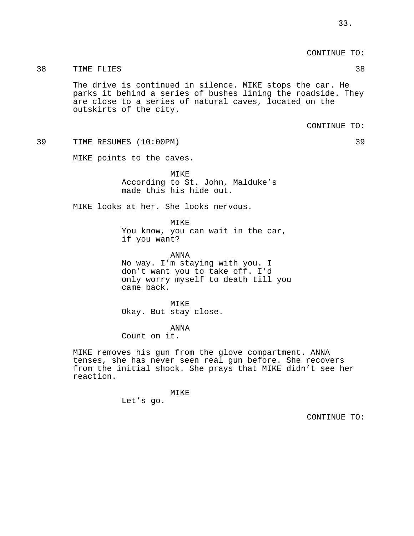CONTINUE TO:

# 38 TIME FLIES 38

The drive is continued in silence. MIKE stops the car. He parks it behind a series of bushes lining the roadside. They are close to a series of natural caves, located on the outskirts of the city.

CONTINUE TO:

39 TIME RESUMES (10:00PM) 39

MIKE points to the caves.

MIKE According to St. John, Malduke's made this his hide out.

MIKE looks at her. She looks nervous.

MIKE You know, you can wait in the car, if you want?

ANNA No way. I'm staying with you. I don't want you to take off. I'd only worry myself to death till you came back.

MIKE Okay. But stay close.

ANNA

Count on it.

MIKE removes his gun from the glove compartment. ANNA tenses, she has never seen real gun before. She recovers from the initial shock. She prays that MIKE didn't see her reaction.

> MIKE Let's go.

> > CONTINUE TO: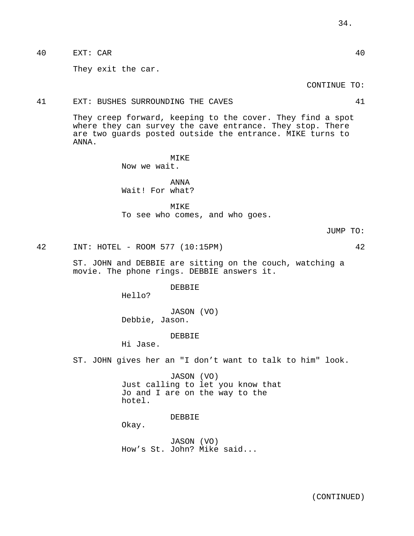40 EXT: CAR 40

They exit the car.

CONTINUE TO:

41 EXT: BUSHES SURROUNDING THE CAVES 41

They creep forward, keeping to the cover. They find a spot where they can survey the cave entrance. They stop. There are two guards posted outside the entrance. MIKE turns to ANNA.

> MIKE Now we wait.

ANNA Wait! For what?

MIKE

To see who comes, and who goes.

JUMP TO:

42 INT: HOTEL - ROOM 577 (10:15PM) 42

ST. JOHN and DEBBIE are sitting on the couch, watching a movie. The phone rings. DEBBIE answers it.

DEBBIE

Hello?

JASON (VO) Debbie, Jason.

DEBBIE

Hi Jase.

ST. JOHN gives her an "I don't want to talk to him" look.

JASON (VO) Just calling to let you know that Jo and I are on the way to the hotel.

DEBBIE

Okay.

JASON (VO) How's St. John? Mike said...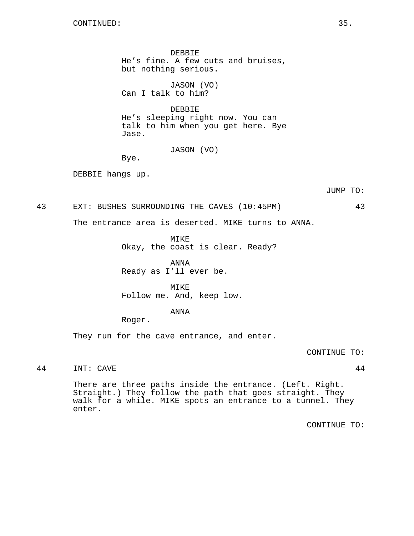DEBBIE He's fine. A few cuts and bruises, but nothing serious.

JASON (VO) Can I talk to him?

DEBBIE He's sleeping right now. You can talk to him when you get here. Bye Jase.

JASON (VO)

Bye.

DEBBIE hangs up.

JUMP TO:

43 EXT: BUSHES SURROUNDING THE CAVES (10:45PM) 43

The entrance area is deserted. MIKE turns to ANNA.

MIKE

Okay, the coast is clear. Ready?

ANNA Ready as I'll ever be.

MIKE Follow me. And, keep low.

ANNA

Roger.

They run for the cave entrance, and enter.

CONTINUE TO:

44 INT: CAVE 44

There are three paths inside the entrance. (Left. Right. Straight.) They follow the path that goes straight. They walk for a while. MIKE spots an entrance to a tunnel. They enter.

CONTINUE TO: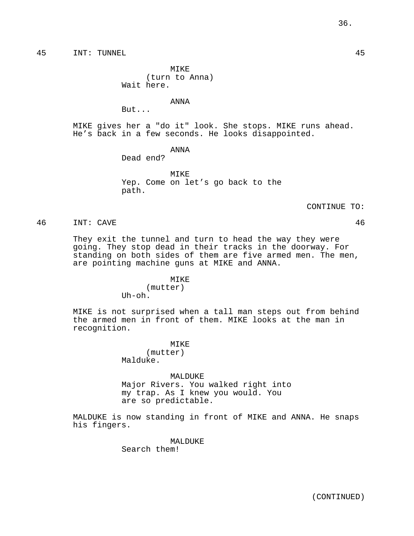45 INT: TUNNEL 45

MIKE (turn to Anna) Wait here.

ANNA

But...

MIKE gives her a "do it" look. She stops. MIKE runs ahead. He's back in a few seconds. He looks disappointed.

# ANNA

Dead end?

MIKE Yep. Come on let's go back to the path.

CONTINUE TO:

46 INT: CAVE 46

They exit the tunnel and turn to head the way they were going. They stop dead in their tracks in the doorway. For standing on both sides of them are five armed men. The men, are pointing machine guns at MIKE and ANNA.

## MIKE

(mutter)  $I$ Ih $-$ oh.

MIKE is not surprised when a tall man steps out from behind the armed men in front of them. MIKE looks at the man in recognition.

MIKE

(mutter) Malduke.

MALDUKE Major Rivers. You walked right into my trap. As I knew you would. You are so predictable.

MALDUKE is now standing in front of MIKE and ANNA. He snaps his fingers.

MALDUKE

Search them!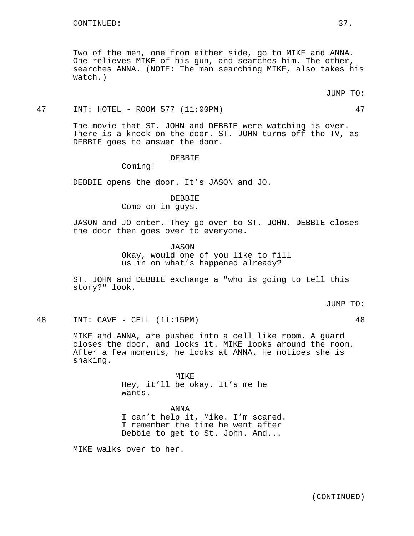Two of the men, one from either side, go to MIKE and ANNA. One relieves MIKE of his gun, and searches him. The other, searches ANNA. (NOTE: The man searching MIKE, also takes his watch.)

### 47 INT: HOTEL - ROOM 577 (11:00PM) 47

The movie that ST. JOHN and DEBBIE were watching is over. There is a knock on the door. ST. JOHN turns off the TV, as DEBBIE goes to answer the door.

#### DEBBIE

Coming!

DEBBIE opens the door. It's JASON and JO.

## DEBBIE

Come on in guys.

JASON and JO enter. They go over to ST. JOHN. DEBBIE closes the door then goes over to everyone.

> JASON Okay, would one of you like to fill us in on what's happened already?

ST. JOHN and DEBBIE exchange a "who is going to tell this story?" look.

JUMP TO:

48 INT: CAVE - CELL (11:15PM) 48

MIKE and ANNA, are pushed into a cell like room. A guard closes the door, and locks it. MIKE looks around the room. After a few moments, he looks at ANNA. He notices she is shaking.

> MIKE Hey, it'll be okay. It's me he wants.

ANNA I can't help it, Mike. I'm scared. I remember the time he went after Debbie to get to St. John. And...

MIKE walks over to her.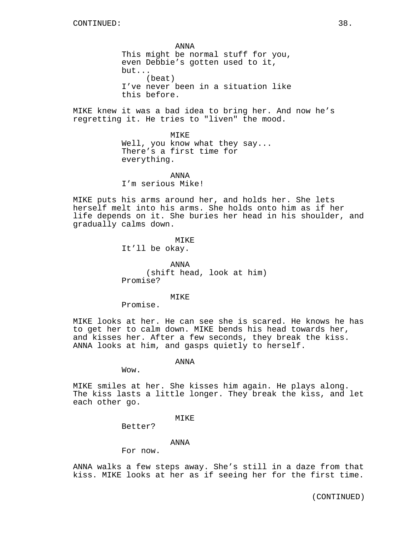ANNA This might be normal stuff for you, even Debbie's gotten used to it, but... (beat) I've never been in a situation like this before.

MIKE knew it was a bad idea to bring her. And now he's regretting it. He tries to "liven" the mood.

> MIKE Well, you know what they say... There's a first time for everything.

ANNA I'm serious Mike!

MIKE puts his arms around her, and holds her. She lets herself melt into his arms. She holds onto him as if her life depends on it. She buries her head in his shoulder, and gradually calms down.

> MIKE It'll be okay.

ANNA (shift head, look at him) Promise?

MTK<sub>F</sub>

Promise.

MIKE looks at her. He can see she is scared. He knows he has to get her to calm down. MIKE bends his head towards her, and kisses her. After a few seconds, they break the kiss. ANNA looks at him, and gasps quietly to herself.

ANNA

Wow.

MIKE smiles at her. She kisses him again. He plays along. The kiss lasts a little longer. They break the kiss, and let each other go.

### MTKE<sup>®</sup>

Better?

### ANNA

For now.

ANNA walks a few steps away. She's still in a daze from that kiss. MIKE looks at her as if seeing her for the first time.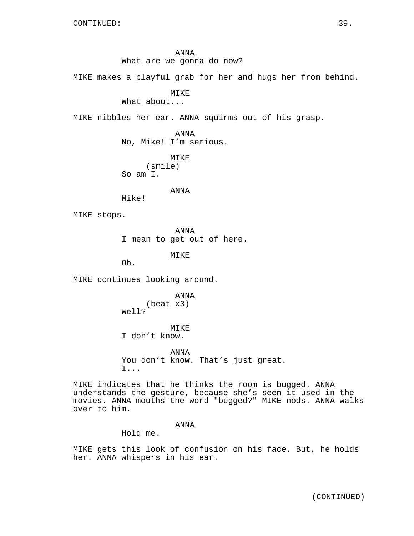ANNA What are we gonna do now?

MIKE makes a playful grab for her and hugs her from behind.

MIKE

What about...

MIKE nibbles her ear. ANNA squirms out of his grasp.

ANNA No, Mike! I'm serious.

MIKE (smile) So am I.

ANNA

Mike!

MIKE stops.

ANNA

I mean to get out of here.

MIKE

Oh.

MIKE continues looking around.

ANNA (beat x3) Well?

MIKE I don't know.

ANNA You don't know. That's just great. I...

MIKE indicates that he thinks the room is bugged. ANNA understands the gesture, because she's seen it used in the movies. ANNA mouths the word "bugged?" MIKE nods. ANNA walks over to him.

## ANNA

Hold me.

MIKE gets this look of confusion on his face. But, he holds her. ANNA whispers in his ear.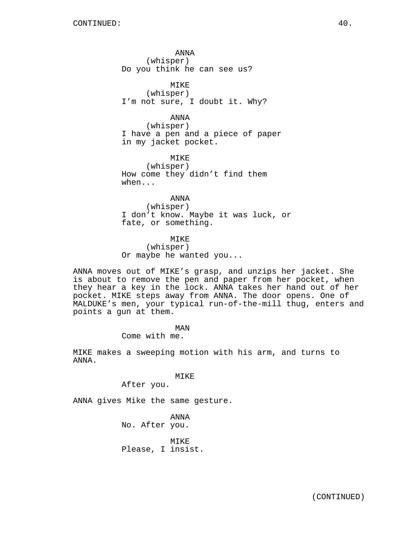ANNA (whisper) Do you think he can see us?

MIKE (whisper) I'm not sure, I doubt it. Why?

ANNA

(whisper) I have a pen and a piece of paper in my jacket pocket.

MIKE (whisper) How come they didn't find them when...

ANNA (whisper) I don't know. Maybe it was luck, or fate, or something.

MIKE (whisper) Or maybe he wanted you...

ANNA moves out of MIKE's grasp, and unzips her jacket. She is about to remove the pen and paper from her pocket, when they hear a key in the lock. ANNA takes her hand out of her pocket. MIKE steps away from ANNA. The door opens. One of MALDUKE's men, your typical run-of-the-mill thug, enters and points a gun at them.

MAN

Come with me.

MIKE makes a sweeping motion with his arm, and turns to ANNA.

MIKE

After you.

ANNA gives Mike the same gesture.

ANNA No. After you.

MTK<sub>E</sub> Please, I insist.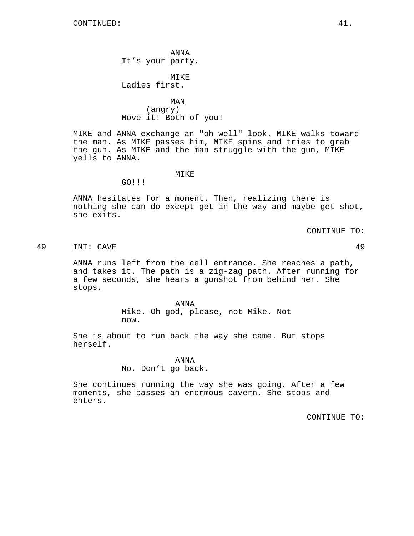ANNA It's your party.

MIKE Ladies first.

MAN (angry) Move it! Both of you!

MIKE and ANNA exchange an "oh well" look. MIKE walks toward the man. As MIKE passes him, MIKE spins and tries to grab the gun. As MIKE and the man struggle with the gun, MIKE yells to ANNA.

## MIKE

GO!!!

ANNA hesitates for a moment. Then, realizing there is nothing she can do except get in the way and maybe get shot, she exits.

CONTINUE TO:

49 INT: CAVE 49

ANNA runs left from the cell entrance. She reaches a path, and takes it. The path is a zig-zag path. After running for a few seconds, she hears a gunshot from behind her. She stops.

> ANNA Mike. Oh god, please, not Mike. Not now.

She is about to run back the way she came. But stops herself.

### ANNA

No. Don't go back.

She continues running the way she was going. After a few moments, she passes an enormous cavern. She stops and enters.

CONTINUE TO: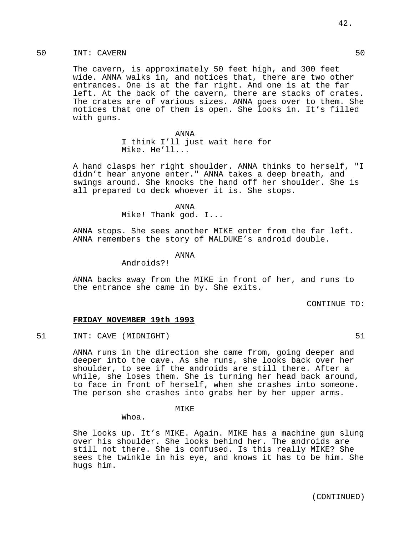50 INT: CAVERN 50

The cavern, is approximately 50 feet high, and 300 feet wide. ANNA walks in, and notices that, there are two other entrances. One is at the far right. And one is at the far left. At the back of the cavern, there are stacks of crates. The crates are of various sizes. ANNA goes over to them. She notices that one of them is open. She looks in. It's filled with guns.

> ANNA I think I'll just wait here for Mike. He'll...

A hand clasps her right shoulder. ANNA thinks to herself, "I didn't hear anyone enter." ANNA takes a deep breath, and swings around. She knocks the hand off her shoulder. She is all prepared to deck whoever it is. She stops.

ANNA

Mike! Thank god. I...

ANNA stops. She sees another MIKE enter from the far left. ANNA remembers the story of MALDUKE's android double.

ANNA

Androids?!

ANNA backs away from the MIKE in front of her, and runs to the entrance she came in by. She exits.

CONTINUE TO:

### **FRIDAY NOVEMBER 19th 1993**

51 INT: CAVE (MIDNIGHT) 51

ANNA runs in the direction she came from, going deeper and deeper into the cave. As she runs, she looks back over her shoulder, to see if the androids are still there. After a while, she loses them. She is turning her head back around, to face in front of herself, when she crashes into someone. The person she crashes into grabs her by her upper arms.

MIKE

Whoa.

She looks up. It's MIKE. Again. MIKE has a machine gun slung over his shoulder. She looks behind her. The androids are still not there. She is confused. Is this really MIKE? She sees the twinkle in his eye, and knows it has to be him. She hugs him.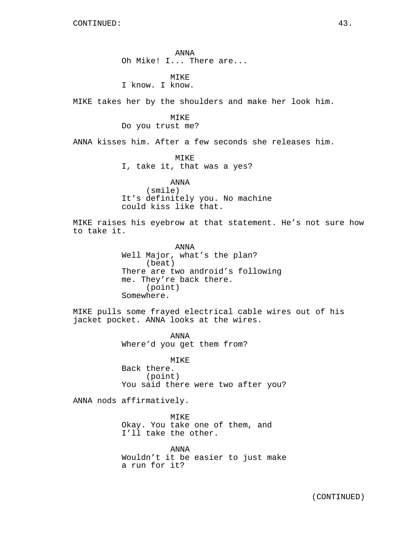ANNA Oh Mike! I... There are...

**MTKE** I know. I know.

MIKE takes her by the shoulders and make her look him.

#### MIKE

# Do you trust me?

ANNA kisses him. After a few seconds she releases him.

MIKE I, take it, that was a yes?

# ANNA (smile) It's definitely you. No machine could kiss like that.

MIKE raises his eyebrow at that statement. He's not sure how to take it.

> ANNA Well Major, what's the plan? (beat) There are two android's following me. They're back there. (point) Somewhere.

MIKE pulls some frayed electrical cable wires out of his jacket pocket. ANNA looks at the wires.

> ANNA Where'd you get them from?

MIKE Back there. (point) You said there were two after you?

ANNA nods affirmatively.

MIKE Okay. You take one of them, and I'll take the other.

ANNA Wouldn't it be easier to just make a run for it?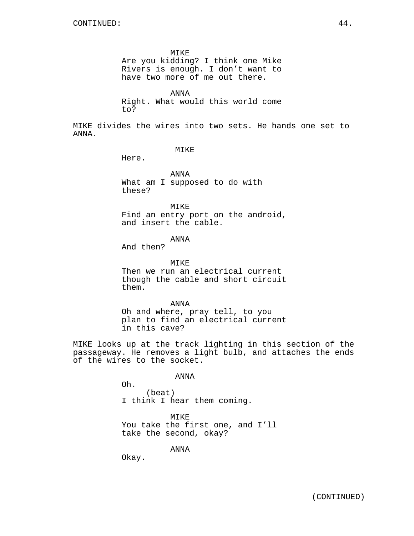MIKE Are you kidding? I think one Mike Rivers is enough. I don't want to have two more of me out there.

ANNA Right. What would this world come to?

MIKE divides the wires into two sets. He hands one set to ANNA.

## MIKE

Here.

ANNA What am I supposed to do with these?

MIKE Find an entry port on the android, and insert the cable.

ANNA

And then?

MIKE Then we run an electrical current though the cable and short circuit them.

ANNA Oh and where, pray tell, to you plan to find an electrical current in this cave?

MIKE looks up at the track lighting in this section of the passageway. He removes a light bulb, and attaches the ends of the wires to the socket.

ANNA

Oh. (beat) I think I hear them coming.

MIKE You take the first one, and I'll take the second, okay?

ANNA

Okay.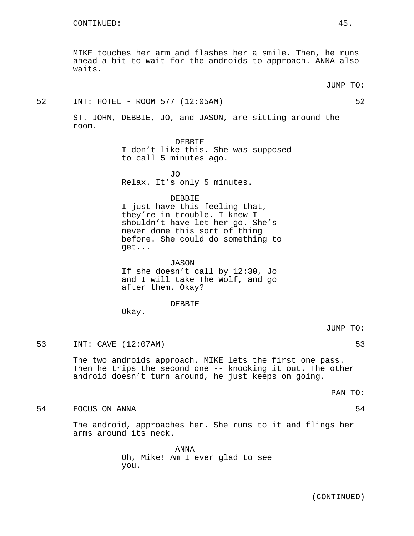MIKE touches her arm and flashes her a smile. Then, he runs ahead a bit to wait for the androids to approach. ANNA also waits.

JUMP TO:

# 52 INT: HOTEL - ROOM 577 (12:05AM) 52

ST. JOHN, DEBBIE, JO, and JASON, are sitting around the room.

DEBBIE

I don't like this. She was supposed to call 5 minutes ago.

 $\overline{J}$ Relax. It's only 5 minutes.

## DEBBIE

I just have this feeling that, they're in trouble. I knew I shouldn't have let her go. She's never done this sort of thing before. She could do something to get...

JASON If she doesn't call by 12:30, Jo and I will take The Wolf, and go after them. Okay?

### DEBBIE

Okay.

# JUMP TO:

53 INT: CAVE (12:07AM) 53

The two androids approach. MIKE lets the first one pass. Then he trips the second one -- knocking it out. The other android doesn't turn around, he just keeps on going.

PAN TO:

#### 54 FOCUS ON ANNA 54

The android, approaches her. She runs to it and flings her arms around its neck.

> ANNA Oh, Mike! Am I ever glad to see you.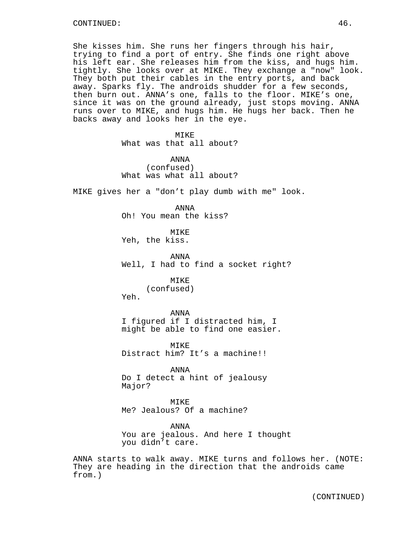She kisses him. She runs her fingers through his hair, trying to find a port of entry. She finds one right above his left ear. She releases him from the kiss, and hugs him. tightly. She looks over at MIKE. They exchange a "now" look. They both put their cables in the entry ports, and back away. Sparks fly. The androids shudder for a few seconds, then burn out. ANNA's one, falls to the floor. MIKE's one, since it was on the ground already, just stops moving. ANNA runs over to MIKE, and hugs him. He hugs her back. Then he backs away and looks her in the eye.

> MIKE What was that all about?

> ANNA (confused) What was what all about?

MIKE gives her a "don't play dumb with me" look.

ANNA Oh! You mean the kiss?

MIKE Yeh, the kiss.

ANNA Well, I had to find a socket right?

# MTKE<sup>®</sup>

(confused) Yeh.

ANNA I figured if I distracted him, I

might be able to find one easier.

MIKE Distract him? It's a machine!!

ANNA Do I detect a hint of jealousy Major?

MIKE Me? Jealous? Of a machine?

ANNA You are jealous. And here I thought you didn't care.

ANNA starts to walk away. MIKE turns and follows her. (NOTE: They are heading in the direction that the androids came from.)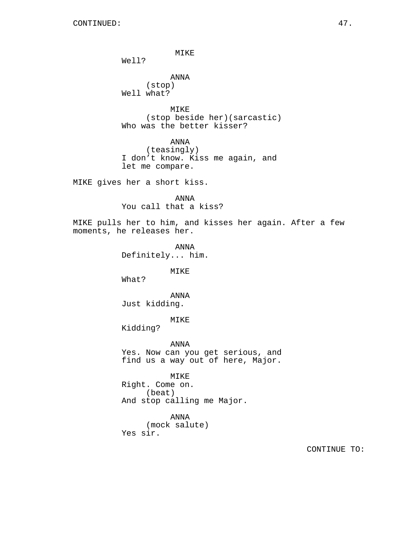MIKE

Well?

ANNA (stop) Well what?

MIKE (stop beside her)(sarcastic) Who was the better kisser?

ANNA (teasingly) I don't know. Kiss me again, and let me compare.

MIKE gives her a short kiss.

ANNA You call that a kiss?

MIKE pulls her to him, and kisses her again. After a few moments, he releases her.

> ANNA Definitely... him.

> > MIKE

What?

ANNA Just kidding.

MIKE

Kidding?

ANNA Yes. Now can you get serious, and find us a way out of here, Major.

MIKE Right. Come on. (beat) And stop calling me Major.

ANNA (mock salute) Yes sir.

CONTINUE TO: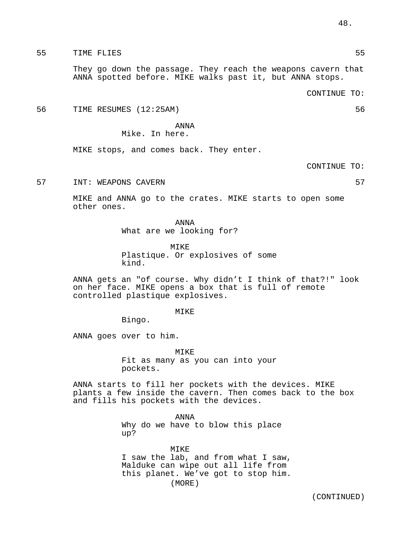55 TIME FLIES 55

They go down the passage. They reach the weapons cavern that ANNA spotted before. MIKE walks past it, but ANNA stops.

CONTINUE TO:

56 TIME RESUMES (12:25AM) 56

ANNA

Mike. In here.

MIKE stops, and comes back. They enter.

CONTINUE TO:

57 INT: WEAPONS CAVERN 57

MIKE and ANNA go to the crates. MIKE starts to open some other ones.

> ANNA What are we looking for?

MIKE Plastique. Or explosives of some kind.

ANNA gets an "of course. Why didn't I think of that?!" look on her face. MIKE opens a box that is full of remote controlled plastique explosives.

MIKE

Bingo.

ANNA goes over to him.

MIKE Fit as many as you can into your pockets.

ANNA starts to fill her pockets with the devices. MIKE plants a few inside the cavern. Then comes back to the box and fills his pockets with the devices.

> ANNA Why do we have to blow this place up?

MIKE I saw the lab, and from what I saw, Malduke can wipe out all life from this planet. We've got to stop him. (MORE)

(CONTINUED)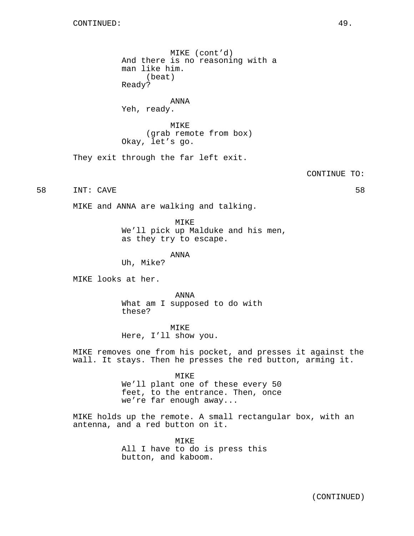MIKE (cont'd) And there is no reasoning with a man like him. (beat) Ready?

ANNA Yeh, ready.

MIKE (grab remote from box) Okay, let's go.

They exit through the far left exit.

CONTINUE TO:

58 INT: CAVE 58

MIKE and ANNA are walking and talking.

MIKE We'll pick up Malduke and his men, as they try to escape.

ANNA

Uh, Mike?

MIKE looks at her.

ANNA What am I supposed to do with these?

MIKE Here, I'll show you.

MIKE removes one from his pocket, and presses it against the wall. It stays. Then he presses the red button, arming it.

> MIKE We'll plant one of these every 50 feet, to the entrance. Then, once we're far enough away...

MIKE holds up the remote. A small rectangular box, with an antenna, and a red button on it.

> MIKE All I have to do is press this button, and kaboom.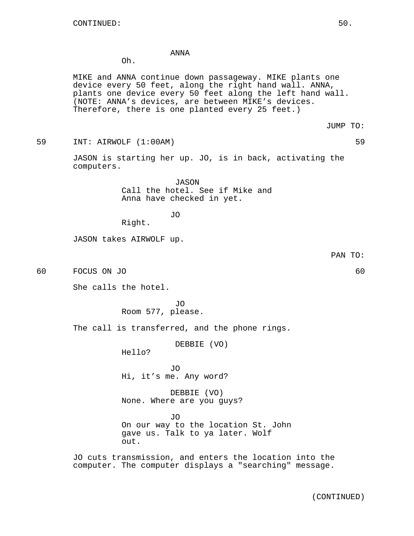## ANNA

Oh.

MIKE and ANNA continue down passageway. MIKE plants one device every 50 feet, along the right hand wall. ANNA, plants one device every 50 feet along the left hand wall. (NOTE: ANNA's devices, are between MIKE's devices. Therefore, there is one planted every 25 feet.)

JUMP TO:

59 INT: AIRWOLF (1:00AM) 59

JASON is starting her up. JO, is in back, activating the computers.

> JASON Call the hotel. See if Mike and Anna have checked in yet.

> > JO

Right.

JASON takes AIRWOLF up.

60 FOCUS ON JO 60

She calls the hotel.

JO Room 577, please.

The call is transferred, and the phone rings.

DEBBIE (VO)

Hello?

JO Hi, it's me. Any word?

DEBBIE (VO) None. Where are you guys?

JO On our way to the location St. John gave us. Talk to ya later. Wolf out.

JO cuts transmission, and enters the location into the computer. The computer displays a "searching" message.

PAN TO: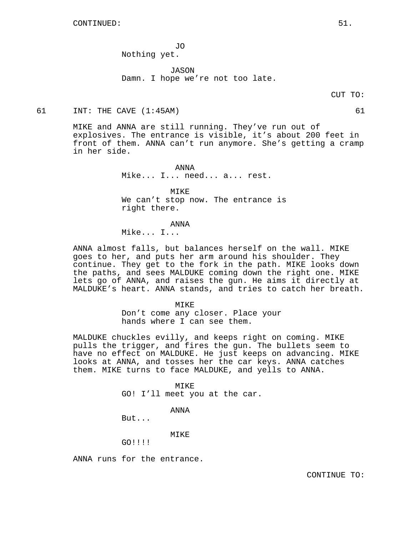JO Nothing yet.

JASON Damn. I hope we're not too late.

### 61 INT: THE CAVE (1:45AM) 61

MIKE and ANNA are still running. They've run out of explosives. The entrance is visible, it's about 200 feet in front of them. ANNA can't run anymore. She's getting a cramp in her side.

> ANNA Mike... I... need... a... rest.

MIKE We can't stop now. The entrance is right there.

ANNA

Mike... I...

ANNA almost falls, but balances herself on the wall. MIKE goes to her, and puts her arm around his shoulder. They continue. They get to the fork in the path. MIKE looks down the paths, and sees MALDUKE coming down the right one. MIKE lets go of ANNA, and raises the gun. He aims it directly at MALDUKE's heart. ANNA stands, and tries to catch her breath.

> MIKE Don't come any closer. Place your hands where I can see them.

MALDUKE chuckles evilly, and keeps right on coming. MIKE pulls the trigger, and fires the gun. The bullets seem to have no effect on MALDUKE. He just keeps on advancing. MIKE looks at ANNA, and tosses her the car keys. ANNA catches them. MIKE turns to face MALDUKE, and yells to ANNA.

### MIKE

GO! I'll meet you at the car.

#### ANNA

But...

# MIKE

GO!!!!

ANNA runs for the entrance.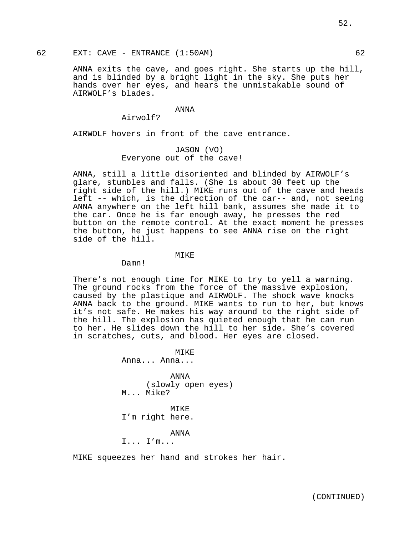62 EXT: CAVE - ENTRANCE (1:50AM) 62

ANNA exits the cave, and goes right. She starts up the hill, and is blinded by a bright light in the sky. She puts her hands over her eyes, and hears the unmistakable sound of AIRWOLF's blades.

## ANNA

Airwolf?

AIRWOLF hovers in front of the cave entrance.

# JASON (VO) Everyone out of the cave!

ANNA, still a little disoriented and blinded by AIRWOLF's glare, stumbles and falls. (She is about 30 feet up the right side of the hill.) MIKE runs out of the cave and heads left -- which, is the direction of the car-- and, not seeing ANNA anywhere on the left hill bank, assumes she made it to the car. Once he is far enough away, he presses the red button on the remote control. At the exact moment he presses the button, he just happens to see ANNA rise on the right side of the hill.

## MIKE

Damn!

There's not enough time for MIKE to try to yell a warning. The ground rocks from the force of the massive explosion, caused by the plastique and AIRWOLF. The shock wave knocks ANNA back to the ground. MIKE wants to run to her, but knows it's not safe. He makes his way around to the right side of the hill. The explosion has quieted enough that he can run to her. He slides down the hill to her side. She's covered in scratches, cuts, and blood. Her eyes are closed.

> $MTKE$ Anna... Anna...

ANNA (slowly open eyes) M... Mike?

MIKE I'm right here.

ANNA

I... I'm...

MIKE squeezes her hand and strokes her hair.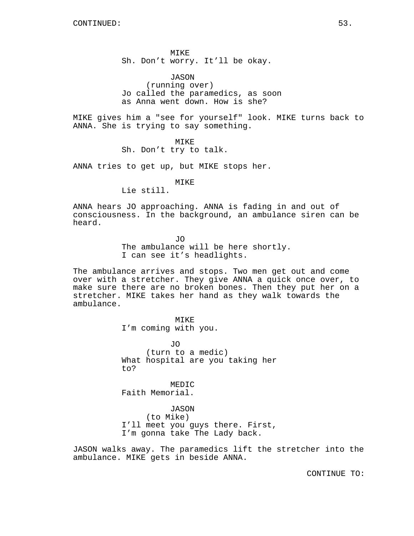MIKE Sh. Don't worry. It'll be okay.

JASON (running over) Jo called the paramedics, as soon as Anna went down. How is she?

MIKE gives him a "see for yourself" look. MIKE turns back to ANNA. She is trying to say something.

MIKE

Sh. Don't try to talk.

ANNA tries to get up, but MIKE stops her.

MIKE

Lie still.

ANNA hears JO approaching. ANNA is fading in and out of consciousness. In the background, an ambulance siren can be heard.

> JO The ambulance will be here shortly. I can see it's headlights.

The ambulance arrives and stops. Two men get out and come over with a stretcher. They give ANNA a quick once over, to make sure there are no broken bones. Then they put her on a stretcher. MIKE takes her hand as they walk towards the ambulance.

> MIKE I'm coming with you.

JO (turn to a medic) What hospital are you taking her to?

MEDIC Faith Memorial.

JASON (to Mike) I'll meet you guys there. First, I'm gonna take The Lady back.

JASON walks away. The paramedics lift the stretcher into the ambulance. MIKE gets in beside ANNA.

CONTINUE TO: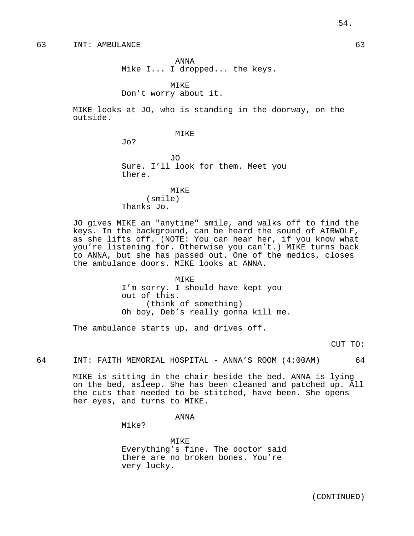63 INT: AMBULANCE 63

ANNA Mike I... I dropped... the keys.

MIKE

Don't worry about it.

MIKE looks at JO, who is standing in the doorway, on the outside.

MIKE

Jo?

JO Sure. I'll look for them. Meet you there.

MIKE (smile) Thanks Jo.

JO gives MIKE an "anytime" smile, and walks off to find the keys. In the background, can be heard the sound of AIRWOLF, as she lifts off. (NOTE: You can hear her, if you know what you're listening for. Otherwise you can't.) MIKE turns back to ANNA, but she has passed out. One of the medics, closes the ambulance doors. MIKE looks at ANNA.

> MIKE I'm sorry. I should have kept you out of this. (think of something) Oh boy, Deb's really gonna kill me.

The ambulance starts up, and drives off.

CUT TO:

64 INT: FAITH MEMORIAL HOSPITAL - ANNA'S ROOM (4:00AM) 64

MIKE is sitting in the chair beside the bed. ANNA is lying on the bed, asleep. She has been cleaned and patched up. All the cuts that needed to be stitched, have been. She opens her eyes, and turns to MIKE.

ANNA

Mike?

MIKE Everything's fine. The doctor said there are no broken bones. You're very lucky.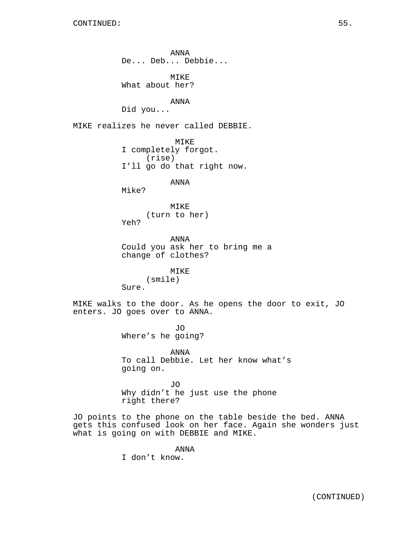ANNA De... Deb... Debbie... MIKE What about her? ANNA Did you... MIKE realizes he never called DEBBIE. MIKE I completely forgot. (rise) I'll go do that right now. ANNA Mike? MIKE (turn to her) Yeh? ANNA Could you ask her to bring me a change of clothes? MIKE (smile) Sure. MIKE walks to the door. As he opens the door to exit, JO enters. JO goes over to ANNA. JO Where's he going? ANNA To call Debbie. Let her know what's going on. JO Why didn't he just use the phone right there? JO points to the phone on the table beside the bed. ANNA gets this confused look on her face. Again she wonders just what is going on with DEBBIE and MIKE.

> ANNA I don't know.

> > (CONTINUED)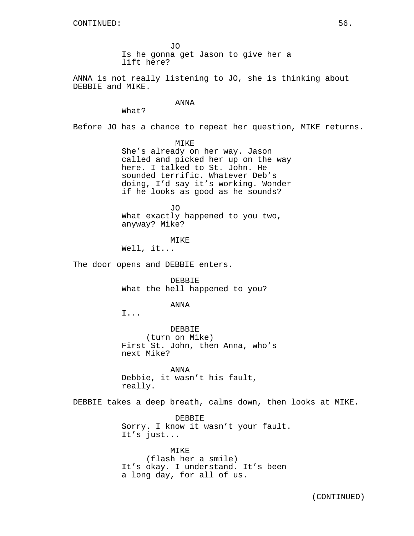JO Is he gonna get Jason to give her a lift here?

ANNA is not really listening to JO, she is thinking about DEBBIE and MIKE.

#### ANNA

What?

Before JO has a chance to repeat her question, MIKE returns.

MTKE.

She's already on her way. Jason called and picked her up on the way here. I talked to St. John. He sounded terrific. Whatever Deb's doing, I'd say it's working. Wonder if he looks as good as he sounds?

JO What exactly happened to you two, anyway? Mike?

MIKE Well, it...

The door opens and DEBBIE enters.

DEBBIE What the hell happened to you?

#### ANNA

I...

DEBBIE (turn on Mike) First St. John, then Anna, who's next Mike?

ANNA Debbie, it wasn't his fault, really.

DEBBIE takes a deep breath, calms down, then looks at MIKE.

DEBBIE Sorry. I know it wasn't your fault. It's just...

MIKE (flash her a smile) It's okay. I understand. It's been a long day, for all of us.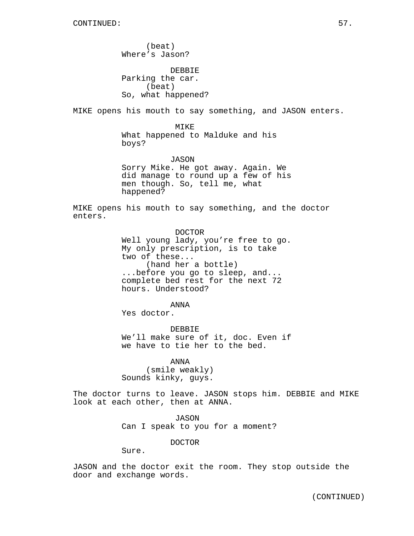(beat) Where's Jason? DEBBIE Parking the car. (beat) So, what happened? MIKE opens his mouth to say something, and JASON enters. MIKE What happened to Malduke and his boys? JASON Sorry Mike. He got away. Again. We did manage to round up a few of his men though. So, tell me, what happened? MIKE opens his mouth to say something, and the doctor enters. DOCTOR Well young lady, you're free to go. My only prescription, is to take two of these... (hand her a bottle) ...before you go to sleep, and... complete bed rest for the next 72 hours. Understood? ANNA Yes doctor.

DEBBIE We'll make sure of it, doc. Even if we have to tie her to the bed.

ANNA (smile weakly) Sounds kinky, guys.

The doctor turns to leave. JASON stops him. DEBBIE and MIKE look at each other, then at ANNA.

> JASON Can I speak to you for a moment?

> > DOCTOR

Sure.

JASON and the doctor exit the room. They stop outside the door and exchange words.

(CONTINUED)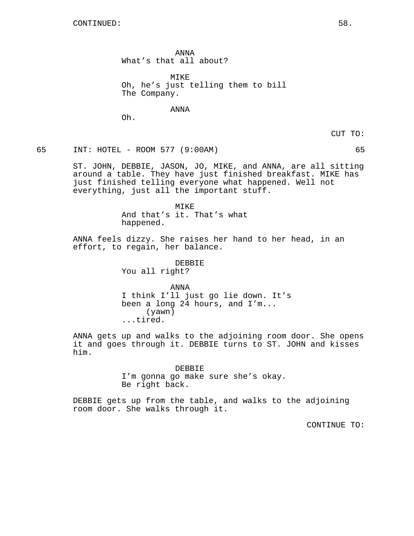ANNA What's that all about?

MIKE Oh, he's just telling them to bill The Company.

ANNA

Oh.

CUT TO:

65 INT: HOTEL - ROOM 577 (9:00AM) 65

ST. JOHN, DEBBIE, JASON, JO, MIKE, and ANNA, are all sitting around a table. They have just finished breakfast. MIKE has just finished telling everyone what happened. Well not everything, just all the important stuff.

> MIKE And that's it. That's what happened.

ANNA feels dizzy. She raises her hand to her head, in an effort, to regain, her balance.

> DEBBIE You all right?

ANNA I think I'll just go lie down. It's been a long 24 hours, and I'm... (yawn) ...tired.

ANNA gets up and walks to the adjoining room door. She opens it and goes through it. DEBBIE turns to ST. JOHN and kisses him.

DEBBIE

I'm gonna go make sure she's okay. Be right back.

DEBBIE gets up from the table, and walks to the adjoining room door. She walks through it.

CONTINUE TO: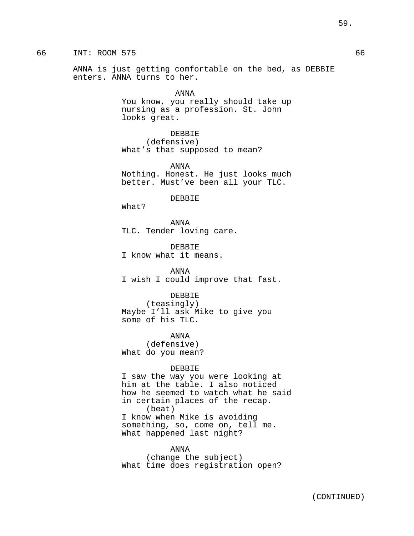ANNA is just getting comfortable on the bed, as DEBBIE enters. ANNA turns to her.

> ANNA You know, you really should take up nursing as a profession. St. John looks great.

DEBBIE (defensive) What's that supposed to mean?

ANNA Nothing. Honest. He just looks much better. Must've been all your TLC.

#### DEBBIE

What?

ANNA TLC. Tender loving care.

DEBBIE I know what it means.

ANNA I wish I could improve that fast.

### DEBBIE

(teasingly) Maybe I'll ask Mike to give you some of his TLC.

ANNA (defensive) What do you mean?

#### DEBBIE

I saw the way you were looking at him at the table. I also noticed how he seemed to watch what he said in certain places of the recap. (beat) I know when Mike is avoiding something, so, come on, tell me. What happened last night?

ANNA (change the subject) What time does registration open?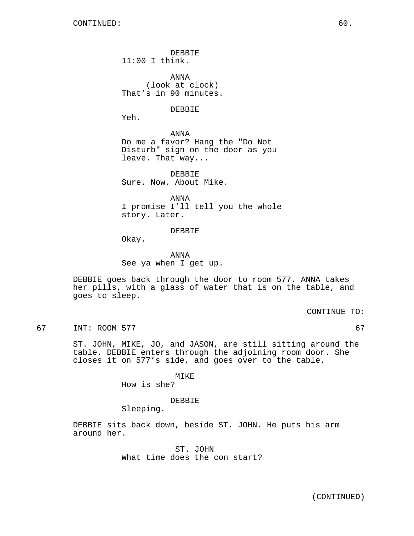DEBBIE 11:00 I think.

ANNA (look at clock) That's in 90 minutes.

## DEBBIE

Yeh.

ANNA Do me a favor? Hang the "Do Not Disturb" sign on the door as you leave. That way...

DEBBIE Sure. Now. About Mike.

ANNA I promise I'll tell you the whole story. Later.

#### DEBBIE

Okay.

ANNA See ya when I get up.

DEBBIE goes back through the door to room 577. ANNA takes her pills, with a glass of water that is on the table, and goes to sleep.

CONTINUE TO:

67 INT: ROOM 577 67

ST. JOHN, MIKE, JO, and JASON, are still sitting around the table. DEBBIE enters through the adjoining room door. She closes it on 577's side, and goes over to the table.

MIKE

How is she?

## DEBBIE

Sleeping.

DEBBIE sits back down, beside ST. JOHN. He puts his arm around her.

> ST. JOHN What time does the con start?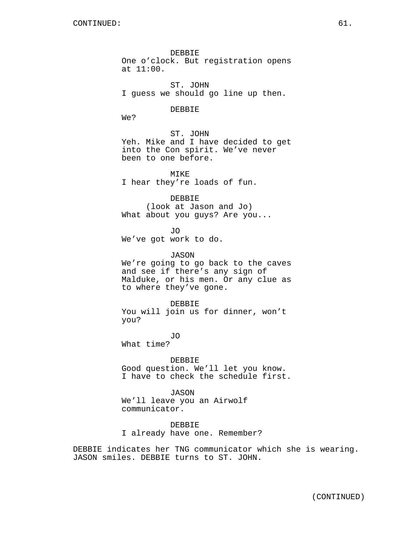DEBBIE One o'clock. But registration opens at 11:00.

ST. JOHN I guess we should go line up then.

# DEBBIE

We?

## ST. JOHN Yeh. Mike and I have decided to get

into the Con spirit. We've never been to one before.

MIKE I hear they're loads of fun.

## DEBBIE

(look at Jason and Jo) What about you guys? Are you...

JO We've got work to do.

#### JASON

We're going to go back to the caves and see if there's any sign of Malduke, or his men. Or any clue as to where they've gone.

DEBBIE

You will join us for dinner, won't you?

JO What time?

DEBBIE Good question. We'll let you know. I have to check the schedule first.

JASON We'll leave you an Airwolf communicator.

DEBBIE I already have one. Remember?

DEBBIE indicates her TNG communicator which she is wearing. JASON smiles. DEBBIE turns to ST. JOHN.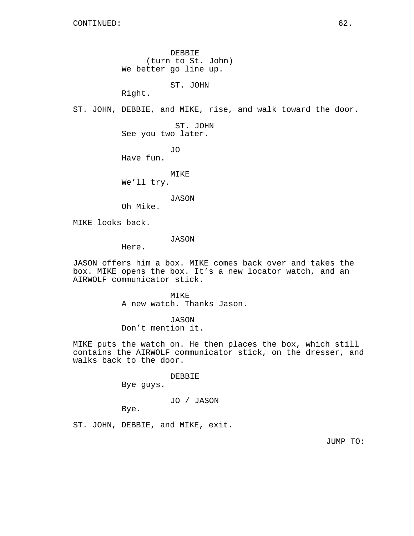DEBBIE (turn to St. John) We better go line up.

ST. JOHN

Right.

ST. JOHN, DEBBIE, and MIKE, rise, and walk toward the door.

ST. JOHN See you two later.

JO Have fun.

MIKE

We'll try.

JASON

Oh Mike.

MIKE looks back.

JASON

Here.

JASON offers him a box. MIKE comes back over and takes the box. MIKE opens the box. It's a new locator watch, and an AIRWOLF communicator stick.

> MTKE<sup>®</sup> A new watch. Thanks Jason.

JASON Don't mention it.

MIKE puts the watch on. He then places the box, which still

contains the AIRWOLF communicator stick, on the dresser, and walks back to the door.

DEBBIE

Bye guys.

# JO / JASON

Bye.

ST. JOHN, DEBBIE, and MIKE, exit.

JUMP TO: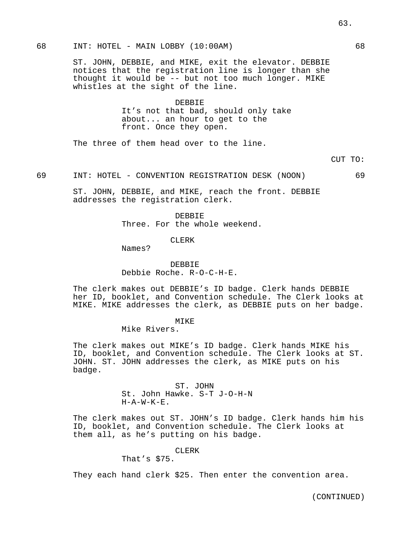### 68 INT: HOTEL - MAIN LOBBY (10:00AM) 68

ST. JOHN, DEBBIE, and MIKE, exit the elevator. DEBBIE notices that the registration line is longer than she thought it would be -- but not too much longer. MIKE whistles at the sight of the line.

# DEBBIE It's not that bad, should only take about... an hour to get to the front. Once they open.

The three of them head over to the line.

CUT TO:

69 INT: HOTEL - CONVENTION REGISTRATION DESK (NOON) 69

ST. JOHN, DEBBIE, and MIKE, reach the front. DEBBIE addresses the registration clerk.

> DEBBIE Three. For the whole weekend.

#### CLERK

Names?

DEBBIE Debbie Roche. R-O-C-H-E.

The clerk makes out DEBBIE's ID badge. Clerk hands DEBBIE her ID, booklet, and Convention schedule. The Clerk looks at MIKE. MIKE addresses the clerk, as DEBBIE puts on her badge.

#### MTK<sub>E</sub>

Mike Rivers.

The clerk makes out MIKE's ID badge. Clerk hands MIKE his ID, booklet, and Convention schedule. The Clerk looks at ST. JOHN. ST. JOHN addresses the clerk, as MIKE puts on his badge.

> ST. JOHN St. John Hawke. S-T J-O-H-N  $H - A - W - K - E$ .

The clerk makes out ST. JOHN's ID badge. Clerk hands him his ID, booklet, and Convention schedule. The Clerk looks at them all, as he's putting on his badge.

## CLERK

That's \$75.

They each hand clerk \$25. Then enter the convention area.

63.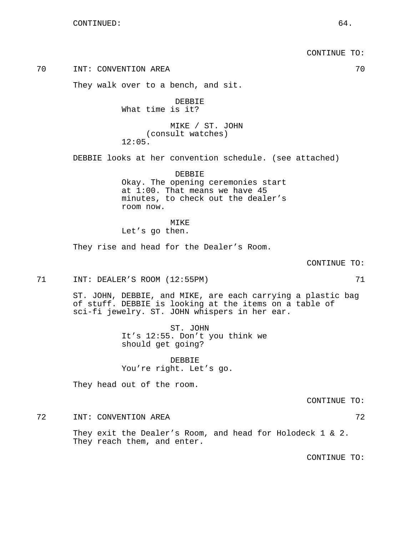CONTINUE TO:

70 INT: CONVENTION AREA 70

They walk over to a bench, and sit.

DEBBIE What time is it?

MIKE / ST. JOHN (consult watches) 12:05.

DEBBIE looks at her convention schedule. (see attached)

DEBBIE Okay. The opening ceremonies start at 1:00. That means we have 45 minutes, to check out the dealer's room now.

MIKE Let's go then.

They rise and head for the Dealer's Room.

#### CONTINUE TO:

71 INT: DEALER'S ROOM (12:55PM) 71

ST. JOHN, DEBBIE, and MIKE, are each carrying a plastic bag of stuff. DEBBIE is looking at the items on a table of sci-fi jewelry. ST. JOHN whispers in her ear.

> ST. JOHN It's 12:55. Don't you think we should get going?

DEBBIE You're right. Let's go.

They head out of the room.

CONTINUE TO:

72 INT: CONVENTION AREA

They exit the Dealer's Room, and head for Holodeck 1 & 2. They reach them, and enter.

CONTINUE TO: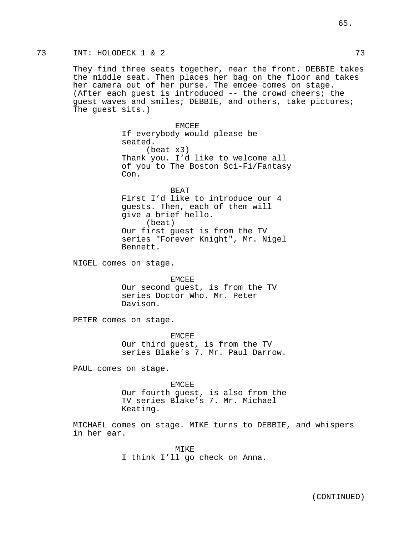They find three seats together, near the front. DEBBIE takes the middle seat. Then places her bag on the floor and takes her camera out of her purse. The emcee comes on stage. (After each guest is introduced -- the crowd cheers; the guest waves and smiles; DEBBIE, and others, take pictures; The guest sits.)

> EMCEE If everybody would please be seated. (beat x3) Thank you. I'd like to welcome all of you to The Boston Sci-Fi/Fantasy Con.

BEAT First I'd like to introduce our 4 guests. Then, each of them will give a brief hello. (beat) Our first guest is from the TV series "Forever Knight", Mr. Nigel Bennett.

NIGEL comes on stage.

EMCEE Our second guest, is from the TV series Doctor Who. Mr. Peter Davison.

PETER comes on stage.

EMCEE Our third guest, is from the TV series Blake's 7. Mr. Paul Darrow.

PAUL comes on stage.

EMCEE Our fourth guest, is also from the TV series Blake's 7. Mr. Michael Keating.

MICHAEL comes on stage. MIKE turns to DEBBIE, and whispers in her ear.

> MIKE I think I'll go check on Anna.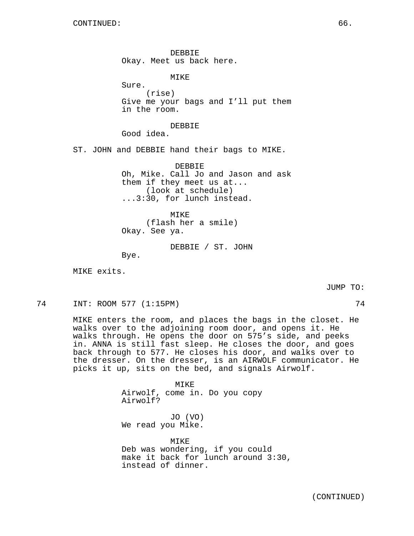DEBBIE Okay. Meet us back here.

MIKE

Sure. (rise) Give me your bags and I'll put them in the room.

DEBBIE

Good idea.

ST. JOHN and DEBBIE hand their bags to MIKE.

DEBBIE Oh, Mike. Call Jo and Jason and ask them if they meet us at... (look at schedule) ...3:30, for lunch instead.

MIKE (flash her a smile) Okay. See ya.

DEBBIE / ST. JOHN

Bye.

MIKE exits.

JUMP TO:

74 INT: ROOM 577 (1:15PM) 74

MIKE enters the room, and places the bags in the closet. He walks over to the adjoining room door, and opens it. He walks through. He opens the door on 575's side, and peeks in. ANNA is still fast sleep. He closes the door, and goes back through to 577. He closes his door, and walks over to the dresser. On the dresser, is an AIRWOLF communicator. He picks it up, sits on the bed, and signals Airwolf.

> MIKE Airwolf, come in. Do you copy Airwolf? JO (VO) We read you Mike.

MIKE Deb was wondering, if you could make it back for lunch around 3:30, instead of dinner.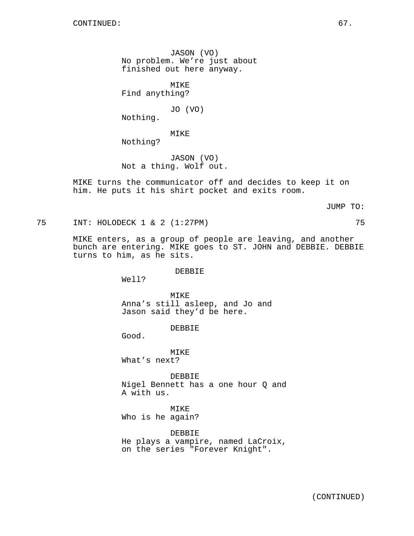JASON (VO) No problem. We're just about finished out here anyway.

MIKE Find anything?

JO (VO)

Nothing.

MIKE

Nothing?

JASON (VO) Not a thing. Wolf out.

MIKE turns the communicator off and decides to keep it on him. He puts it his shirt pocket and exits room.

JUMP TO:

75 INT: HOLODECK 1 & 2 (1:27PM) 75

MIKE enters, as a group of people are leaving, and another bunch are entering. MIKE goes to ST. JOHN and DEBBIE. DEBBIE turns to him, as he sits.

## DEBBIE

Well?

MTK<sub>E</sub> Anna's still asleep, and Jo and Jason said they'd be here.

DEBBIE

Good.

MIKE What's next?

DEBBIE Nigel Bennett has a one hour Q and A with us.

MIKE Who is he again?

DEBBIE He plays a vampire, named LaCroix, on the series "Forever Knight".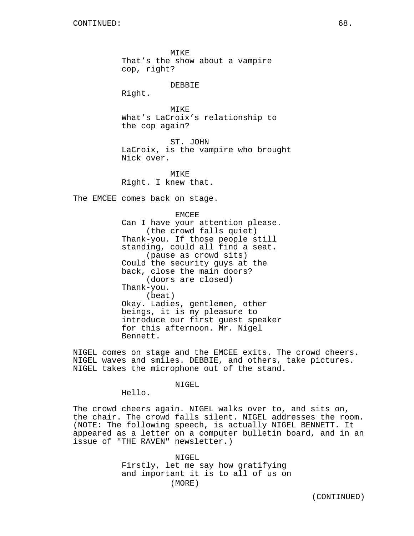MIKE That's the show about a vampire cop, right?

#### DEBBIE

Right.

**MTKE** What's LaCroix's relationship to the cop again?

ST. JOHN LaCroix, is the vampire who brought Nick over.

MTK<sub>E</sub> Right. I knew that.

The EMCEE comes back on stage.

EMCEE Can I have your attention please. (the crowd falls quiet) Thank-you. If those people still standing, could all find a seat. (pause as crowd sits) Could the security guys at the back, close the main doors? (doors are closed) Thank-you. (beat) Okay. Ladies, gentlemen, other beings, it is my pleasure to introduce our first guest speaker for this afternoon. Mr. Nigel Bennett.

NIGEL comes on stage and the EMCEE exits. The crowd cheers. NIGEL waves and smiles. DEBBIE, and others, take pictures. NIGEL takes the microphone out of the stand.

## NIGEL.

Hello.

The crowd cheers again. NIGEL walks over to, and sits on, the chair. The crowd falls silent. NIGEL addresses the room. (NOTE: The following speech, is actually NIGEL BENNETT. It appeared as a letter on a computer bulletin board, and in an issue of "THE RAVEN" newsletter.)

> NIGEL Firstly, let me say how gratifying and important it is to all of us on (MORE)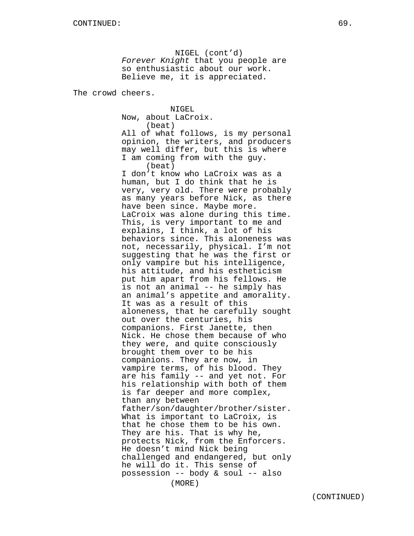NIGEL (cont'd) Forever Knight that you people are so enthusiastic about our work. Believe me, it is appreciated.

The crowd cheers.

NIGEL Now, about LaCroix. (beat) All of what follows, is my personal opinion, the writers, and producers may well differ, but this is where I am coming from with the guy. (beat) I don't know who LaCroix was as a human, but I do think that he is very, very old. There were probably as many years before Nick, as there have been since. Maybe more. LaCroix was alone during this time. This, is very important to me and explains, I think, a lot of his behaviors since. This aloneness was not, necessarily, physical. I'm not suggesting that he was the first or only vampire but his intelligence, his attitude, and his estheticism put him apart from his fellows. He is not an animal -- he simply has an animal's appetite and amorality. It was as a result of this aloneness, that he carefully sought out over the centuries, his companions. First Janette, then Nick. He chose them because of who they were, and quite consciously brought them over to be his companions. They are now, in vampire terms, of his blood. They are his family -- and yet not. For his relationship with both of them is far deeper and more complex, than any between father/son/daughter/brother/sister. What is important to LaCroix, is that he chose them to be his own. They are his. That is why he, protects Nick, from the Enforcers. He doesn't mind Nick being challenged and endangered, but only he will do it. This sense of possession -- body & soul -- also (MORE)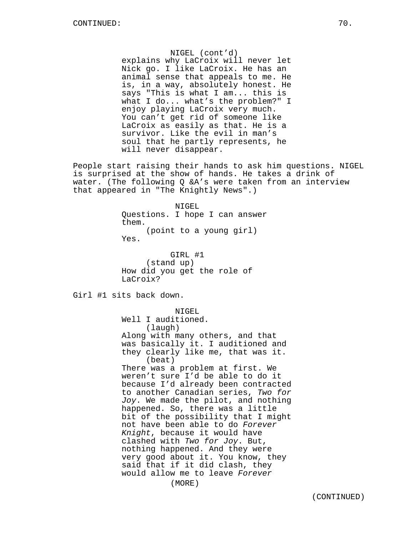NIGEL (cont'd) explains why LaCroix will never let Nick go. I like LaCroix. He has an animal sense that appeals to me. He is, in a way, absolutely honest. He says "This is what I am... this is what I do... what's the problem?" I enjoy playing LaCroix very much. You can't get rid of someone like LaCroix as easily as that. He is a survivor. Like the evil in man's soul that he partly represents, he will never disappear.

People start raising their hands to ask him questions. NIGEL is surprised at the show of hands. He takes a drink of water. (The following Q &A's were taken from an interview that appeared in "The Knightly News".)

> NIGEL Questions. I hope I can answer them. (point to a young girl) Yes.

GIRL #1 (stand up) How did you get the role of LaCroix?

Girl #1 sits back down.

NIGEL Well I auditioned. (laugh) Along with many others, and that was basically it. I auditioned and they clearly like me, that was it. (beat) There was a problem at first. We weren't sure I'd be able to do it because I'd already been contracted to another Canadian series, Two for Joy. We made the pilot, and nothing happened. So, there was a little bit of the possibility that I might not have been able to do Forever Knight, because it would have clashed with Two for Joy. But, nothing happened. And they were very good about it. You know, they said that if it did clash, they would allow me to leave Forever (MORE)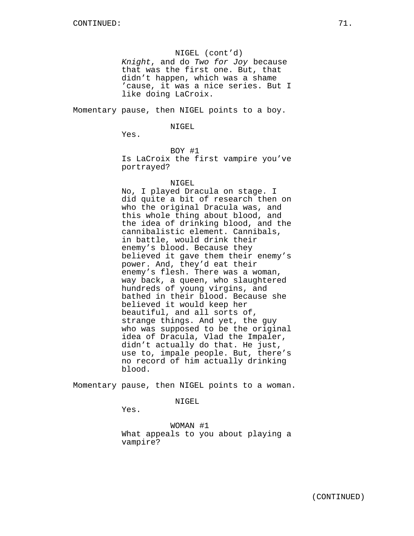## NIGEL (cont'd)

Knight, and do Two for Joy because that was the first one. But, that didn't happen, which was a shame 'cause, it was a nice series. But I like doing LaCroix.

Momentary pause, then NIGEL points to a boy.

#### NIGEL

Yes.

BOY #1

Is LaCroix the first vampire you've portrayed?

#### NIGEL

No, I played Dracula on stage. I did quite a bit of research then on who the original Dracula was, and this whole thing about blood, and the idea of drinking blood, and the cannibalistic element. Cannibals, in battle, would drink their enemy's blood. Because they believed it gave them their enemy's power. And, they'd eat their enemy's flesh. There was a woman, way back, a queen, who slaughtered hundreds of young virgins, and bathed in their blood. Because she believed it would keep her beautiful, and all sorts of, strange things. And yet, the guy who was supposed to be the original idea of Dracula, Vlad the Impaler, didn't actually do that. He just, use to, impale people. But, there's no record of him actually drinking blood.

Momentary pause, then NIGEL points to a woman.

#### NIGEL

Yes.

WOMAN #1 What appeals to you about playing a vampire?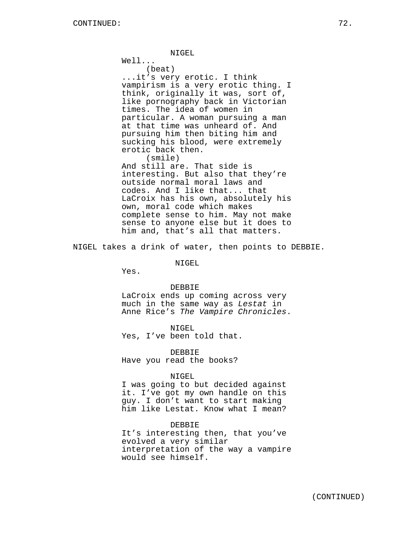Well...

(beat) ...it's very erotic. I think vampirism is a very erotic thing. I think, originally it was, sort of, like pornography back in Victorian times. The idea of women in particular. A woman pursuing a man at that time was unheard of. And pursuing him then biting him and sucking his blood, were extremely erotic back then. (smile)

And still are. That side is interesting. But also that they're outside normal moral laws and codes. And I like that... that LaCroix has his own, absolutely his own, moral code which makes complete sense to him. May not make sense to anyone else but it does to him and, that's all that matters.

NIGEL takes a drink of water, then points to DEBBIE.

NIGEL

Yes.

#### DEBBIE

LaCroix ends up coming across very much in the same way as Lestat in Anne Rice's The Vampire Chronicles.

NIGEL Yes, I've been told that.

DEBBIE Have you read the books?

#### NIGEL

I was going to but decided against it. I've got my own handle on this guy. I don't want to start making him like Lestat. Know what I mean?

#### DEBBIE

It's interesting then, that you've evolved a very similar interpretation of the way a vampire would see himself.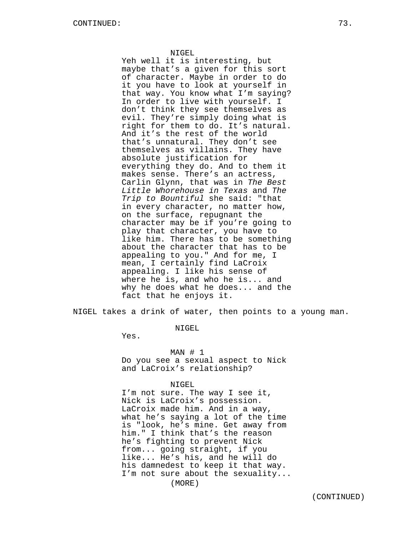Yeh well it is interesting, but maybe that's a given for this sort of character. Maybe in order to do it you have to look at yourself in that way. You know what I'm saying? In order to live with yourself. I don't think they see themselves as evil. They're simply doing what is right for them to do. It's natural. And it's the rest of the world that's unnatural. They don't see themselves as villains. They have absolute justification for everything they do. And to them it makes sense. There's an actress, Carlin Glynn, that was in The Best Little Whorehouse in Texas and The Trip to Bountiful she said: "that in every character, no matter how, on the surface, repugnant the character may be if you're going to play that character, you have to like him. There has to be something about the character that has to be appealing to you." And for me, I mean, I certainly find LaCroix appealing. I like his sense of where he is, and who he is... and why he does what he does... and the fact that he enjoys it.

NIGEL takes a drink of water, then points to a young man.

NIGEL

Yes.

MAN # 1 Do you see a sexual aspect to Nick and LaCroix's relationship?

### NIGEL

I'm not sure. The way I see it, Nick is LaCroix's possession. LaCroix made him. And in a way, what he's saying a lot of the time is "look, he's mine. Get away from him." I think that's the reason he's fighting to prevent Nick from... going straight, if you like... He's his, and he will do his damnedest to keep it that way. I'm not sure about the sexuality... (MORE)

(CONTINUED)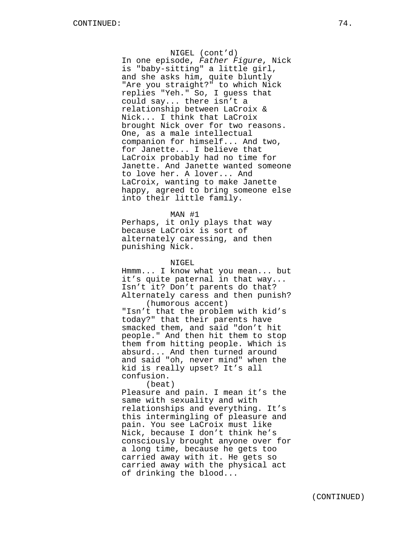NIGEL (cont'd) In one episode, Father Figure, Nick is "baby-sitting" a little girl, and she asks him, quite bluntly "Are you straight?" to which Nick replies "Yeh." So, I guess that could say... there isn't a relationship between LaCroix & Nick... I think that LaCroix brought Nick over for two reasons. One, as a male intellectual companion for himself... And two, for Janette... I believe that LaCroix probably had no time for Janette. And Janette wanted someone to love her. A lover... And LaCroix, wanting to make Janette happy, agreed to bring someone else into their little family.

#### MAN #1

Perhaps, it only plays that way because LaCroix is sort of alternately caressing, and then punishing Nick.

#### NIGEL

Hmmm... I know what you mean... but it's quite paternal in that way... Isn't it? Don't parents do that? Alternately caress and then punish? (humorous accent)

"Isn't that the problem with kid's today?" that their parents have smacked them, and said "don't hit people." And then hit them to stop them from hitting people. Which is absurd... And then turned around and said "oh, never mind" when the kid is really upset? It's all confusion.

(beat) Pleasure and pain. I mean it's the same with sexuality and with relationships and everything. It's this intermingling of pleasure and pain. You see LaCroix must like Nick, because I don't think he's consciously brought anyone over for a long time, because he gets too carried away with it. He gets so carried away with the physical act of drinking the blood...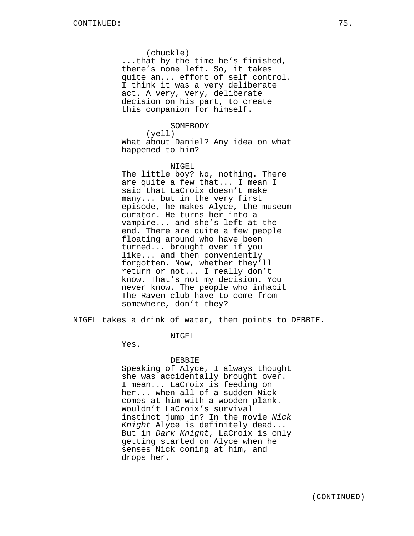(chuckle)

...that by the time he's finished, there's none left. So, it takes quite an... effort of self control. I think it was a very deliberate act. A very, very, deliberate decision on his part, to create this companion for himself.

### SOMEBODY

(yell) What about Daniel? Any idea on what happened to him?

# NIGEL

The little boy? No, nothing. There are quite a few that... I mean I said that LaCroix doesn't make many... but in the very first episode, he makes Alyce, the museum curator. He turns her into a vampire... and she's left at the end. There are quite a few people floating around who have been turned... brought over if you like... and then conveniently forgotten. Now, whether they'll return or not... I really don't know. That's not my decision. You never know. The people who inhabit The Raven club have to come from somewhere, don't they?

NIGEL takes a drink of water, then points to DEBBIE.

NIGEL

Yes.

### DEBBIE

Speaking of Alyce, I always thought she was accidentally brought over. I mean... LaCroix is feeding on her... when all of a sudden Nick comes at him with a wooden plank. Wouldn't LaCroix's survival instinct jump in? In the movie Nick Knight Alyce is definitely dead... But in Dark Knight, LaCroix is only getting started on Alyce when he senses Nick coming at him, and drops her.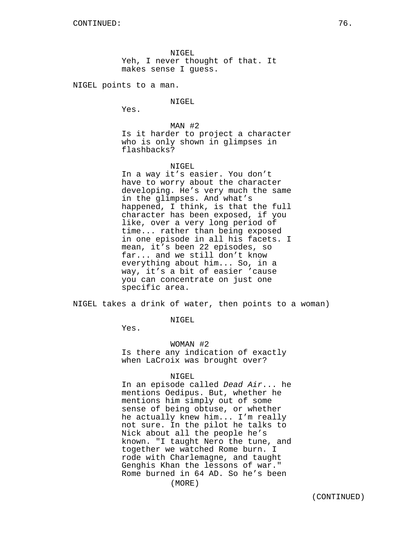NIGEL Yeh, I never thought of that. It makes sense I guess.

NIGEL points to a man.

NIGEL

Yes.

MAN #2 Is it harder to project a character who is only shown in glimpses in flashbacks?

### NIGEL

In a way it's easier. You don't have to worry about the character developing. He's very much the same in the glimpses. And what's happened, I think, is that the full character has been exposed, if you like, over a very long period of time... rather than being exposed in one episode in all his facets. I mean, it's been 22 episodes, so far... and we still don't know everything about him... So, in a way, it's a bit of easier 'cause you can concentrate on just one specific area.

NIGEL takes a drink of water, then points to a woman)

# NIGEL

Yes.

WOMAN #2 Is there any indication of exactly when LaCroix was brought over?

### NIGEL

In an episode called Dead Air... he mentions Oedipus. But, whether he mentions him simply out of some sense of being obtuse, or whether he actually knew him... I'm really not sure. In the pilot he talks to Nick about all the people he's known. "I taught Nero the tune, and together we watched Rome burn. I rode with Charlemagne, and taught Genghis Khan the lessons of war." Rome burned in 64 AD. So he's been (MORE)

(CONTINUED)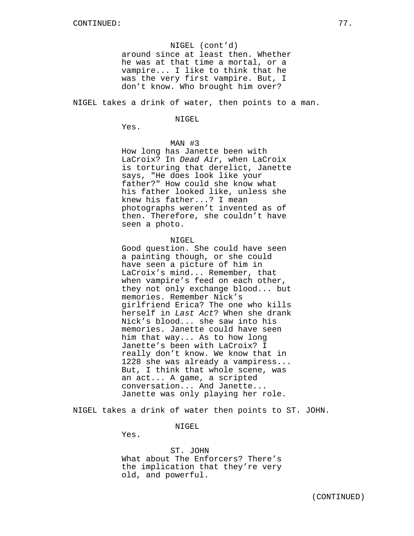### NIGEL (cont'd)

around since at least then. Whether he was at that time a mortal, or a vampire... I like to think that he was the very first vampire. But, I don't know. Who brought him over?

NIGEL takes a drink of water, then points to a man.

#### NIGEL

Yes.

### MAN #3

How long has Janette been with LaCroix? In Dead Air, when LaCroix is torturing that derelict, Janette says, "He does look like your father?" How could she know what his father looked like, unless she knew his father...? I mean photographs weren't invented as of then. Therefore, she couldn't have seen a photo.

### NIGEL

Good question. She could have seen a painting though, or she could have seen a picture of him in LaCroix's mind... Remember, that when vampire's feed on each other, they not only exchange blood... but memories. Remember Nick's girlfriend Erica? The one who kills herself in Last Act? When she drank Nick's blood... she saw into his memories. Janette could have seen him that way... As to how long Janette's been with LaCroix? I really don't know. We know that in 1228 she was already a vampiress... But, I think that whole scene, was an act... A game, a scripted conversation... And Janette... Janette was only playing her role.

NIGEL takes a drink of water then points to ST. JOHN.

#### NIGEL

Yes.

ST. JOHN What about The Enforcers? There's the implication that they're very old, and powerful.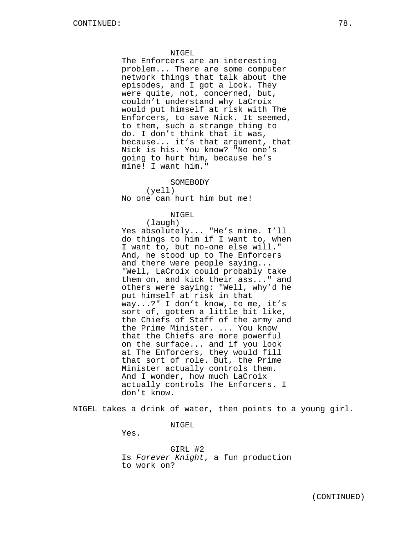The Enforcers are an interesting problem... There are some computer network things that talk about the episodes, and I got a look. They were quite, not, concerned, but, couldn't understand why LaCroix would put himself at risk with The Enforcers, to save Nick. It seemed, to them, such a strange thing to do. I don't think that it was, because... it's that argument, that Nick is his. You know? "No one's going to hurt him, because he's mine! I want him."

SOMEBODY

(yell) No one can hurt him but me!

NIGEL

(laugh) Yes absolutely... "He's mine. I'll do things to him if I want to, when I want to, but no-one else will." And, he stood up to The Enforcers and there were people saying... "Well, LaCroix could probably take them on, and kick their ass..." and others were saying: "Well, why'd he put himself at risk in that way...?" I don't know, to me, it's sort of, gotten a little bit like, the Chiefs of Staff of the army and the Prime Minister. ... You know that the Chiefs are more powerful on the surface... and if you look at The Enforcers, they would fill that sort of role. But, the Prime Minister actually controls them. And I wonder, how much LaCroix actually controls The Enforcers. I don't know.

NIGEL takes a drink of water, then points to a young girl.

NIGEL

Yes.

GIRL #2 Is Forever Knight, a fun production to work on?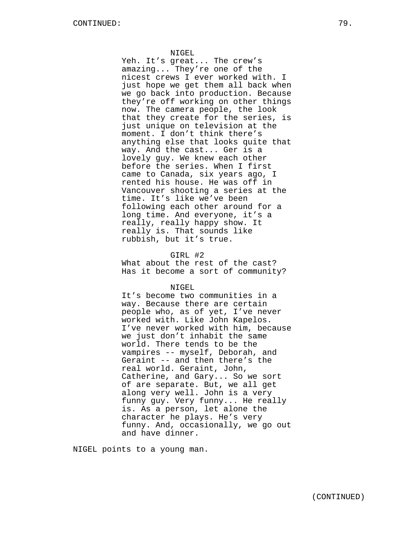Yeh. It's great... The crew's amazing... They're one of the nicest crews I ever worked with. I just hope we get them all back when we go back into production. Because they're off working on other things now. The camera people, the look that they create for the series, is just unique on television at the moment. I don't think there's anything else that looks quite that way. And the cast... Ger is a lovely guy. We knew each other before the series. When I first came to Canada, six years ago, I rented his house. He was off in Vancouver shooting a series at the time. It's like we've been following each other around for a long time. And everyone, it's a really, really happy show. It really is. That sounds like rubbish, but it's true.

## GIRL #2

What about the rest of the cast? Has it become a sort of community?

NIGEL

It's become two communities in a way. Because there are certain people who, as of yet, I've never worked with. Like John Kapelos. I've never worked with him, because we just don't inhabit the same world. There tends to be the vampires -- myself, Deborah, and Geraint -- and then there's the real world. Geraint, John, Catherine, and Gary... So we sort of are separate. But, we all get along very well. John is a very funny guy. Very funny... He really is. As a person, let alone the character he plays. He's very funny. And, occasionally, we go out and have dinner.

NIGEL points to a young man.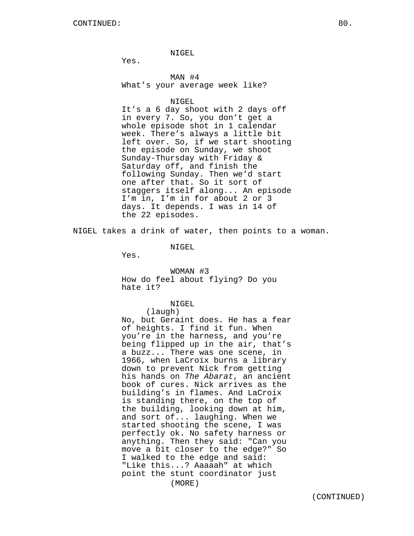Yes.

MAN #4 What's your average week like?

NIGEL

It's a 6 day shoot with 2 days off in every 7. So, you don't get a whole episode shot in 1 calendar week. There's always a little bit left over. So, if we start shooting the episode on Sunday, we shoot Sunday-Thursday with Friday & Saturday off, and finish the following Sunday. Then we'd start one after that. So it sort of staggers itself along... An episode I'm in, I'm in for about 2 or 3 days. It depends. I was in 14 of the 22 episodes.

NIGEL takes a drink of water, then points to a woman.

NIGEL.

Yes.

WOMAN #3 How do feel about flying? Do you hate it?

NIGEL

(laugh) No, but Geraint does. He has a fear of heights. I find it fun. When you're in the harness, and you're being flipped up in the air, that's a buzz... There was one scene, in 1966, when LaCroix burns a library down to prevent Nick from getting his hands on The Abarat, an ancient book of cures. Nick arrives as the building's in flames. And LaCroix is standing there, on the top of the building, looking down at him, and sort of... laughing. When we started shooting the scene, I was perfectly ok. No safety harness or anything. Then they said: "Can you move a bit closer to the edge?" So I walked to the edge and said: "Like this...? Aaaaah" at which point the stunt coordinator just (MORE)

(CONTINUED)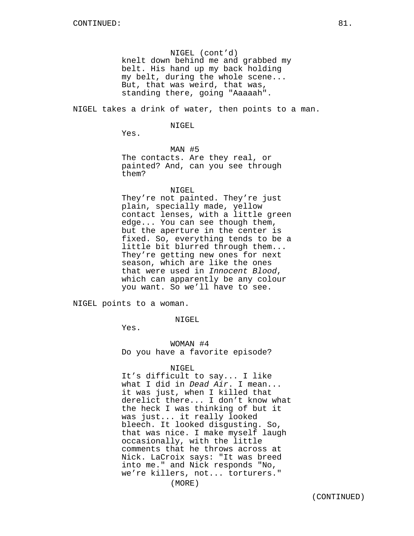NIGEL (cont'd) knelt down behind me and grabbed my belt. His hand up my back holding my belt, during the whole scene... But, that was weird, that was, standing there, going "Aaaaah".

NIGEL takes a drink of water, then points to a man.

#### NIGEL.

Yes.

MAN #5 The contacts. Are they real, or painted? And, can you see through them?

NIGEL

They're not painted. They're just plain, specially made, yellow contact lenses, with a little green edge... You can see though them, but the aperture in the center is fixed. So, everything tends to be a little bit blurred through them... They're getting new ones for next season, which are like the ones that were used in Innocent Blood, which can apparently be any colour you want. So we'll have to see.

NIGEL points to a woman.

NIGEL

Yes.

WOMAN #4 Do you have a favorite episode?

#### NIGEL

It's difficult to say... I like what I did in *Dead Air*. I mean... it was just, when I killed that derelict there... I don't know what the heck I was thinking of but it was just... it really looked bleech. It looked disgusting. So, that was nice. I make myself laugh occasionally, with the little comments that he throws across at Nick. LaCroix says: "It was breed into me." and Nick responds "No, we're killers, not... torturers."

(MORE)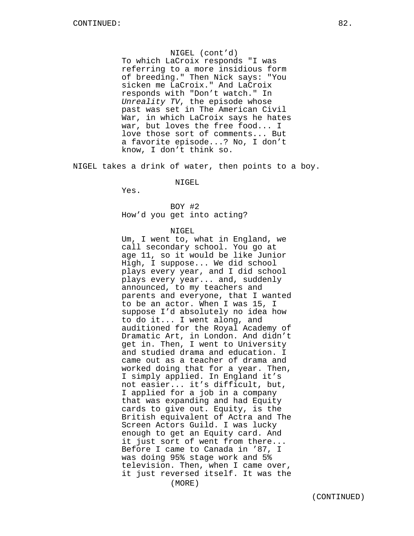NIGEL (cont'd) To which LaCroix responds "I was referring to a more insidious form of breeding." Then Nick says: "You sicken me LaCroix." And LaCroix responds with "Don't watch." In Unreality TV, the episode whose past was set in The American Civil War, in which LaCroix says he hates war, but loves the free food... I love those sort of comments... But a favorite episode...? No, I don't know, I don't think so.

NIGEL takes a drink of water, then points to a boy.

NIGEL

Yes.

BOY #2 How'd you get into acting?

# NIGEL

Um, I went to, what in England, we call secondary school. You go at age 11, so it would be like Junior High, I suppose... We did school plays every year, and I did school plays every year... and, suddenly announced, to my teachers and parents and everyone, that I wanted to be an actor. When I was 15, I suppose I'd absolutely no idea how to do it... I went along, and auditioned for the Royal Academy of Dramatic Art, in London. And didn't get in. Then, I went to University and studied drama and education. I came out as a teacher of drama and worked doing that for a year. Then, I simply applied. In England it's not easier... it's difficult, but, I applied for a job in a company that was expanding and had Equity cards to give out. Equity, is the British equivalent of Actra and The Screen Actors Guild. I was lucky enough to get an Equity card. And it just sort of went from there... Before I came to Canada in '87, I was doing 95% stage work and 5% television. Then, when I came over, it just reversed itself. It was the (MORE)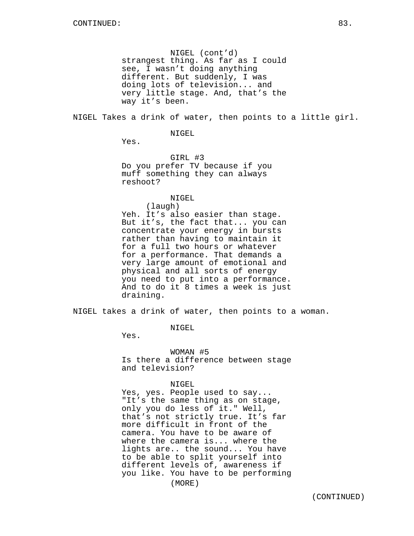NIGEL (cont'd) strangest thing. As far as I could see, I wasn't doing anything different. But suddenly, I was doing lots of television... and very little stage. And, that's the way it's been.

NIGEL Takes a drink of water, then points to a little girl.

NIGEL

Yes.

GIRL #3 Do you prefer TV because if you muff something they can always reshoot?

NIGEL

(laugh) Yeh. It's also easier than stage. But it's, the fact that... you can concentrate your energy in bursts rather than having to maintain it for a full two hours or whatever for a performance. That demands a very large amount of emotional and physical and all sorts of energy you need to put into a performance. And to do it 8 times a week is just draining.

NIGEL takes a drink of water, then points to a woman.

NIGEL

Yes.

WOMAN #5 Is there a difference between stage and television?

NIGEL

Yes, yes. People used to say... "It's the same thing as on stage, only you do less of it." Well, that's not strictly true. It's far more difficult in front of the camera. You have to be aware of where the camera is... where the lights are.. the sound... You have to be able to split yourself into different levels of, awareness if you like. You have to be performing (MORE)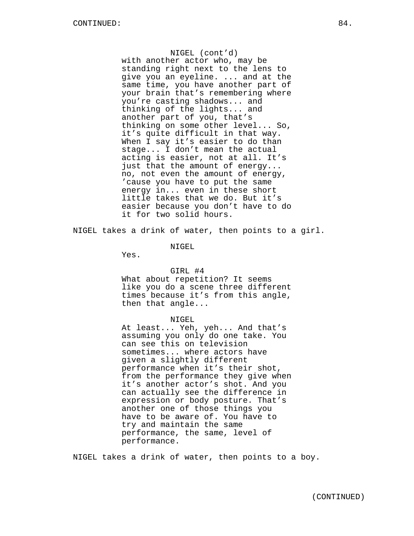NIGEL (cont'd) with another actor who, may be standing right next to the lens to give you an eyeline. ... and at the same time, you have another part of your brain that's remembering where you're casting shadows... and thinking of the lights... and another part of you, that's thinking on some other level... So, it's quite difficult in that way. When I say it's easier to do than stage... I don't mean the actual acting is easier, not at all. It's just that the amount of energy... no, not even the amount of energy, 'cause you have to put the same energy in... even in these short little takes that we do. But it's easier because you don't have to do it for two solid hours.

NIGEL takes a drink of water, then points to a girl.

NIGEL

Yes.

## GIRL #4

What about repetition? It seems like you do a scene three different times because it's from this angle, then that angle...

# NIGEL

At least... Yeh, yeh... And that's assuming you only do one take. You can see this on television sometimes... where actors have given a slightly different performance when it's their shot, from the performance they give when it's another actor's shot. And you can actually see the difference in expression or body posture. That's another one of those things you have to be aware of. You have to try and maintain the same performance, the same, level of performance.

NIGEL takes a drink of water, then points to a boy.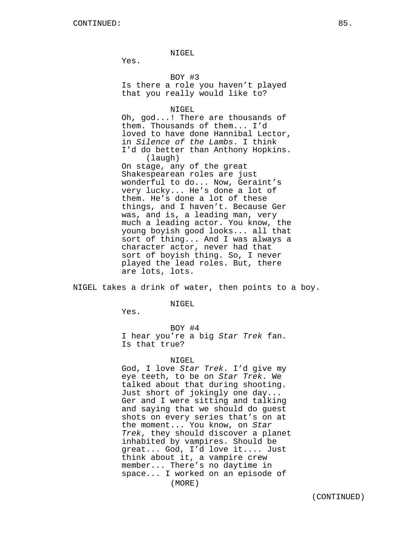Yes.

BOY #3 Is there a role you haven't played that you really would like to?

NIGEL

Oh, god...! There are thousands of them. Thousands of them... I'd loved to have done Hannibal Lector, in Silence of the Lambs. I think I'd do better than Anthony Hopkins. (laugh) On stage, any of the great Shakespearean roles are just wonderful to do... Now, Geraint's very lucky... He's done a lot of them. He's done a lot of these things, and I haven't. Because Ger was, and is, a leading man, very much a leading actor. You know, the young boyish good looks... all that sort of thing... And I was always a character actor, never had that sort of boyish thing. So, I never played the lead roles. But, there are lots, lots.

NIGEL takes a drink of water, then points to a boy.

NIGEL

Yes.

BOY #4 I hear you're a big Star Trek fan. Is that true?

## NIGEL

God, I love Star Trek. I'd give my eye teeth, to be on Star Trek. We talked about that during shooting. Just short of jokingly one day... Ger and I were sitting and talking and saying that we should do guest shots on every series that's on at the moment... You know, on Star Trek, they should discover a planet inhabited by vampires. Should be great... God, I'd love it.... Just think about it, a vampire crew member... There's no daytime in space... I worked on an episode of (MORE)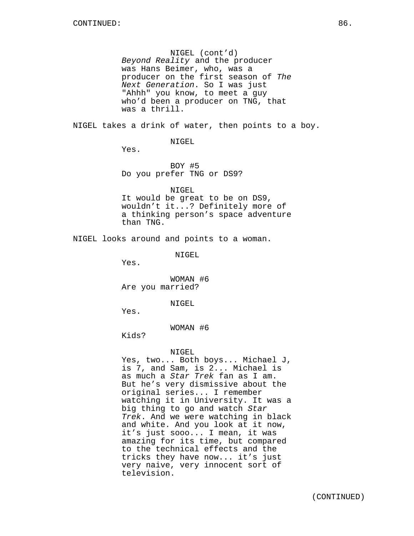NIGEL (cont'd) Beyond Reality and the producer was Hans Beimer, who, was a producer on the first season of The Next Generation. So I was just "Ahhh" you know, to meet a guy who'd been a producer on TNG, that was a thrill.

NIGEL takes a drink of water, then points to a boy.

NIGEL

Yes.

BOY #5 Do you prefer TNG or DS9?

NIGEL It would be great to be on DS9, wouldn't it...? Definitely more of a thinking person's space adventure than TNG.

NIGEL looks around and points to a woman.

NIGEL

Yes.

WOMAN #6 Are you married?

NIGEL

Yes.

WOMAN #6

Kids?

NIGEL

Yes, two... Both boys... Michael J, is 7, and Sam, is 2... Michael is as much a Star Trek fan as I am. But he's very dismissive about the original series... I remember watching it in University. It was a big thing to go and watch Star Trek. And we were watching in black and white. And you look at it now, it's just sooo... I mean, it was amazing for its time, but compared to the technical effects and the tricks they have now... it's just very naive, very innocent sort of television.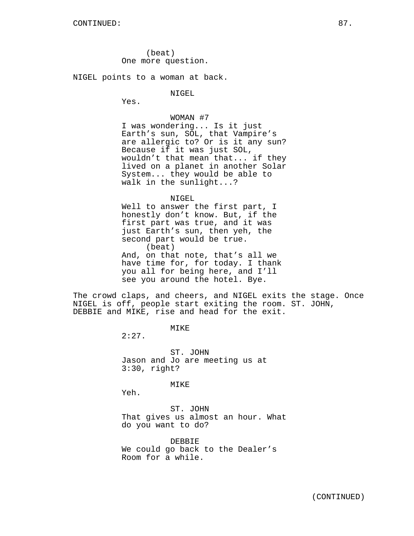(beat) One more question.

NIGEL points to a woman at back.

NIGEL

Yes.

WOMAN #7

I was wondering... Is it just Earth's sun, SOL, that Vampire's are allergic to? Or is it any sun? Because if it was just SOL, wouldn't that mean that... if they lived on a planet in another Solar System... they would be able to walk in the sunlight...?

NIGEL

Well to answer the first part, I honestly don't know. But, if the first part was true, and it was just Earth's sun, then yeh, the second part would be true. (beat) And, on that note, that's all we have time for, for today. I thank you all for being here, and I'll see you around the hotel. Bye.

The crowd claps, and cheers, and NIGEL exits the stage. Once NIGEL is off, people start exiting the room. ST. JOHN, DEBBIE and MIKE, rise and head for the exit.

MIKE

 $2:27.$ 

ST. JOHN Jason and Jo are meeting us at 3:30, right?

MIKE

Yeh.

ST. JOHN That gives us almost an hour. What do you want to do?

DEBBIE We could go back to the Dealer's Room for a while.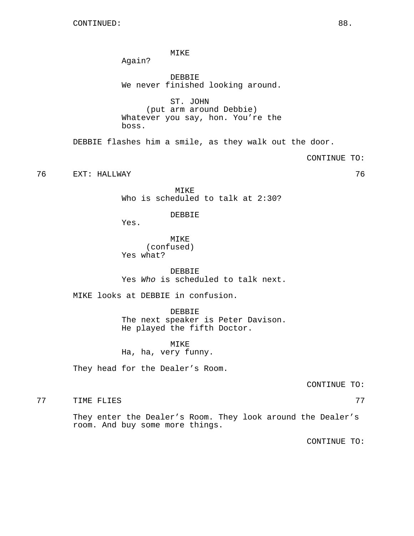MIKE

Again?

DEBBIE We never finished looking around.

ST. JOHN (put arm around Debbie) Whatever you say, hon. You're the boss.

DEBBIE flashes him a smile, as they walk out the door.

CONTINUE TO:

76 EXT: HALLWAY 76

MIKE Who is scheduled to talk at 2:30?

DEBBIE

Yes.

MIKE (confused) Yes what?

DEBBIE Yes Who is scheduled to talk next.

MIKE looks at DEBBIE in confusion.

DEBBIE The next speaker is Peter Davison. He played the fifth Doctor.

MIKE Ha, ha, very funny.

They head for the Dealer's Room.

CONTINUE TO:

77 TIME FLIES 77

They enter the Dealer's Room. They look around the Dealer's room. And buy some more things.

CONTINUE TO: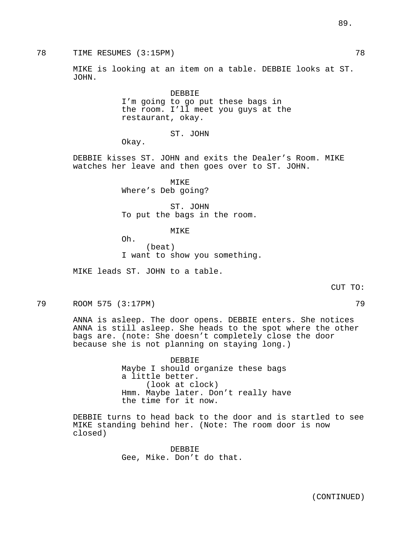78 TIME RESUMES (3:15PM) 78

MIKE is looking at an item on a table. DEBBIE looks at ST. JOHN.

> DEBBIE I'm going to go put these bags in the room. I'll meet you guys at the restaurant, okay.

> > ST. JOHN

Okay.

DEBBIE kisses ST. JOHN and exits the Dealer's Room. MIKE watches her leave and then goes over to ST. JOHN.

> MIKE Where's Deb going?

ST. JOHN To put the bags in the room.

**MTKE** 

Oh. (beat) I want to show you something.

MIKE leads ST. JOHN to a table.

79 ROOM 575 (3:17PM) 79

ANNA is asleep. The door opens. DEBBIE enters. She notices ANNA is still asleep. She heads to the spot where the other bags are. (note: She doesn't completely close the door because she is not planning on staying long.)

> DEBBIE Maybe I should organize these bags a little better. (look at clock) Hmm. Maybe later. Don't really have the time for it now.

DEBBIE turns to head back to the door and is startled to see MIKE standing behind her. (Note: The room door is now closed)

> DEBBIE Gee, Mike. Don't do that.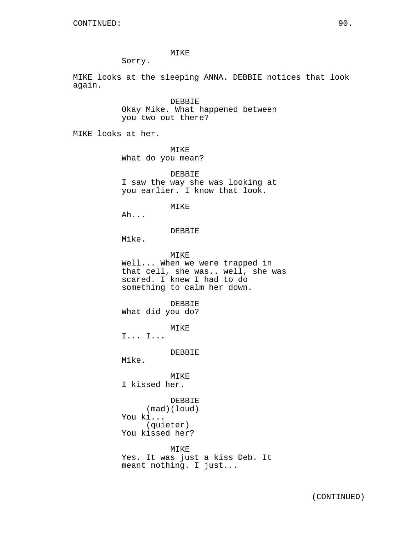# MIKE

Sorry.

MIKE looks at the sleeping ANNA. DEBBIE notices that look again.

> DEBBIE Okay Mike. What happened between you two out there?

MIKE looks at her.

MIKE What do you mean?

DEBBIE I saw the way she was looking at you earlier. I know that look.

### MIKE

Ah...

DEBBIE

Mike.

MIKE Well... When we were trapped in that cell, she was.. well, she was scared. I knew I had to do something to calm her down. DEBBIE What did you do? MIKE I... I... DEBBIE Mike. MIKE I kissed her. DEBBIE

(mad)(loud) You ki... (quieter) You kissed her?

MIKE Yes. It was just a kiss Deb. It meant nothing. I just...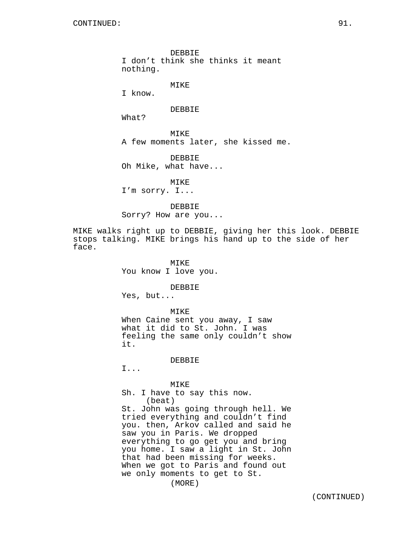DEBBIE I don't think she thinks it meant nothing.

MIKE

I know.

# DEBBIE

What?

MIKE A few moments later, she kissed me.

DEBBIE Oh Mike, what have...

MIKE

I'm sorry. I...

DEBBIE

Sorry? How are you...

MIKE walks right up to DEBBIE, giving her this look. DEBBIE stops talking. MIKE brings his hand up to the side of her face.

> MIKE You know I love you.

> > DEBBIE

Yes, but...

MIKE

When Caine sent you away, I saw what it did to St. John. I was feeling the same only couldn't show it.

# DEBBIE

I...

# MIKE

Sh. I have to say this now. (beat)

St. John was going through hell. We tried everything and couldn't find you. then, Arkov called and said he saw you in Paris. We dropped everything to go get you and bring you home. I saw a light in St. John that had been missing for weeks. When we got to Paris and found out we only moments to get to St.

(MORE)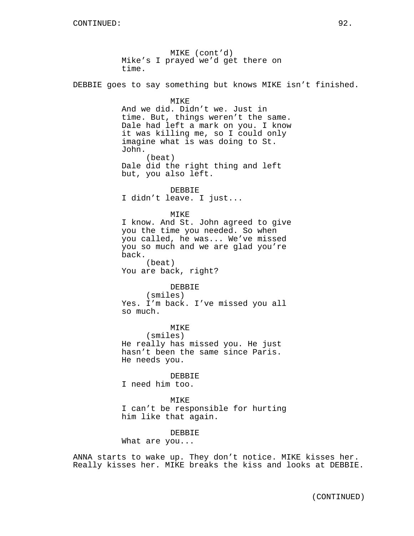MIKE (cont'd) Mike's I prayed we'd get there on time. DEBBIE goes to say something but knows MIKE isn't finished. MIKE And we did. Didn't we. Just in time. But, things weren't the same. Dale had left a mark on you. I know it was killing me, so I could only imagine what is was doing to St. John. (beat) Dale did the right thing and left but, you also left. DEBBIE I didn't leave. I just... MIKE I know. And St. John agreed to give you the time you needed. So when you called, he was... We've missed you so much and we are glad you're back. (beat) You are back, right? DEBBIE (smiles) Yes. I'm back. I've missed you all so much. MIKE (smiles) He really has missed you. He just hasn't been the same since Paris. He needs you. DEBBIE I need him too. MIKE I can't be responsible for hurting him like that again. DEBBIE What are you...

ANNA starts to wake up. They don't notice. MIKE kisses her. Really kisses her. MIKE breaks the kiss and looks at DEBBIE.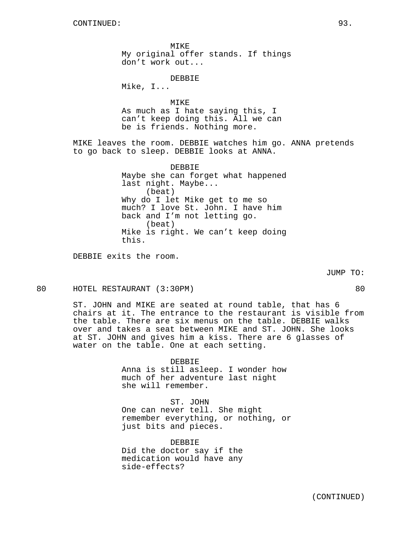MIKE My original offer stands. If things don't work out... DEBBIE Mike, I... MTK<sub>E</sub> As much as I hate saying this, I can't keep doing this. All we can be is friends. Nothing more. MIKE leaves the room. DEBBIE watches him go. ANNA pretends to go back to sleep. DEBBIE looks at ANNA. DEBBIE Maybe she can forget what happened last night. Maybe... (beat) Why do I let Mike get to me so much? I love St. John. I have him back and I'm not letting go. (beat) Mike is right. We can't keep doing this.

DEBBIE exits the room.

JUMP TO:

80 HOTEL RESTAURANT (3:30PM) 80

ST. JOHN and MIKE are seated at round table, that has 6 chairs at it. The entrance to the restaurant is visible from the table. There are six menus on the table. DEBBIE walks over and takes a seat between MIKE and ST. JOHN. She looks at ST. JOHN and gives him a kiss. There are 6 glasses of water on the table. One at each setting.

> DEBBIE Anna is still asleep. I wonder how much of her adventure last night she will remember.

ST. JOHN One can never tell. She might remember everything, or nothing, or just bits and pieces.

DEBBIE Did the doctor say if the medication would have any side-effects?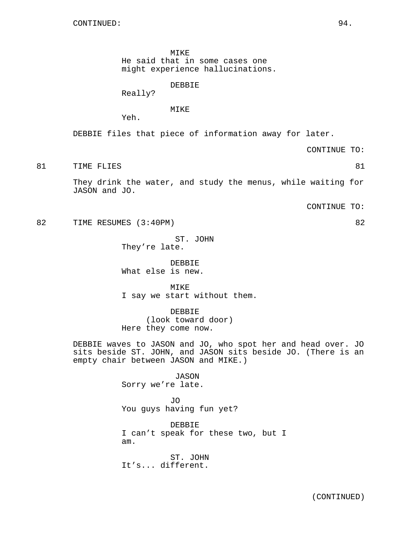MIKE

He said that in some cases one

might experience hallucinations.

DEBBIE

Really?

MIKE

Yeh.

DEBBIE files that piece of information away for later.

CONTINUE TO:

81 TIME FLIES 81

They drink the water, and study the menus, while waiting for JASON and JO.

CONTINUE TO:

82 TIME RESUMES (3:40PM) 82

ST. JOHN They're late.

DEBBIE What else is new.

MIKE I say we start without them.

DEBBIE (look toward door) Here they come now.

DEBBIE waves to JASON and JO, who spot her and head over. JO sits beside ST. JOHN, and JASON sits beside JO. (There is an empty chair between JASON and MIKE.)

> JASON Sorry we're late.

JO You guys having fun yet?

DEBBIE I can't speak for these two, but I am.

ST. JOHN It's... different.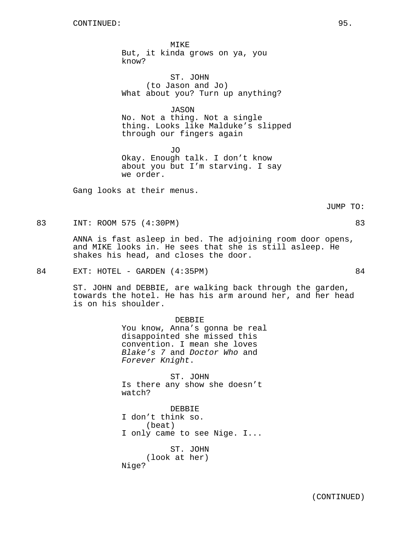MIKE But, it kinda grows on ya, you know?

ST. JOHN (to Jason and Jo) What about you? Turn up anything?

JASON No. Not a thing. Not a single thing. Looks like Malduke's slipped through our fingers again

JO Okay. Enough talk. I don't know about you but I'm starving. I say we order.

Gang looks at their menus.

JUMP TO:

83 INT: ROOM 575 (4:30PM) 83

ANNA is fast asleep in bed. The adjoining room door opens, and MIKE looks in. He sees that she is still asleep. He shakes his head, and closes the door.

84 EXT: HOTEL - GARDEN (4:35PM) 84

ST. JOHN and DEBBIE, are walking back through the garden, towards the hotel. He has his arm around her, and her head is on his shoulder.

> DEBBIE You know, Anna's gonna be real disappointed she missed this convention. I mean she loves Blake's 7 and Doctor Who and Forever Knight.

ST. JOHN Is there any show she doesn't watch?

DEBBIE I don't think so. (beat) I only came to see Nige. I... ST. JOHN (look at her)

Nige?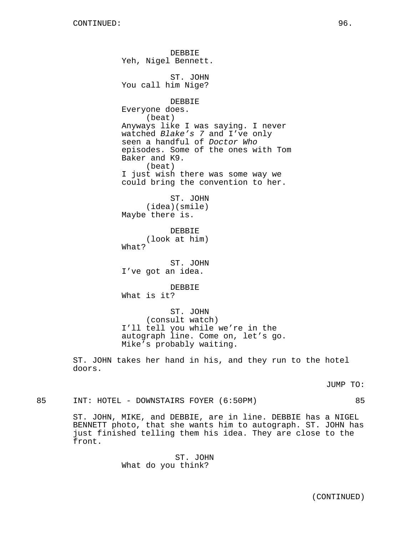DEBBIE Yeh, Nigel Bennett. ST. JOHN You call him Nige? DEBBIE Everyone does. (beat) Anyways like I was saying. I never watched Blake's 7 and I've only seen a handful of Doctor Who episodes. Some of the ones with Tom Baker and K9. (beat) I just wish there was some way we could bring the convention to her. ST. JOHN (idea)(smile) Maybe there is. DEBBIE (look at him) What? ST. JOHN I've got an idea. DEBBIE What is it? ST. JOHN (consult watch) I'll tell you while we're in the autograph line. Come on, let's go. Mike's probably waiting.

ST. JOHN takes her hand in his, and they run to the hotel doors.

JUMP TO:

85 INT: HOTEL - DOWNSTAIRS FOYER (6:50PM) 85

ST. JOHN, MIKE, and DEBBIE, are in line. DEBBIE has a NIGEL BENNETT photo, that she wants him to autograph. ST. JOHN has just finished telling them his idea. They are close to the front.

> ST. JOHN What do you think?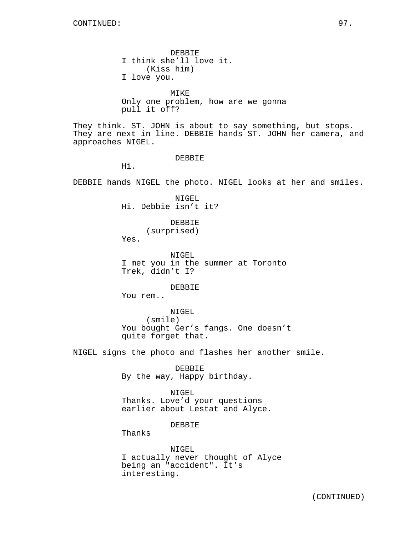DEBBIE I think she'll love it. (Kiss him) I love you. MIKE Only one problem, how are we gonna pull it off? They think. ST. JOHN is about to say something, but stops. They are next in line. DEBBIE hands ST. JOHN her camera, and approaches NIGEL. DEBBIE Hi. DEBBIE hands NIGEL the photo. NIGEL looks at her and smiles. NIGEL Hi. Debbie isn't it? DEBBIE (surprised) Yes. NIGEL I met you in the summer at Toronto Trek, didn't I? DEBBIE You rem.. NIGEL (smile) You bought Ger's fangs. One doesn't quite forget that. NIGEL signs the photo and flashes her another smile. DEBBIE By the way, Happy birthday. NIGEL Thanks. Love'd your questions earlier about Lestat and Alyce. DEBBIE Thanks NIGEL

I actually never thought of Alyce being an "accident". It's interesting.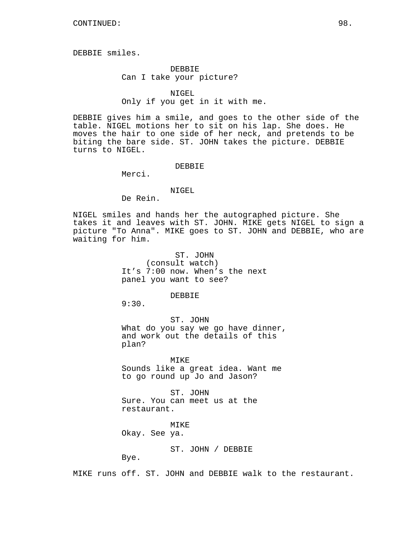DEBBIE smiles.

DEBBIE Can I take your picture?

# NIGEL

# Only if you get in it with me.

DEBBIE gives him a smile, and goes to the other side of the table. NIGEL motions her to sit on his lap. She does. He moves the hair to one side of her neck, and pretends to be biting the bare side. ST. JOHN takes the picture. DEBBIE turns to NIGEL.

DEBBIE

Merci.

# NIGEL

De Rein.

NIGEL smiles and hands her the autographed picture. She takes it and leaves with ST. JOHN. MIKE gets NIGEL to sign a picture "To Anna". MIKE goes to ST. JOHN and DEBBIE, who are waiting for him.

> ST. JOHN (consult watch) It's 7:00 now. When's the next panel you want to see?

# DEBBIE

9:30.

ST. JOHN What do you say we go have dinner, and work out the details of this plan?

MIKE Sounds like a great idea. Want me to go round up Jo and Jason?

ST. JOHN Sure. You can meet us at the restaurant.

MIKE Okay. See ya.

ST. JOHN / DEBBIE

Bye.

MIKE runs off. ST. JOHN and DEBBIE walk to the restaurant.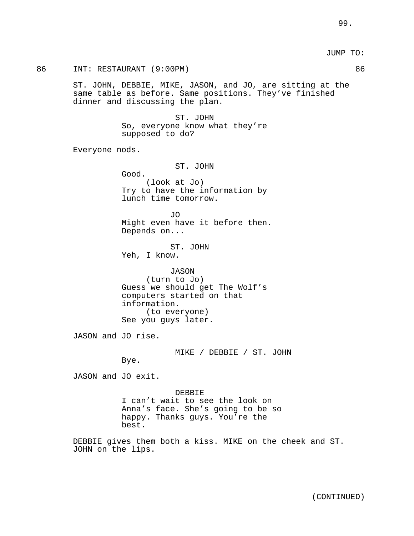JUMP TO:

86 INT: RESTAURANT (9:00PM) 86 ST. JOHN, DEBBIE, MIKE, JASON, and JO, are sitting at the same table as before. Same positions. They've finished dinner and discussing the plan. ST. JOHN So, everyone know what they're supposed to do? Everyone nods. ST. JOHN Good. (look at Jo) Try to have the information by lunch time tomorrow. JO Might even have it before then. Depends on... ST. JOHN Yeh, I know. JASON (turn to Jo) Guess we should get The Wolf's computers started on that information. (to everyone) See you guys later. JASON and JO rise. MIKE / DEBBIE / ST. JOHN Bye. JASON and JO exit. DEBBIE I can't wait to see the look on Anna's face. She's going to be so happy. Thanks guys. You're the best. DEBBIE gives them both a kiss. MIKE on the cheek and ST. JOHN on the lips.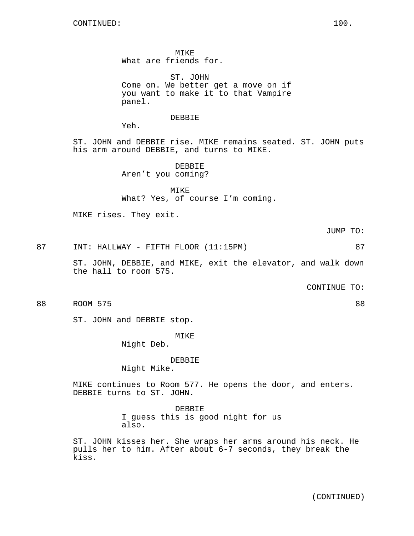MIKE What are friends for.

ST. JOHN Come on. We better get a move on if you want to make it to that Vampire panel.

DEBBIE

Yeh.

ST. JOHN and DEBBIE rise. MIKE remains seated. ST. JOHN puts his arm around DEBBIE, and turns to MIKE.

> DEBBIE Aren't you coming?

MIKE What? Yes, of course I'm coming.

MIKE rises. They exit.

JUMP TO:

87 INT: HALLWAY - FIFTH FLOOR (11:15PM) 87

ST. JOHN, DEBBIE, and MIKE, exit the elevator, and walk down the hall to room 575.

CONTINUE TO:

88 ROOM 575 88

ST. JOHN and DEBBIE stop.

MIKE

Night Deb.

DEBBIE

Night Mike.

MIKE continues to Room 577. He opens the door, and enters. DEBBIE turns to ST. JOHN.

> DEBBIE I guess this is good night for us also.

ST. JOHN kisses her. She wraps her arms around his neck. He pulls her to him. After about 6-7 seconds, they break the kiss.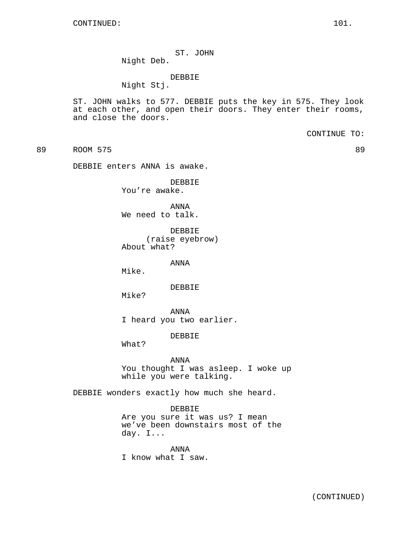ST. JOHN Night Deb.

# DEBBIE

Night Stj.

ST. JOHN walks to 577. DEBBIE puts the key in 575. They look at each other, and open their doors. They enter their rooms, and close the doors.

CONTINUE TO:

89 ROOM 575 89

DEBBIE enters ANNA is awake.

DEBBIE You're awake.

ANNA We need to talk.

DEBBIE (raise eyebrow) About what?

ANNA

Mike.

DEBBIE

Mike?

ANNA I heard you two earlier.

DEBBIE

What?

## ANNA

You thought I was asleep. I woke up while you were talking.

DEBBIE wonders exactly how much she heard.

# DEBBIE

Are you sure it was us? I mean we've been downstairs most of the day. I...

ANNA I know what I saw.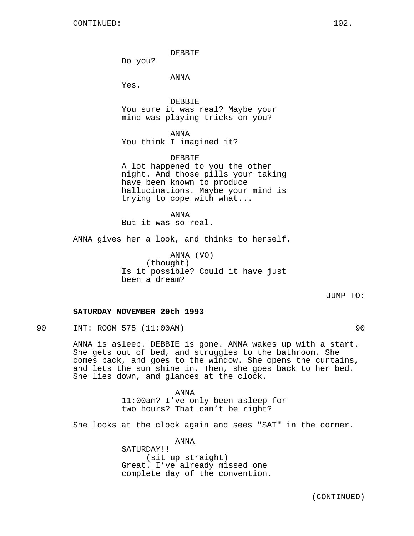DEBBIE

Do you?

ANNA

Yes.

DEBBIE You sure it was real? Maybe your mind was playing tricks on you?

ANNA You think I imagined it?

DEBBIE A lot happened to you the other night. And those pills your taking have been known to produce hallucinations. Maybe your mind is trying to cope with what...

ANNA But it was so real.

ANNA gives her a look, and thinks to herself.

ANNA (VO) (thought) Is it possible? Could it have just been a dream?

JUMP TO:

# **SATURDAY NOVEMBER 20th 1993**

90 INT: ROOM 575 (11:00AM) 90

ANNA is asleep. DEBBIE is gone. ANNA wakes up with a start. She gets out of bed, and struggles to the bathroom. She comes back, and goes to the window. She opens the curtains, and lets the sun shine in. Then, she goes back to her bed. She lies down, and glances at the clock.

> ANNA 11:00am? I've only been asleep for two hours? That can't be right?

She looks at the clock again and sees "SAT" in the corner.

ANNA SATURDAY!! (sit up straight) Great. I've already missed one complete day of the convention.

(CONTINUED)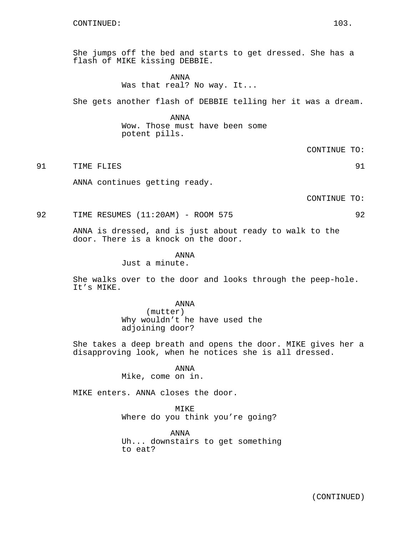She jumps off the bed and starts to get dressed. She has a flash of MIKE kissing DEBBIE.

# ANNA Was that real? No way. It...

She gets another flash of DEBBIE telling her it was a dream.

ANNA Wow. Those must have been some potent pills.

CONTINUE TO:

91 TIME FLIES 91

ANNA continues getting ready.

CONTINUE TO:

92 TIME RESUMES (11:20AM) - ROOM 575 92

ANNA is dressed, and is just about ready to walk to the door. There is a knock on the door.

ANNA

Just a minute.

She walks over to the door and looks through the peep-hole. It's MIKE.

ANNA

(mutter) Why wouldn't he have used the adjoining door?

She takes a deep breath and opens the door. MIKE gives her a disapproving look, when he notices she is all dressed.

ANNA

Mike, come on in.

MIKE enters. ANNA closes the door.

MIKE Where do you think you're going?

ANNA Uh... downstairs to get something to eat?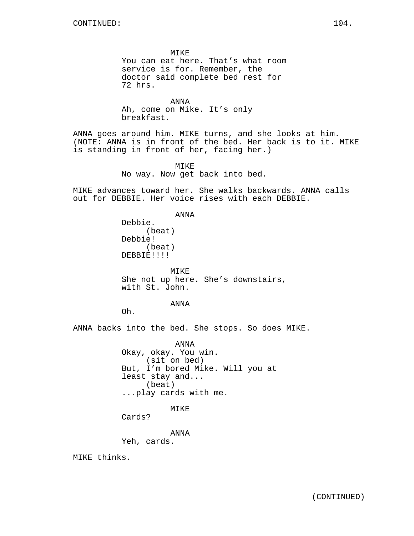MIKE You can eat here. That's what room service is for. Remember, the doctor said complete bed rest for 72 hrs.

ANNA Ah, come on Mike. It's only breakfast.

ANNA goes around him. MIKE turns, and she looks at him. (NOTE: ANNA is in front of the bed. Her back is to it. MIKE is standing in front of her, facing her.)

> MIKE No way. Now get back into bed.

MIKE advances toward her. She walks backwards. ANNA calls out for DEBBIE. Her voice rises with each DEBBIE.

ANNA

Debbie. (beat) Debbie! (beat) DEBBIE!!!!

MIKE She not up here. She's downstairs, with St. John.

## ANNA

Oh.

ANNA backs into the bed. She stops. So does MIKE.

ANNA Okay, okay. You win. (sit on bed) But, I'm bored Mike. Will you at least stay and... (beat) ...play cards with me.

# MIKE

Cards?

ANNA

Yeh, cards.

MIKE thinks.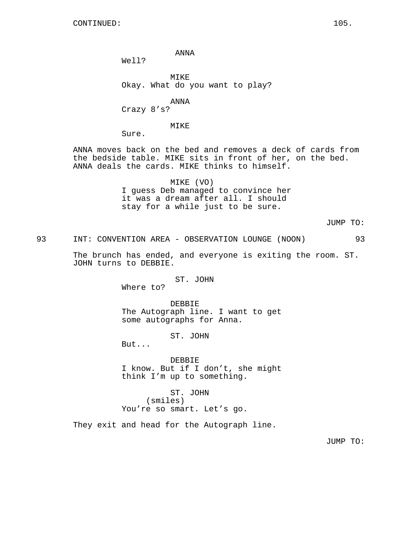CONTINUED: 105.

ANNA

Well?

MIKE Okay. What do you want to play?

ANNA

Crazy 8's?

MIKE

Sure.

ANNA moves back on the bed and removes a deck of cards from the bedside table. MIKE sits in front of her, on the bed. ANNA deals the cards. MIKE thinks to himself.

> MIKE (VO) I guess Deb managed to convince her it was a dream after all. I should stay for a while just to be sure.

> > JUMP TO:

93 INT: CONVENTION AREA - OBSERVATION LOUNGE (NOON) 93

The brunch has ended, and everyone is exiting the room. ST. JOHN turns to DEBBIE.

ST. JOHN

Where to?

DEBBIE The Autograph line. I want to get some autographs for Anna.

ST. JOHN

But...

DEBBIE I know. But if I don't, she might think I'm up to something.

ST. JOHN (smiles) You're so smart. Let's go.

They exit and head for the Autograph line.

JUMP TO: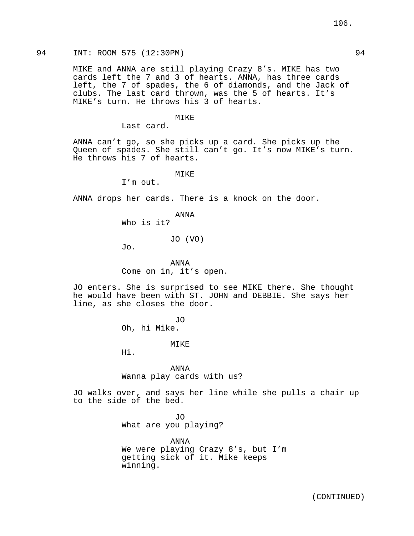MIKE and ANNA are still playing Crazy 8's. MIKE has two cards left the 7 and 3 of hearts. ANNA, has three cards left, the 7 of spades, the 6 of diamonds, and the Jack of clubs. The last card thrown, was the 5 of hearts. It's MIKE's turn. He throws his 3 of hearts.

### MIKE

Last card.

ANNA can't go, so she picks up a card. She picks up the Queen of spades. She still can't go. It's now MIKE's turn. He throws his 7 of hearts.

MIKE

I'm out.

ANNA drops her cards. There is a knock on the door.

ANNA

Who is it?

#### JO (VO)

Jo.

ANNA Come on in, it's open.

JO enters. She is surprised to see MIKE there. She thought he would have been with ST. JOHN and DEBBIE. She says her line, as she closes the door.

> JO Oh, hi Mike.

MIKE

Hi.

ANNA Wanna play cards with us?

JO walks over, and says her line while she pulls a chair up to the side of the bed.

> JO What are you playing?

ANNA We were playing Crazy 8's, but I'm getting sick of it. Mike keeps winning.

106.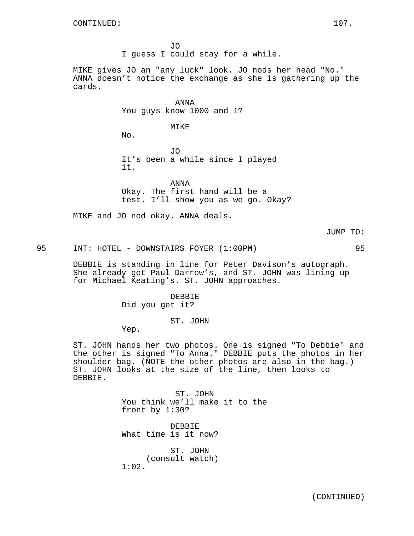JO I guess I could stay for a while.

MIKE gives JO an "any luck" look. JO nods her head "No." ANNA doesn't notice the exchange as she is gathering up the cards.

> ANNA You guys know 1000 and 1?

> > MIKE

No.

JO It's been a while since I played it.

ANNA Okay. The first hand will be a test. I'll show you as we go. Okay?

MIKE and JO nod okay. ANNA deals.

JUMP TO:

95 INT: HOTEL - DOWNSTAIRS FOYER (1:00PM) 95

DEBBIE is standing in line for Peter Davison's autograph. She already got Paul Darrow's, and ST. JOHN was lining up for Michael Keating's. ST. JOHN approaches.

> DEBBIE Did you get it?

> > ST. JOHN

Yep.

ST. JOHN hands her two photos. One is signed "To Debbie" and the other is signed "To Anna." DEBBIE puts the photos in her shoulder bag. (NOTE the other photos are also in the bag.) ST. JOHN looks at the size of the line, then looks to DEBBIE.

> ST. JOHN You think we'll make it to the front by 1:30?

DEBBIE What time is it now?

ST. JOHN (consult watch) 1:02.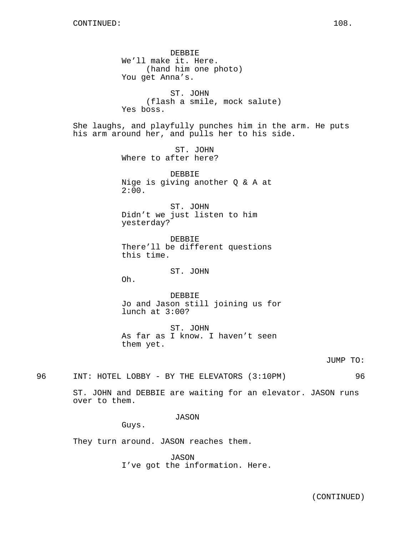DEBBIE We'll make it. Here. (hand him one photo) You get Anna's. ST. JOHN (flash a smile, mock salute) Yes boss. She laughs, and playfully punches him in the arm. He puts his arm around her, and pulls her to his side. ST. JOHN Where to after here? DEBBIE Nige is giving another Q & A at  $2:00.$ ST. JOHN Didn't we just listen to him yesterday? DEBBIE There'll be different questions this time. ST. JOHN Oh. DEBBIE Jo and Jason still joining us for lunch at 3:00? ST. JOHN As far as I know. I haven't seen them yet. JUMP TO: 96 INT: HOTEL LOBBY - BY THE ELEVATORS (3:10PM) 96 ST. JOHN and DEBBIE are waiting for an elevator. JASON runs over to them.

JASON

Guys.

They turn around. JASON reaches them.

JASON I've got the information. Here.

(CONTINUED)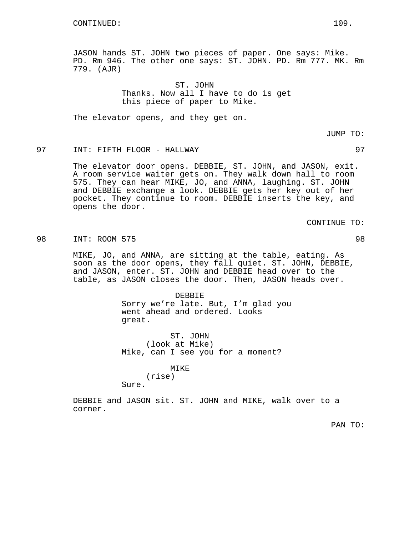JASON hands ST. JOHN two pieces of paper. One says: Mike. PD. Rm 946. The other one says: ST. JOHN. PD. Rm 777. MK. Rm 779. (AJR)

> ST. JOHN Thanks. Now all I have to do is get this piece of paper to Mike.

The elevator opens, and they get on.

JUMP TO:

# 97 INT: FIFTH FLOOR - HALLWAY 97

The elevator door opens. DEBBIE, ST. JOHN, and JASON, exit. A room service waiter gets on. They walk down hall to room 575. They can hear MIKE, JO, and ANNA, laughing. ST. JOHN and DEBBIE exchange a look. DEBBIE gets her key out of her pocket. They continue to room. DEBBIE inserts the key, and opens the door.

CONTINUE TO:

98 INT: ROOM 575 98

MIKE, JO, and ANNA, are sitting at the table, eating. As soon as the door opens, they fall quiet. ST. JOHN, DEBBIE, and JASON, enter. ST. JOHN and DEBBIE head over to the table, as JASON closes the door. Then, JASON heads over.

> DEBBIE Sorry we're late. But, I'm glad you went ahead and ordered. Looks great.

ST. JOHN (look at Mike) Mike, can I see you for a moment?

MIKE

(rise)

Sure.

DEBBIE and JASON sit. ST. JOHN and MIKE, walk over to a corner.

PAN TO: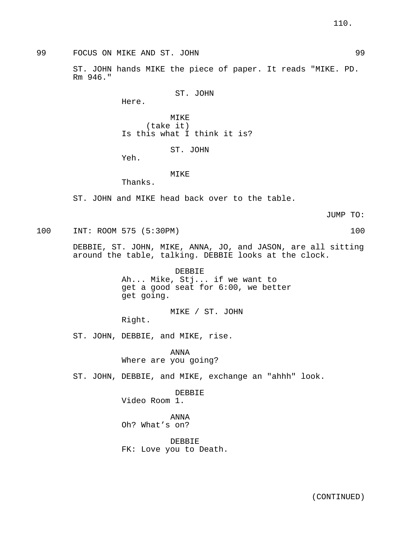99 FOCUS ON MIKE AND ST. JOHN 99

ST. JOHN hands MIKE the piece of paper. It reads "MIKE. PD. Rm 946."

```
ST. JOHN
```
Here.

MIKE (take it) Is this what I think it is?

ST. JOHN

Yeh.

# MIKE

Thanks.

ST. JOHN and MIKE head back over to the table.

JUMP TO:

100 INT: ROOM 575 (5:30PM) 100

DEBBIE, ST. JOHN, MIKE, ANNA, JO, and JASON, are all sitting around the table, talking. DEBBIE looks at the clock.

> DEBBIE Ah... Mike, Stj... if we want to get a good seat for 6:00, we better get going.

MIKE / ST. JOHN

Right.

ST. JOHN, DEBBIE, and MIKE, rise.

ANNA Where are you going?

ST. JOHN, DEBBIE, and MIKE, exchange an "ahhh" look.

DEBBIE Video Room 1.

ANNA Oh? What's on?

DEBBIE FK: Love you to Death.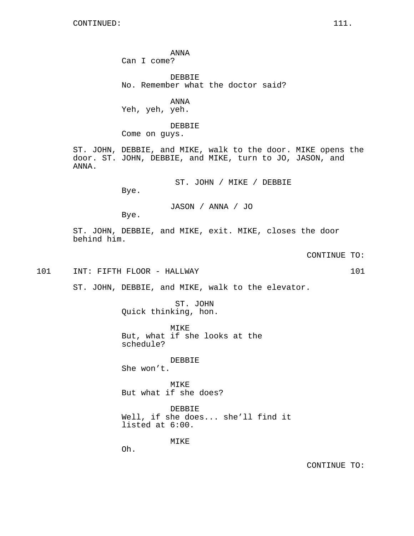ANNA Can I come?

DEBBIE No. Remember what the doctor said?

ANNA Yeh, yeh, yeh.

DEBBIE

Come on guys.

ST. JOHN, DEBBIE, and MIKE, walk to the door. MIKE opens the door. ST. JOHN, DEBBIE, and MIKE, turn to JO, JASON, and ANNA.

ST. JOHN / MIKE / DEBBIE

Bye.

JASON / ANNA / JO

Bye.

ST. JOHN, DEBBIE, and MIKE, exit. MIKE, closes the door behind him.

CONTINUE TO:

101 INT: FIFTH FLOOR - HALLWAY 101

ST. JOHN, DEBBIE, and MIKE, walk to the elevator.

ST. JOHN Quick thinking, hon.

MIKE But, what if she looks at the schedule?

DEBBIE She won't.

MIKE But what if she does?

DEBBIE Well, if she does... she'll find it listed at 6:00.

MIKE

Oh.

CONTINUE TO: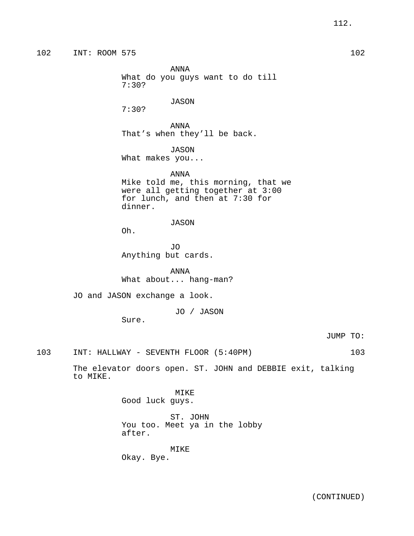ANNA What do you guys want to do till 7:30?

JASON

7:30?

ANNA That's when they'll be back.

JASON

What makes you...

ANNA

Mike told me, this morning, that we were all getting together at 3:00 for lunch, and then at 7:30 for dinner.

JASON

Oh.

JO Anything but cards.

ANNA What about... hang-man?

JO and JASON exchange a look.

JO / JASON

Sure.

JUMP TO:

103 INT: HALLWAY - SEVENTH FLOOR (5:40PM) 103

The elevator doors open. ST. JOHN and DEBBIE exit, talking to MIKE.

> MIKE Good luck guys.

ST. JOHN You too. Meet ya in the lobby after.

MIKE Okay. Bye.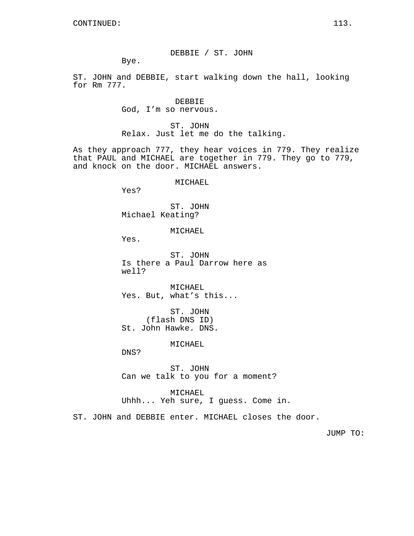DEBBIE / ST. JOHN

Bye.

ST. JOHN and DEBBIE, start walking down the hall, looking for Rm 777.

> DEBBIE God, I'm so nervous.

ST. JOHN Relax. Just let me do the talking.

As they approach 777, they hear voices in 779. They realize that PAUL and MICHAEL are together in 779. They go to 779, and knock on the door. MICHAEL answers.

MICHAEL

Yes?

ST. JOHN Michael Keating?

MICHAEL

Yes.

ST. JOHN Is there a Paul Darrow here as well?

MICHAEL Yes. But, what's this...

ST. JOHN (flash DNS ID) St. John Hawke. DNS.

MICHAEL

DNS?

ST. JOHN Can we talk to you for a moment?

MICHAEL Uhhh... Yeh sure, I guess. Come in.

ST. JOHN and DEBBIE enter. MICHAEL closes the door.

JUMP TO: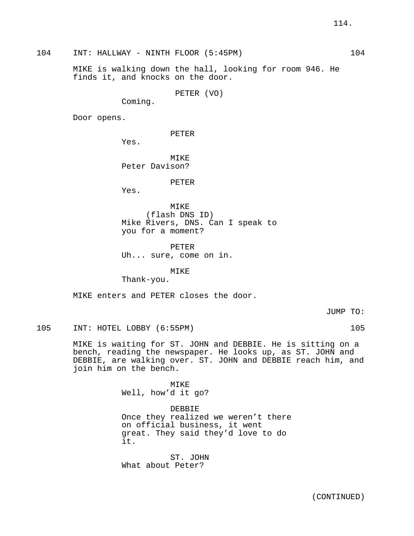104 INT: HALLWAY - NINTH FLOOR (5:45PM) 104

MIKE is walking down the hall, looking for room 946. He finds it, and knocks on the door.

PETER (VO)

Coming.

Door opens.

PETER

Yes.

MIKE Peter Davison?

PETER

Yes.

MIKE (flash DNS ID) Mike Rivers, DNS. Can I speak to you for a moment?

PETER Uh... sure, come on in.

MIKE

Thank-you.

MIKE enters and PETER closes the door.

JUMP TO:

105 INT: HOTEL LOBBY (6:55PM) 105

MIKE is waiting for ST. JOHN and DEBBIE. He is sitting on a bench, reading the newspaper. He looks up, as ST. JOHN and DEBBIE, are walking over. ST. JOHN and DEBBIE reach him, and join him on the bench.

> MIKE Well, how'd it go?

DEBBIE Once they realized we weren't there on official business, it went great. They said they'd love to do it.

ST. JOHN What about Peter?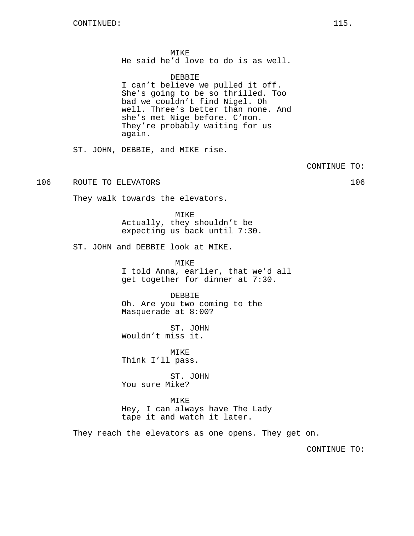MIKE He said he'd love to do is as well.

DEBBIE

I can't believe we pulled it off. She's going to be so thrilled. Too bad we couldn't find Nigel. Oh well. Three's better than none. And she's met Nige before. C'mon. They're probably waiting for us again.

ST. JOHN, DEBBIE, and MIKE rise.

CONTINUE TO:

106 ROUTE TO ELEVATORS 106

They walk towards the elevators.

MIKE Actually, they shouldn't be expecting us back until 7:30.

ST. JOHN and DEBBIE look at MIKE.

MIKE I told Anna, earlier, that we'd all get together for dinner at 7:30.

DEBBIE Oh. Are you two coming to the Masquerade at 8:00?

ST. JOHN Wouldn't miss it.

MIKE Think I'll pass.

ST. JOHN You sure Mike?

MIKE Hey, I can always have The Lady tape it and watch it later.

They reach the elevators as one opens. They get on.

CONTINUE TO: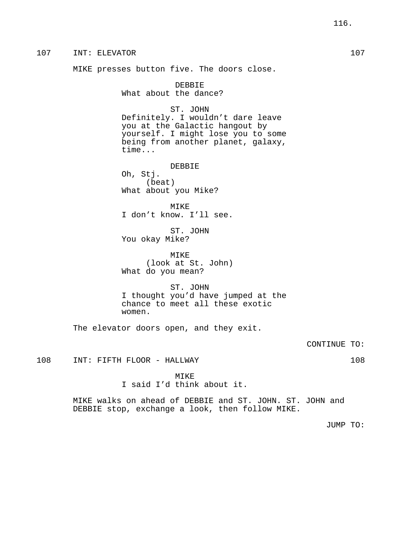107 INT: ELEVATOR 107 MIKE presses button five. The doors close. DEBBIE What about the dance? ST. JOHN Definitely. I wouldn't dare leave you at the Galactic hangout by yourself. I might lose you to some being from another planet, galaxy, time... DEBBIE Oh, Stj. (beat) What about you Mike? MIKE I don't know. I'll see. ST. JOHN You okay Mike? MIKE (look at St. John) What do you mean? ST. JOHN I thought you'd have jumped at the chance to meet all these exotic women. The elevator doors open, and they exit. CONTINUE TO: 108 INT: FIFTH FLOOR - HALLWAY 108 MIKE I said I'd think about it. MIKE walks on ahead of DEBBIE and ST. JOHN. ST. JOHN and DEBBIE stop, exchange a look, then follow MIKE. JUMP TO: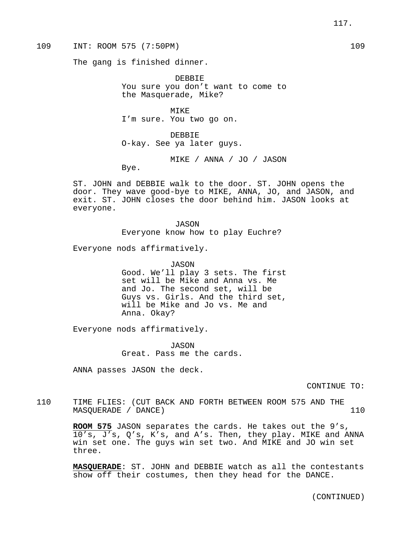109 INT: ROOM 575 (7:50PM) 109

The gang is finished dinner.

DEBBIE You sure you don't want to come to the Masquerade, Mike?

MIKE I'm sure. You two go on.

DEBBIE O-kay. See ya later guys.

MIKE / ANNA / JO / JASON

Bye.

ST. JOHN and DEBBIE walk to the door. ST. JOHN opens the door. They wave good-bye to MIKE, ANNA, JO, and JASON, and exit. ST. JOHN closes the door behind him. JASON looks at everyone.

> JASON Everyone know how to play Euchre?

Everyone nods affirmatively.

JASON Good. We'll play 3 sets. The first set will be Mike and Anna vs. Me and Jo. The second set, will be Guys vs. Girls. And the third set, will be Mike and Jo vs. Me and Anna. Okay?

Everyone nods affirmatively.

JASON Great. Pass me the cards.

ANNA passes JASON the deck.

CONTINUE TO:

110 TIME FLIES: (CUT BACK AND FORTH BETWEEN ROOM 575 AND THE MASOUERADE / DANCE) 110

> **ROOM 575** JASON separates the cards. He takes out the 9's, 10's, J's, Q's, K's, and A's. Then, they play. MIKE and ANNA win set one. The guys win set two. And MIKE and JO win set three.

> **MASQUERADE**: ST. JOHN and DEBBIE watch as all the contestants show off their costumes, then they head for the DANCE.

> > (CONTINUED)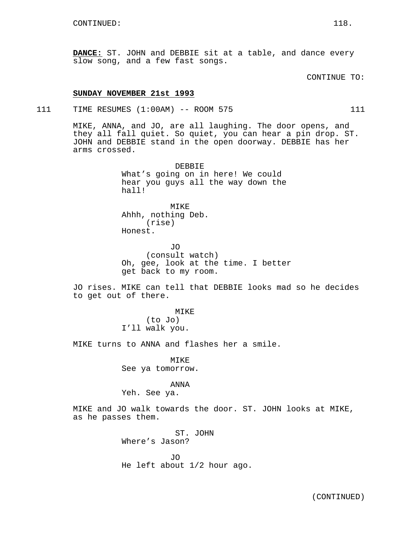**DANCE:** ST. JOHN and DEBBIE sit at a table, and dance every slow song, and a few fast songs.

CONTINUE TO:

### **SUNDAY NOVEMBER 21st 1993**

111 TIME RESUMES (1:00AM) -- ROOM 575 111

MIKE, ANNA, and JO, are all laughing. The door opens, and they all fall quiet. So quiet, you can hear a pin drop. ST. JOHN and DEBBIE stand in the open doorway. DEBBIE has her arms crossed.

> DEBBIE What's going on in here! We could hear you guys all the way down the hall!

MIKE Ahhh, nothing Deb. (rise) Honest.

JO (consult watch) Oh, gee, look at the time. I better get back to my room.

JO rises. MIKE can tell that DEBBIE looks mad so he decides to get out of there.

> MIKE (to Jo) I'll walk you.

MIKE turns to ANNA and flashes her a smile.

MIKE See ya tomorrow.

# ANNA

Yeh. See ya.

MIKE and JO walk towards the door. ST. JOHN looks at MIKE, as he passes them.

> ST. JOHN Where's Jason?

JO He left about 1/2 hour ago.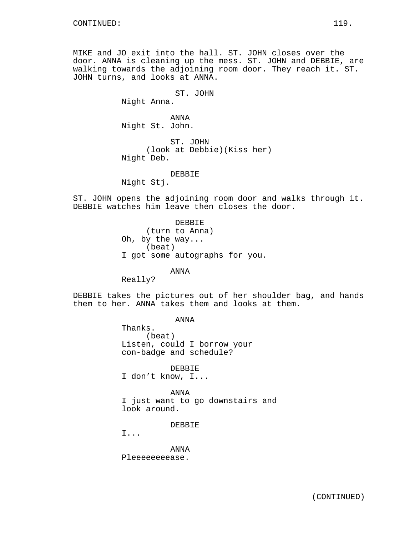MIKE and JO exit into the hall. ST. JOHN closes over the door. ANNA is cleaning up the mess. ST. JOHN and DEBBIE, are walking towards the adjoining room door. They reach it. ST. JOHN turns, and looks at ANNA.

> ST. JOHN Night Anna.

ANNA Night St. John.

ST. JOHN (look at Debbie)(Kiss her) Night Deb.

DEBBIE

Night Stj.

ST. JOHN opens the adjoining room door and walks through it. DEBBIE watches him leave then closes the door.

> DEBBIE (turn to Anna) Oh, by the way... (beat) I got some autographs for you.

> > ANNA

Really?

DEBBIE takes the pictures out of her shoulder bag, and hands them to her. ANNA takes them and looks at them.

ANNA

Thanks. (beat) Listen, could I borrow your con-badge and schedule?

DEBBIE I don't know, I...

ANNA I just want to go downstairs and look around.

DEBBIE

I...

ANNA Pleeeeeeeease.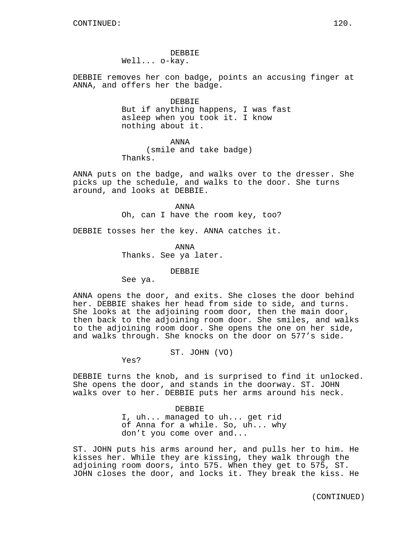DEBBIE removes her con badge, points an accusing finger at ANNA, and offers her the badge.

### DEBBIE

But if anything happens, I was fast asleep when you took it. I know nothing about it.

ANNA

(smile and take badge)

Thanks.

ANNA puts on the badge, and walks over to the dresser. She picks up the schedule, and walks to the door. She turns around, and looks at DEBBIE.

> ANNA Oh, can I have the room key, too?

DEBBIE tosses her the key. ANNA catches it.

ANNA Thanks. See ya later.

# DEBBIE

See ya.

ANNA opens the door, and exits. She closes the door behind her. DEBBIE shakes her head from side to side, and turns. She looks at the adjoining room door, then the main door, then back to the adjoining room door. She smiles, and walks to the adjoining room door. She opens the one on her side, and walks through. She knocks on the door on 577's side.

ST. JOHN (VO)

Yes?

DEBBIE turns the knob, and is surprised to find it unlocked. She opens the door, and stands in the doorway. ST. JOHN walks over to her. DEBBIE puts her arms around his neck.

> DEBBIE I, uh... managed to uh... get rid of Anna for a while. So, uh... why don't you come over and...

ST. JOHN puts his arms around her, and pulls her to him. He kisses her. While they are kissing, they walk through the adjoining room doors, into 575. When they get to 575, ST. JOHN closes the door, and locks it. They break the kiss. He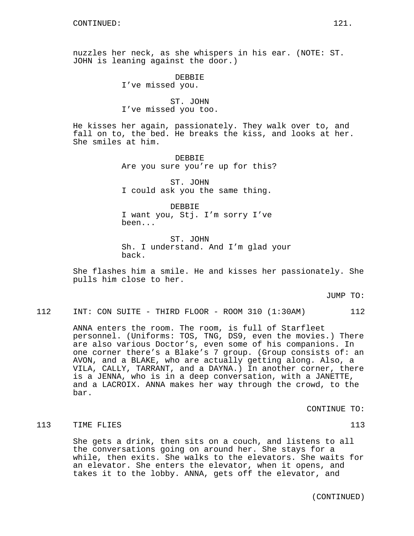nuzzles her neck, as she whispers in his ear. (NOTE: ST. JOHN is leaning against the door.)

> DEBBIE I've missed you.

ST. JOHN I've missed you too.

He kisses her again, passionately. They walk over to, and fall on to, the bed. He breaks the kiss, and looks at her. She smiles at him.

> DEBBIE Are you sure you're up for this?

ST. JOHN I could ask you the same thing.

DEBBIE I want you, Stj. I'm sorry I've been...

ST. JOHN Sh. I understand. And I'm glad your back.

She flashes him a smile. He and kisses her passionately. She pulls him close to her.

JUMP TO:

112 INT: CON SUITE - THIRD FLOOR - ROOM 310 (1:30AM) 112

ANNA enters the room. The room, is full of Starfleet personnel. (Uniforms: TOS, TNG, DS9, even the movies.) There are also various Doctor's, even some of his companions. In one corner there's a Blake's 7 group. (Group consists of: an AVON, and a BLAKE, who are actually getting along. Also, a VILA, CALLY, TARRANT, and a DAYNA.) In another corner, there is a JENNA, who is in a deep conversation, with a JANETTE, and a LACROIX. ANNA makes her way through the crowd, to the bar.

CONTINUE TO:

# 113 TIME FLIES 113

She gets a drink, then sits on a couch, and listens to all the conversations going on around her. She stays for a while, then exits. She walks to the elevators. She waits for an elevator. She enters the elevator, when it opens, and takes it to the lobby. ANNA, gets off the elevator, and

(CONTINUED)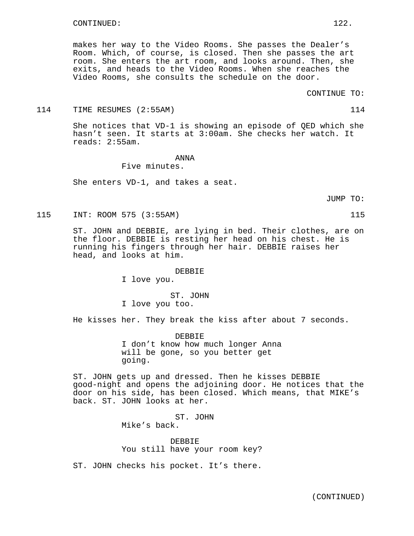makes her way to the Video Rooms. She passes the Dealer's Room. Which, of course, is closed. Then she passes the art room. She enters the art room, and looks around. Then, she exits, and heads to the Video Rooms. When she reaches the Video Rooms, she consults the schedule on the door.

### 114 TIME RESUMES (2:55AM) 114

She notices that VD-1 is showing an episode of QED which she hasn't seen. It starts at 3:00am. She checks her watch. It reads: 2:55am.

# ANNA

Five minutes.

She enters VD-1, and takes a seat.

JUMP TO:

115 INT: ROOM 575 (3:55AM) 115

ST. JOHN and DEBBIE, are lying in bed. Their clothes, are on the floor. DEBBIE is resting her head on his chest. He is running his fingers through her hair. DEBBIE raises her head, and looks at him.

### DEBBIE

I love you.

ST. JOHN I love you too.

He kisses her. They break the kiss after about 7 seconds.

DEBBIE I don't know how much longer Anna will be gone, so you better get going.

ST. JOHN gets up and dressed. Then he kisses DEBBIE good-night and opens the adjoining door. He notices that the door on his side, has been closed. Which means, that MIKE's back. ST. JOHN looks at her.

> ST. JOHN Mike's back.

DEBBIE You still have your room key?

ST. JOHN checks his pocket. It's there.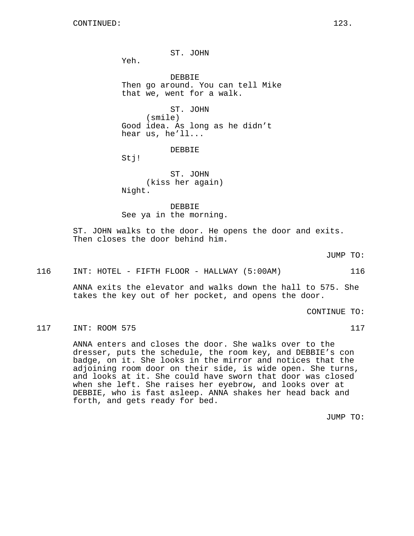ST. JOHN

Yeh.

DEBBIE Then go around. You can tell Mike that we, went for a walk.

ST. JOHN (smile) Good idea. As long as he didn't hear us, he'll...

DEBBIE

Stj!

ST. JOHN (kiss her again) Night.

DEBBIE See ya in the morning.

ST. JOHN walks to the door. He opens the door and exits. Then closes the door behind him.

JUMP TO:

### 116 INT: HOTEL - FIFTH FLOOR - HALLWAY (5:00AM) 116

ANNA exits the elevator and walks down the hall to 575. She takes the key out of her pocket, and opens the door.

CONTINUE TO:

# 117 INT: ROOM 575 117

ANNA enters and closes the door. She walks over to the dresser, puts the schedule, the room key, and DEBBIE's con badge, on it. She looks in the mirror and notices that the adjoining room door on their side, is wide open. She turns, and looks at it. She could have sworn that door was closed when she left. She raises her eyebrow, and looks over at DEBBIE, who is fast asleep. ANNA shakes her head back and forth, and gets ready for bed.

JUMP TO: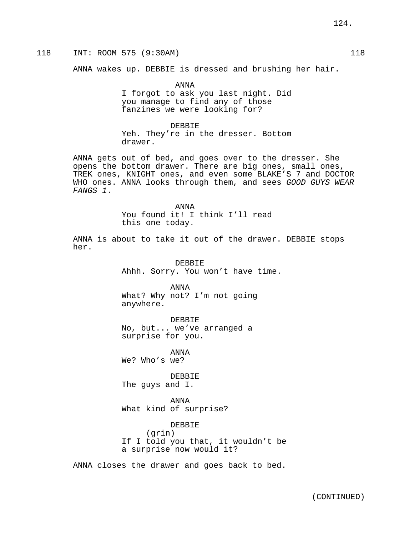# 118 INT: ROOM 575 (9:30AM) 118

ANNA wakes up. DEBBIE is dressed and brushing her hair.

ANNA I forgot to ask you last night. Did you manage to find any of those fanzines we were looking for?

DEBBIE Yeh. They're in the dresser. Bottom drawer.

ANNA gets out of bed, and goes over to the dresser. She opens the bottom drawer. There are big ones, small ones, TREK ones, KNIGHT ones, and even some BLAKE'S 7 and DOCTOR WHO ones. ANNA looks through them, and sees GOOD GUYS WEAR FANGS 1.

> ANNA You found it! I think I'll read this one today.

ANNA is about to take it out of the drawer. DEBBIE stops her.

> DEBBIE Ahhh. Sorry. You won't have time.

ANNA What? Why not? I'm not going anywhere.

DEBBIE No, but... we've arranged a surprise for you.

ANNA We? Who's we?

DEBBIE The guys and I.

ANNA What kind of surprise?

DEBBIE

(grin) If I told you that, it wouldn't be a surprise now would it?

ANNA closes the drawer and goes back to bed.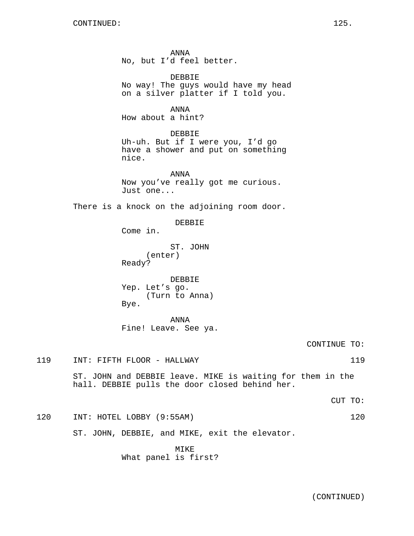ANNA No, but I'd feel better.

DEBBIE No way! The guys would have my head on a silver platter if I told you.

ANNA

How about a hint?

# DEBBIE

Uh-uh. But if I were you, I'd go have a shower and put on something nice.

ANNA Now you've really got me curious. Just one...

There is a knock on the adjoining room door.

DEBBIE

Come in.

ST. JOHN (enter) Ready?

DEBBIE Yep. Let's go. (Turn to Anna) Bye.

ANNA Fine! Leave. See ya.

CONTINUE TO:

119 INT: FIFTH FLOOR - HALLWAY 119

ST. JOHN and DEBBIE leave. MIKE is waiting for them in the hall. DEBBIE pulls the door closed behind her.

CUT TO:

120 INT: HOTEL LOBBY (9:55AM) 120

ST. JOHN, DEBBIE, and MIKE, exit the elevator.

MIKE What panel is first?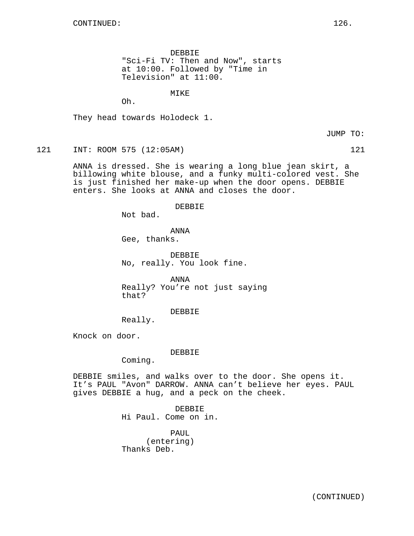DEBBIE "Sci-Fi TV: Then and Now", starts at 10:00. Followed by "Time in Television" at 11:00.

MTK<sub>F</sub>

Oh.

They head towards Holodeck 1.

JUMP TO:

121 INT: ROOM 575 (12:05AM) 121

ANNA is dressed. She is wearing a long blue jean skirt, a billowing white blouse, and a funky multi-colored vest. She is just finished her make-up when the door opens. DEBBIE enters. She looks at ANNA and closes the door.

### DEBBIE

Not bad.

ANNA

Gee, thanks.

DEBBIE No, really. You look fine.

ANNA Really? You're not just saying that?

DEBBIE

Really.

Knock on door.

### DEBBIE

Coming.

DEBBIE smiles, and walks over to the door. She opens it. It's PAUL "Avon" DARROW. ANNA can't believe her eyes. PAUL gives DEBBIE a hug, and a peck on the cheek.

> DEBBIE Hi Paul. Come on in.

PAUL (entering) Thanks Deb.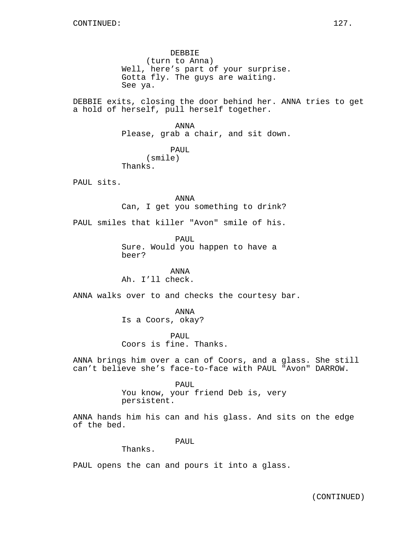DEBBIE (turn to Anna) Well, here's part of your surprise. Gotta fly. The guys are waiting. See ya.

DEBBIE exits, closing the door behind her. ANNA tries to get a hold of herself, pull herself together.

> ANNA Please, grab a chair, and sit down.

PAUL (smile) Thanks.

PAUL sits.

ANNA Can, I get you something to drink?

PAUL smiles that killer "Avon" smile of his.

PAUL Sure. Would you happen to have a beer?

ANNA Ah. I'll check.

ANNA walks over to and checks the courtesy bar.

ANNA Is a Coors, okay?

PAUL Coors is fine. Thanks.

ANNA brings him over a can of Coors, and a glass. She still can't believe she's face-to-face with PAUL "Avon" DARROW.

#### PAUL

You know, your friend Deb is, very persistent.

ANNA hands him his can and his glass. And sits on the edge of the bed.

PAUL

Thanks.

PAUL opens the can and pours it into a glass.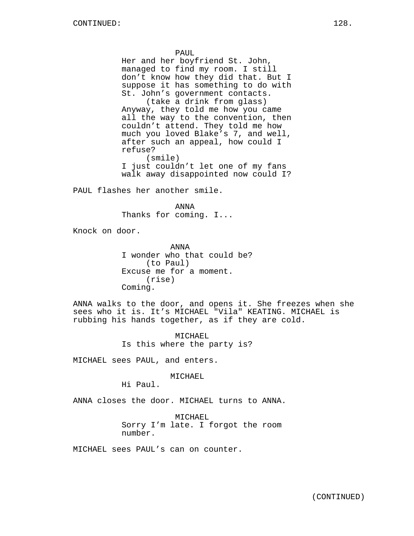PAUL

Her and her boyfriend St. John, managed to find my room. I still don't know how they did that. But I suppose it has something to do with St. John's government contacts.

(take a drink from glass) Anyway, they told me how you came all the way to the convention, then couldn't attend. They told me how much you loved Blake's 7, and well, after such an appeal, how could I refuse? (smile)

I just couldn't let one of my fans walk away disappointed now could I?

PAUL flashes her another smile.

ANNA Thanks for coming. I...

Knock on door.

ANNA I wonder who that could be? (to Paul) Excuse me for a moment. (rise) Coming.

ANNA walks to the door, and opens it. She freezes when she sees who it is. It's MICHAEL "Vila" KEATING. MICHAEL is rubbing his hands together, as if they are cold.

> MICHAEL Is this where the party is?

MICHAEL sees PAUL, and enters.

MICHAEL

Hi Paul.

ANNA closes the door. MICHAEL turns to ANNA.

MICHAEL Sorry I'm late. I forgot the room number.

MICHAEL sees PAUL's can on counter.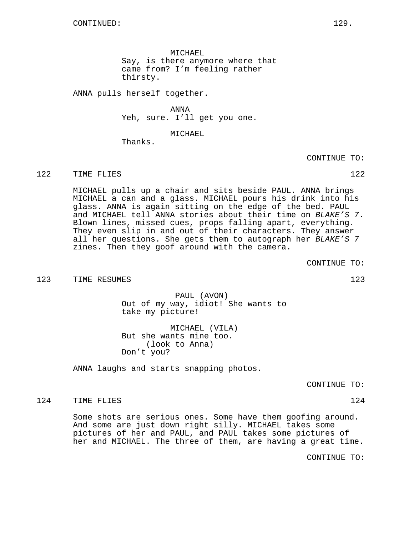MICHAEL Say, is there anymore where that came from? I'm feeling rather thirsty.

ANNA pulls herself together.

ANNA Yeh, sure. I'll get you one.

MICHAEL

Thanks.

CONTINUE TO:

122 TIME FLIES 22

MICHAEL pulls up a chair and sits beside PAUL. ANNA brings MICHAEL a can and a glass. MICHAEL pours his drink into his glass. ANNA is again sitting on the edge of the bed. PAUL and MICHAEL tell ANNA stories about their time on BLAKE'S 7. Blown lines, missed cues, props falling apart, everything. They even slip in and out of their characters. They answer all her questions. She gets them to autograph her BLAKE'S 7 zines. Then they goof around with the camera.

CONTINUE TO:

123 TIME RESUMES 123 23

PAUL (AVON) Out of my way, idiot! She wants to take my picture!

MICHAEL (VILA) But she wants mine too. (look to Anna) Don't you?

ANNA laughs and starts snapping photos.

CONTINUE TO:

124 TIME FLIES 124

Some shots are serious ones. Some have them goofing around. And some are just down right silly. MICHAEL takes some pictures of her and PAUL, and PAUL takes some pictures of her and MICHAEL. The three of them, are having a great time.

CONTINUE TO: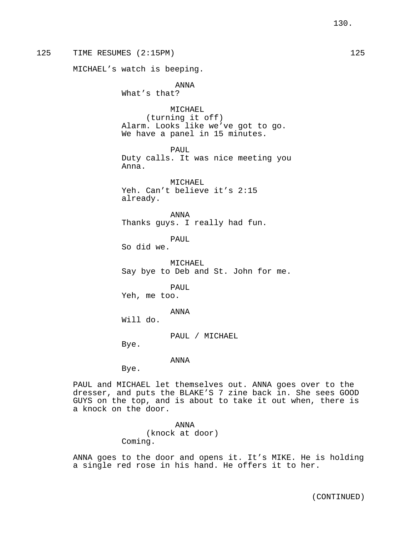125 TIME RESUMES (2:15PM) 125 MICHAEL's watch is beeping. ANNA What's that? MICHAEL (turning it off) Alarm. Looks like we've got to go. We have a panel in 15 minutes. PAUL Duty calls. It was nice meeting you Anna. MICHAEL Yeh. Can't believe it's 2:15 already. ANNA Thanks guys. I really had fun. PAUL So did we. MICHAEL Say bye to Deb and St. John for me. PAUL Yeh, me too. ANNA Will do. PAUL / MICHAEL Bye. ANNA Bye. PAUL and MICHAEL let themselves out. ANNA goes over to the

dresser, and puts the BLAKE'S 7 zine back in. She sees GOOD GUYS on the top, and is about to take it out when, there is a knock on the door.

> ANNA (knock at door) Coming.

ANNA goes to the door and opens it. It's MIKE. He is holding a single red rose in his hand. He offers it to her.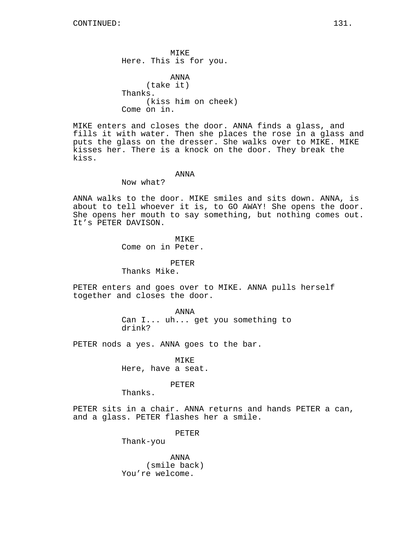MIKE Here. This is for you.

ANNA (take it) Thanks. (kiss him on cheek) Come on in.

MIKE enters and closes the door. ANNA finds a glass, and fills it with water. Then she places the rose in a glass and puts the glass on the dresser. She walks over to MIKE. MIKE kisses her. There is a knock on the door. They break the kiss.

### ANNA

Now what?

ANNA walks to the door. MIKE smiles and sits down. ANNA, is about to tell whoever it is, to GO AWAY! She opens the door. She opens her mouth to say something, but nothing comes out. It's PETER DAVISON.

> MIKE Come on in Peter.

> > PETER

Thanks Mike.

PETER enters and goes over to MIKE. ANNA pulls herself together and closes the door.

> ANNA Can I... uh... get you something to drink?

PETER nods a yes. ANNA goes to the bar.

MIKE Here, have a seat.

# PETER

Thanks.

PETER sits in a chair. ANNA returns and hands PETER a can, and a glass. PETER flashes her a smile.

PETER

Thank-you

ANNA (smile back) You're welcome.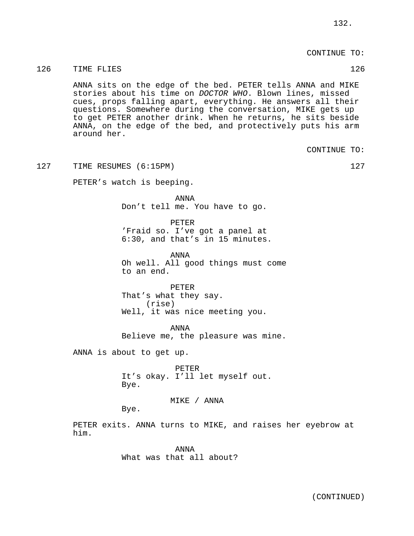CONTINUE TO:

### 126 TIME FLIES 126

ANNA sits on the edge of the bed. PETER tells ANNA and MIKE stories about his time on DOCTOR WHO. Blown lines, missed cues, props falling apart, everything. He answers all their questions. Somewhere during the conversation, MIKE gets up to get PETER another drink. When he returns, he sits beside ANNA, on the edge of the bed, and protectively puts his arm around her.

CONTINUE TO:

127 TIME RESUMES (6:15PM) 127

PETER's watch is beeping.

ANNA Don't tell me. You have to go.

PETER 'Fraid so. I've got a panel at 6:30, and that's in 15 minutes.

ANNA Oh well. All good things must come to an end.

PETER That's what they say. (rise) Well, it was nice meeting you.

ANNA Believe me, the pleasure was mine.

ANNA is about to get up.

PETER It's okay. I'll let myself out. Bye.

MIKE / ANNA

Bye.

PETER exits. ANNA turns to MIKE, and raises her eyebrow at him.

> ANNA What was that all about?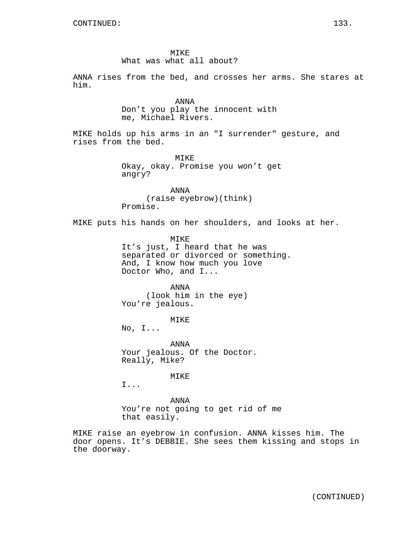MIKE What was what all about?

ANNA rises from the bed, and crosses her arms. She stares at him.

> ANNA Don't you play the innocent with me, Michael Rivers.

MIKE holds up his arms in an "I surrender" gesture, and rises from the bed.

> MIKE Okay, okay. Promise you won't get angry?

ANNA (raise eyebrow)(think) Promise.

MIKE puts his hands on her shoulders, and looks at her.

MIKE It's just, I heard that he was separated or divorced or something. And, I know how much you love Doctor Who, and I...

ANNA (look him in the eye) You're jealous.

MIKE

No, I...

ANNA Your jealous. Of the Doctor. Really, Mike?

MIKE

I...

ANNA You're not going to get rid of me that easily.

MIKE raise an eyebrow in confusion. ANNA kisses him. The door opens. It's DEBBIE. She sees them kissing and stops in the doorway.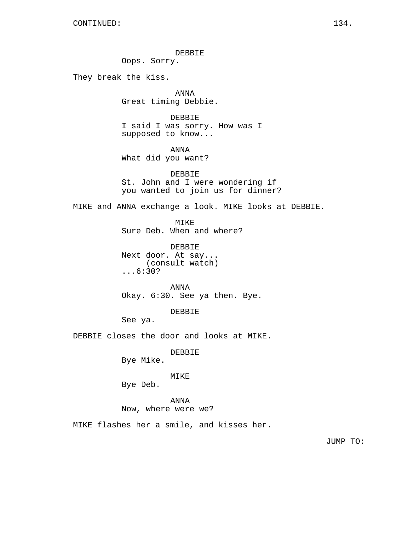DEBBIE

Oops. Sorry.

They break the kiss.

ANNA Great timing Debbie.

DEBBIE I said I was sorry. How was I supposed to know...

ANNA What did you want?

DEBBIE St. John and I were wondering if you wanted to join us for dinner?

MIKE and ANNA exchange a look. MIKE looks at DEBBIE.

MIKE Sure Deb. When and where?

DEBBIE Next door. At say... (consult watch) ...6:30?

ANNA Okay. 6:30. See ya then. Bye.

DEBBIE

See ya.

DEBBIE closes the door and looks at MIKE.

DEBBIE

Bye Mike.

# MIKE

Bye Deb.

# ANNA

Now, where were we?

MIKE flashes her a smile, and kisses her.

JUMP TO: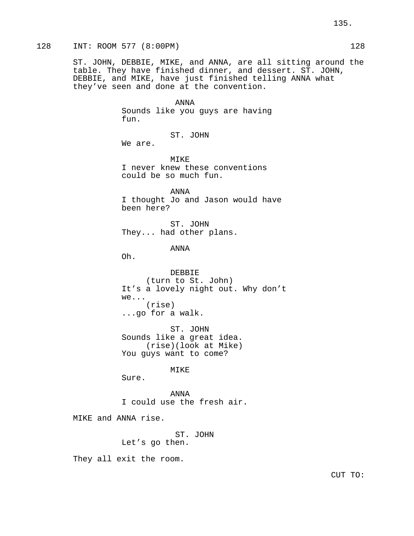ST. JOHN, DEBBIE, MIKE, and ANNA, are all sitting around the table. They have finished dinner, and dessert. ST. JOHN, DEBBIE, and MIKE, have just finished telling ANNA what they've seen and done at the convention.

### ANNA

Sounds like you guys are having fun.

ST. JOHN

We are.

MIKE I never knew these conventions could be so much fun.

ANNA I thought Jo and Jason would have been here?

ST. JOHN They... had other plans.

ANNA

Oh.

DEBBIE (turn to St. John) It's a lovely night out. Why don't we... (rise) ...go for a walk.

ST. JOHN Sounds like a great idea. (rise)(look at Mike) You guys want to come?

MIKE

Sure.

ANNA I could use the fresh air.

MIKE and ANNA rise.

ST. JOHN

Let's go then.

They all exit the room.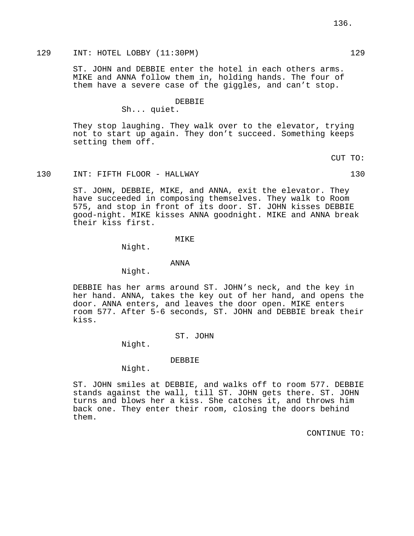# 129 INT: HOTEL LOBBY (11:30PM) 129

ST. JOHN and DEBBIE enter the hotel in each others arms. MIKE and ANNA follow them in, holding hands. The four of them have a severe case of the giggles, and can't stop.

### DEBBIE

Sh... quiet.

They stop laughing. They walk over to the elevator, trying not to start up again. They don't succeed. Something keeps setting them off.

CUT TO:

# 130 INT: FIFTH FLOOR - HALLWAY 130

ST. JOHN, DEBBIE, MIKE, and ANNA, exit the elevator. They have succeeded in composing themselves. They walk to Room 575, and stop in front of its door. ST. JOHN kisses DEBBIE good-night. MIKE kisses ANNA goodnight. MIKE and ANNA break their kiss first.

### MIKE

Night.

### ANNA

Night.

DEBBIE has her arms around ST. JOHN's neck, and the key in her hand. ANNA, takes the key out of her hand, and opens the door. ANNA enters, and leaves the door open. MIKE enters room 577. After 5-6 seconds, ST. JOHN and DEBBIE break their kiss.

### ST. JOHN

Night.

### DEBBIE

Night.

ST. JOHN smiles at DEBBIE, and walks off to room 577. DEBBIE stands against the wall, till ST. JOHN gets there. ST. JOHN turns and blows her a kiss. She catches it, and throws him back one. They enter their room, closing the doors behind them.

CONTINUE TO: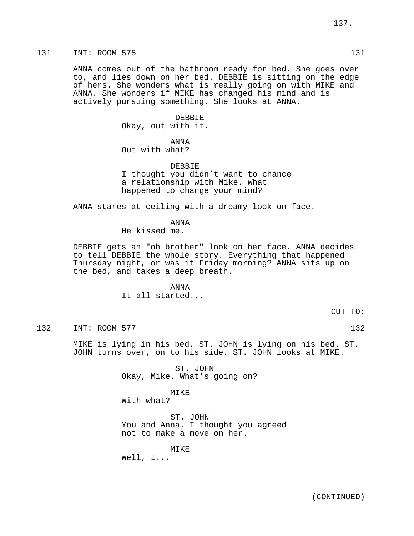ANNA comes out of the bathroom ready for bed. She goes over to, and lies down on her bed. DEBBIE is sitting on the edge of hers. She wonders what is really going on with MIKE and ANNA. She wonders if MIKE has changed his mind and is actively pursuing something. She looks at ANNA.

> DEBBIE Okay, out with it.

ANNA Out with what?

DEBBIE I thought you didn't want to chance a relationship with Mike. What happened to change your mind?

ANNA stares at ceiling with a dreamy look on face.

ANNA

He kissed me.

DEBBIE gets an "oh brother" look on her face. ANNA decides to tell DEBBIE the whole story. Everything that happened Thursday night, or was it Friday morning? ANNA sits up on the bed, and takes a deep breath.

> ANNA It all started...

> > CUT TO:

132 INT: ROOM 577 132

MIKE is lying in his bed. ST. JOHN is lying on his bed. ST. JOHN turns over, on to his side. ST. JOHN looks at MIKE.

> ST. JOHN Okay, Mike. What's going on?

> > MIKE

With what?

ST. JOHN You and Anna. I thought you agreed not to make a move on her.

MIKE

Well, I...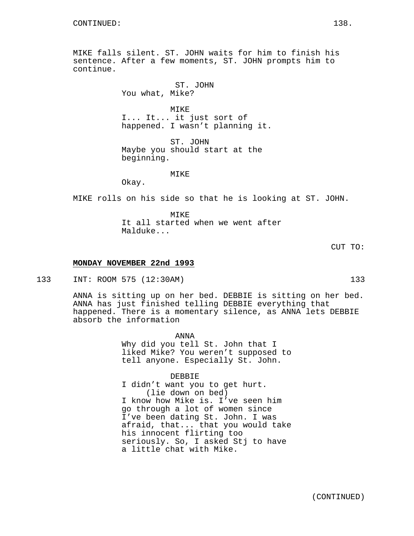MIKE falls silent. ST. JOHN waits for him to finish his sentence. After a few moments, ST. JOHN prompts him to continue.

> ST. JOHN You what, Mike?

MIKE I... It... it just sort of happened. I wasn't planning it.

ST. JOHN Maybe you should start at the beginning.

#### MIKE

Okay.

MIKE rolls on his side so that he is looking at ST. JOHN.

MTKF. It all started when we went after Malduke...

CUT TO:

# **MONDAY NOVEMBER 22nd 1993**

133 INT: ROOM 575 (12:30AM) 133

ANNA is sitting up on her bed. DEBBIE is sitting on her bed. ANNA has just finished telling DEBBIE everything that happened. There is a momentary silence, as ANNA lets DEBBIE absorb the information

> ANNA Why did you tell St. John that I liked Mike? You weren't supposed to tell anyone. Especially St. John.

> > DEBBIE

I didn't want you to get hurt. (lie down on bed) I know how Mike is. I've seen him go through a lot of women since I've been dating St. John. I was afraid, that... that you would take his innocent flirting too seriously. So, I asked Stj to have a little chat with Mike.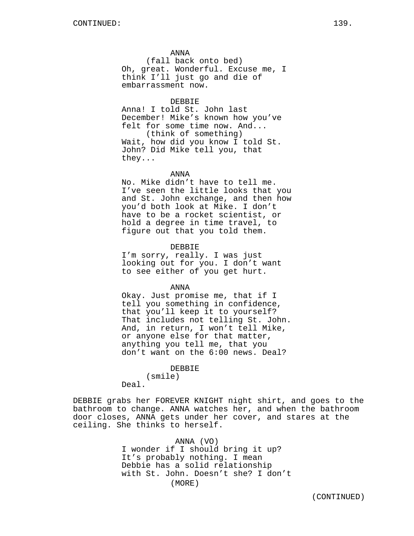ANNA

(fall back onto bed) Oh, great. Wonderful. Excuse me, I think I'll just go and die of embarrassment now.

### DEBBIE

Anna! I told St. John last December! Mike's known how you've felt for some time now. And... (think of something)

Wait, how did you know I told St. John? Did Mike tell you, that they...

### ANNA

No. Mike didn't have to tell me. I've seen the little looks that you and St. John exchange, and then how you'd both look at Mike. I don't have to be a rocket scientist, or hold a degree in time travel, to figure out that you told them.

DEBBIE

I'm sorry, really. I was just looking out for you. I don't want to see either of you get hurt.

ANNA

Okay. Just promise me, that if I tell you something in confidence, that you'll keep it to yourself? That includes not telling St. John. And, in return, I won't tell Mike, or anyone else for that matter, anything you tell me, that you don't want on the 6:00 news. Deal?

### DEBBIE

(smile)

Deal.

DEBBIE grabs her FOREVER KNIGHT night shirt, and goes to the bathroom to change. ANNA watches her, and when the bathroom door closes, ANNA gets under her cover, and stares at the ceiling. She thinks to herself.

> ANNA (VO) I wonder if I should bring it up? It's probably nothing. I mean Debbie has a solid relationship with St. John. Doesn't she? I don't (MORE)

(CONTINUED)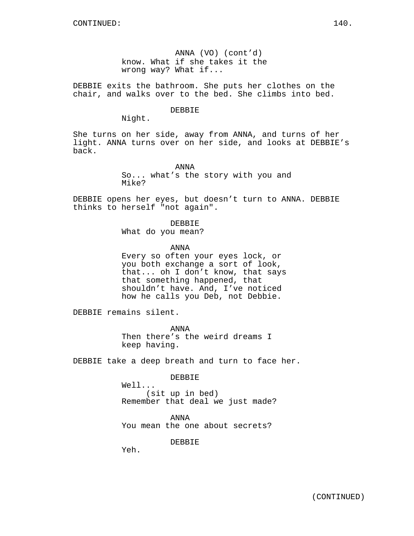ANNA (VO) (cont'd) know. What if she takes it the wrong way? What if...

DEBBIE exits the bathroom. She puts her clothes on the chair, and walks over to the bed. She climbs into bed.

### DEBBIE

Night.

She turns on her side, away from ANNA, and turns of her light. ANNA turns over on her side, and looks at DEBBIE's back.

> ANNA So... what's the story with you and Mike?

DEBBIE opens her eyes, but doesn't turn to ANNA. DEBBIE thinks to herself "not again".

> DEBBIE What do you mean?

> > ANNA

Every so often your eyes lock, or you both exchange a sort of look, that... oh I don't know, that says that something happened, that shouldn't have. And, I've noticed how he calls you Deb, not Debbie.

DEBBIE remains silent.

ANNA Then there's the weird dreams I keep having.

DEBBIE take a deep breath and turn to face her.

DEBBIE

Well... (sit up in bed) Remember that deal we just made?

ANNA You mean the one about secrets?

DEBBIE

Yeh.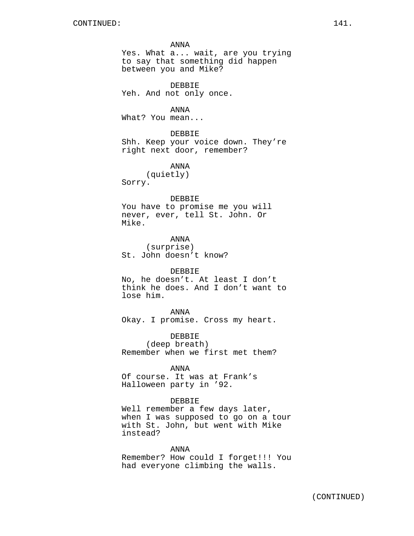#### ANNA

Yes. What a... wait, are you trying to say that something did happen between you and Mike?

DEBBIE Yeh. And not only once.

ANNA

What? You mean...

DEBBIE

Shh. Keep your voice down. They're right next door, remember?

ANNA

(quietly) Sorry.

### DEBBIE

You have to promise me you will never, ever, tell St. John. Or Mike.

ANNA (surprise) St. John doesn't know?

# DEBBIE

No, he doesn't. At least I don't think he does. And I don't want to lose him.

ANNA Okay. I promise. Cross my heart.

DEBBIE

(deep breath) Remember when we first met them?

# ANNA

Of course. It was at Frank's Halloween party in '92.

# DEBBIE

Well remember a few days later, when I was supposed to go on a tour with St. John, but went with Mike instead?

ANNA

Remember? How could I forget!!! You had everyone climbing the walls.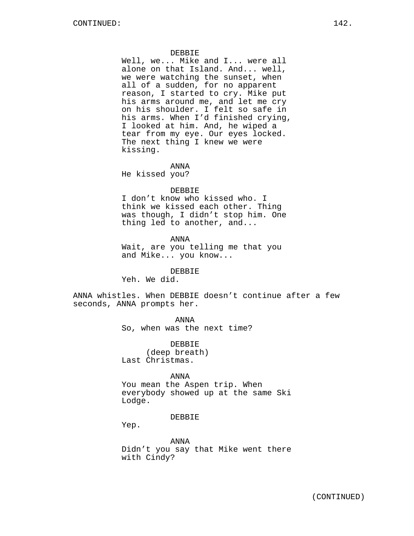### DEBBIE

Well, we... Mike and I... were all alone on that Island. And... well, we were watching the sunset, when all of a sudden, for no apparent reason, I started to cry. Mike put his arms around me, and let me cry on his shoulder. I felt so safe in his arms. When I'd finished crying, I looked at him. And, he wiped a tear from my eye. Our eyes locked. The next thing I knew we were kissing.

ANNA

He kissed you?

### DEBBIE

I don't know who kissed who. I think we kissed each other. Thing was though, I didn't stop him. One thing led to another, and...

ANNA

Wait, are you telling me that you and Mike... you know...

# DEBBIE

Yeh. We did.

ANNA whistles. When DEBBIE doesn't continue after a few seconds, ANNA prompts her.

ANNA

So, when was the next time?

DEBBIE (deep breath) Last Christmas.

ANNA

You mean the Aspen trip. When everybody showed up at the same Ski Lodge.

### DEBBIE

Yep.

ANNA Didn't you say that Mike went there with Cindy?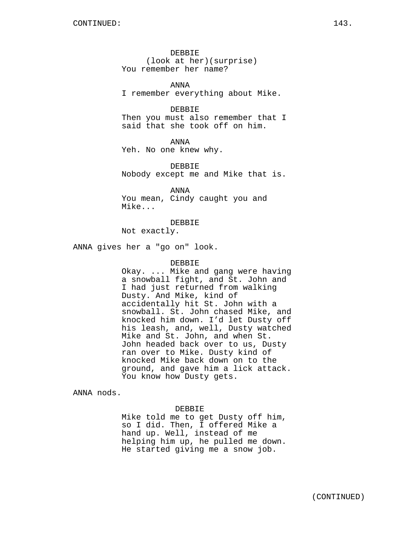DEBBIE (look at her)(surprise) You remember her name?

ANNA I remember everything about Mike.

DEBBIE Then you must also remember that I said that she took off on him.

ANNA Yeh. No one knew why.

DEBBIE Nobody except me and Mike that is.

ANNA You mean, Cindy caught you and Mike...

DEBBIE Not exactly.

ANNA gives her a "go on" look.

# DEBBIE

Okay. ... Mike and gang were having a snowball fight, and St. John and I had just returned from walking Dusty. And Mike, kind of accidentally hit St. John with a snowball. St. John chased Mike, and knocked him down. I'd let Dusty off his leash, and, well, Dusty watched Mike and St. John, and when St. John headed back over to us, Dusty ran over to Mike. Dusty kind of knocked Mike back down on to the ground, and gave him a lick attack. You know how Dusty gets.

ANNA nods.

# DEBBIE

Mike told me to get Dusty off him, so I did. Then, I offered Mike a hand up. Well, instead of me helping him up, he pulled me down. He started giving me a snow job.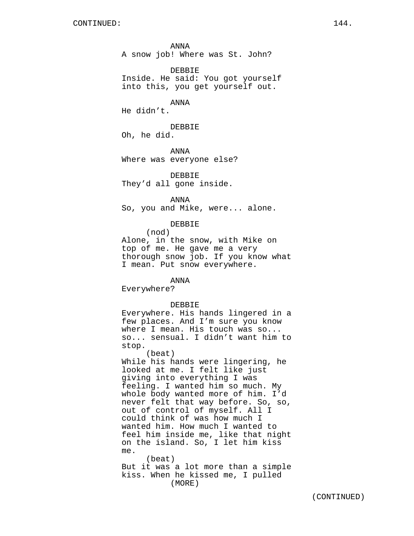ANNA A snow job! Where was St. John?

DEBBIE Inside. He said: You got yourself into this, you get yourself out.

ANNA

He didn't.

DEBBIE Oh, he did.

ANNA Where was everyone else?

DEBBIE They'd all gone inside.

ANNA So, you and Mike, were... alone.

DEBBIE

(nod) Alone, in the snow, with Mike on top of me. He gave me a very thorough snow job. If you know what I mean. Put snow everywhere.

ANNA Everywhere?

stop.

DEBBIE Everywhere. His hands lingered in a few places. And I'm sure you know where I mean. His touch was so... so... sensual. I didn't want him to

(beat) While his hands were lingering, he looked at me. I felt like just giving into everything I was feeling. I wanted him so much. My whole body wanted more of him. I'd never felt that way before. So, so, out of control of myself. All I could think of was how much I wanted him. How much I wanted to feel him inside me, like that night on the island. So, I let him kiss me.

(beat) But it was a lot more than a simple kiss. When he kissed me, I pulled (MORE)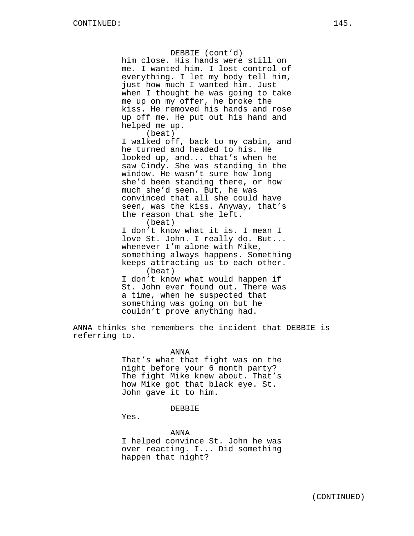### DEBBIE (cont'd)

him close. His hands were still on me. I wanted him. I lost control of everything. I let my body tell him, just how much I wanted him. Just when I thought he was going to take me up on my offer, he broke the kiss. He removed his hands and rose up off me. He put out his hand and helped me up.

(beat)

I walked off, back to my cabin, and he turned and headed to his. He looked up, and... that's when he saw Cindy. She was standing in the window. He wasn't sure how long she'd been standing there, or how much she'd seen. But, he was convinced that all she could have seen, was the kiss. Anyway, that's the reason that she left. (beat)

I don't know what it is. I mean I love St. John. I really do. But... whenever I'm alone with Mike, something always happens. Something keeps attracting us to each other. (beat) I don't know what would happen if St. John ever found out. There was a time, when he suspected that

ANNA thinks she remembers the incident that DEBBIE is referring to.

something was going on but he couldn't prove anything had.

ANNA

That's what that fight was on the night before your 6 month party? The fight Mike knew about. That's how Mike got that black eye. St. John gave it to him.

DEBBIE

Yes.

ANNA

I helped convince St. John he was over reacting. I... Did something happen that night?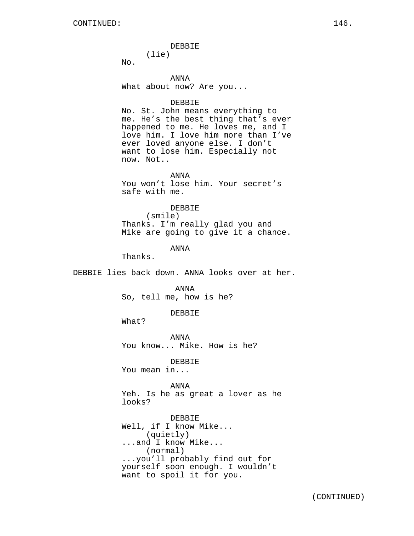#### DEBBIE

(lie)

No.

ANNA What about now? Are you...

### DEBBIE

No. St. John means everything to me. He's the best thing that's ever happened to me. He loves me, and I love him. I love him more than I've ever loved anyone else. I don't want to lose him. Especially not now. Not..

ANNA You won't lose him. Your secret's safe with me.

### DEBBIE

(smile) Thanks. I'm really glad you and Mike are going to give it a chance.

## ANNA

Thanks.

DEBBIE lies back down. ANNA looks over at her.

ANNA So, tell me, how is he?

DEBBIE

What?

ANNA You know... Mike. How is he?

DEBBIE You mean in...

ANNA Yeh. Is he as great a lover as he looks?

DEBBIE Well, if I know Mike... (quietly) ...and I know Mike... (normal) ...you'll probably find out for yourself soon enough. I wouldn't want to spoil it for you.

(CONTINUED)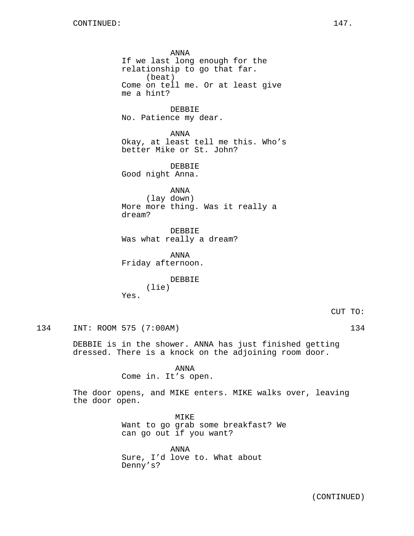ANNA If we last long enough for the relationship to go that far. (beat) Come on tell me. Or at least give me a hint? **DEBBIE** No. Patience my dear. ANNA Okay, at least tell me this. Who's better Mike or St. John? DEBBIE Good night Anna. ANNA (lay down) More more thing. Was it really a dream? DEBBIE Was what really a dream? ANNA Friday afternoon. DEBBIE (lie) Yes. CUT TO: 134 INT: ROOM 575 (7:00AM) 134

DEBBIE is in the shower. ANNA has just finished getting dressed. There is a knock on the adjoining room door.

> ANNA Come in. It's open.

The door opens, and MIKE enters. MIKE walks over, leaving the door open.

> MIKE Want to go grab some breakfast? We can go out if you want?

ANNA Sure, I'd love to. What about Denny's?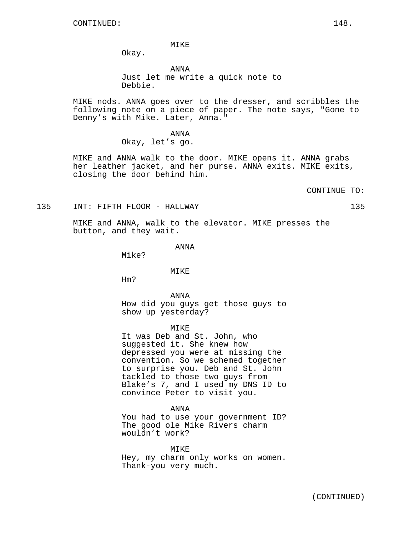MIKE

Okay.

ANNA Just let me write a quick note to Debbie.

MIKE nods. ANNA goes over to the dresser, and scribbles the following note on a piece of paper. The note says, "Gone to Denny's with Mike. Later, Anna."

> ANNA Okay, let's go.

MIKE and ANNA walk to the door. MIKE opens it. ANNA grabs her leather jacket, and her purse. ANNA exits. MIKE exits, closing the door behind him.

CONTINUE TO:

135 INT: FIFTH FLOOR - HALLWAY 135

MIKE and ANNA, walk to the elevator. MIKE presses the button, and they wait.

ANNA

Mike?

### MIKE

Hm?

ANNA

How did you guys get those guys to show up yesterday?

MIKE

It was Deb and St. John, who suggested it. She knew how depressed you were at missing the convention. So we schemed together to surprise you. Deb and St. John tackled to those two guys from Blake's 7, and I used my DNS ID to convince Peter to visit you.

ANNA

You had to use your government ID? The good ole Mike Rivers charm wouldn't work?

MIKE Hey, my charm only works on women. Thank-you very much.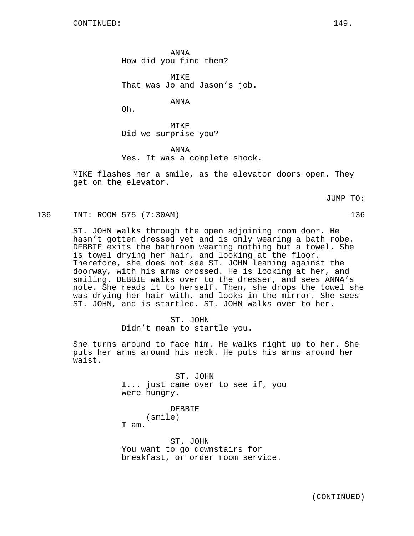ANNA How did you find them?

MIKE That was Jo and Jason's job.

ANNA

Oh.

MIKE Did we surprise you?

ANNA Yes. It was a complete shock.

MIKE flashes her a smile, as the elevator doors open. They get on the elevator.

JUMP TO:

136 INT: ROOM 575 (7:30AM) 136

ST. JOHN walks through the open adjoining room door. He hasn't gotten dressed yet and is only wearing a bath robe. DEBBIE exits the bathroom wearing nothing but a towel. She is towel drying her hair, and looking at the floor. Therefore, she does not see ST. JOHN leaning against the doorway, with his arms crossed. He is looking at her, and smiling. DEBBIE walks over to the dresser, and sees ANNA's note. She reads it to herself. Then, she drops the towel she was drying her hair with, and looks in the mirror. She sees ST. JOHN, and is startled. ST. JOHN walks over to her.

> ST. JOHN Didn't mean to startle you.

She turns around to face him. He walks right up to her. She puts her arms around his neck. He puts his arms around her waist.

> ST. JOHN I... just came over to see if, you were hungry.

> > DEBBIE

(smile)

I am.

ST. JOHN You want to go downstairs for breakfast, or order room service.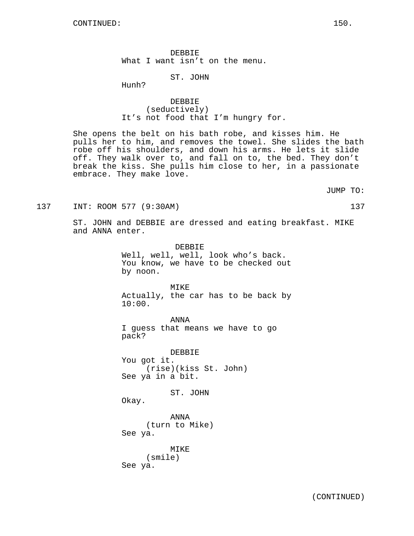DEBBIE What I want isn't on the menu.

ST. JOHN

Hunh?

DEBBIE (seductively) It's not food that I'm hungry for.

She opens the belt on his bath robe, and kisses him. He pulls her to him, and removes the towel. She slides the bath robe off his shoulders, and down his arms. He lets it slide off. They walk over to, and fall on to, the bed. They don't break the kiss. She pulls him close to her, in a passionate embrace. They make love.

JUMP TO:

137 INT: ROOM 577 (9:30AM) 137

ST. JOHN and DEBBIE are dressed and eating breakfast. MIKE and ANNA enter.

> DEBBIE Well, well, well, look who's back. You know, we have to be checked out by noon.

MIKE Actually, the car has to be back by 10:00.

ANNA I guess that means we have to go pack?

DEBBIE You got it. (rise)(kiss St. John) See ya in a bit.

ST. JOHN

Okay.

ANNA (turn to Mike) See ya.

MIKE (smile) See ya.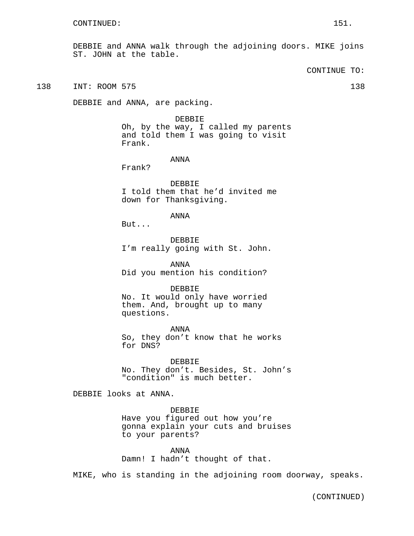DEBBIE and ANNA walk through the adjoining doors. MIKE joins ST. JOHN at the table.

CONTINUE TO:

138 INT: ROOM 575 138

DEBBIE and ANNA, are packing.

DEBBIE Oh, by the way, I called my parents and told them I was going to visit Frank.

ANNA

Frank?

DEBBIE I told them that he'd invited me down for Thanksgiving.

ANNA

But...

DEBBIE I'm really going with St. John.

ANNA Did you mention his condition?

DEBBIE

No. It would only have worried them. And, brought up to many questions.

ANNA So, they don't know that he works for DNS?

DEBBIE No. They don't. Besides, St. John's "condition" is much better.

DEBBIE looks at ANNA.

DEBBIE Have you figured out how you're gonna explain your cuts and bruises to your parents?

ANNA Damn! I hadn't thought of that.

MIKE, who is standing in the adjoining room doorway, speaks.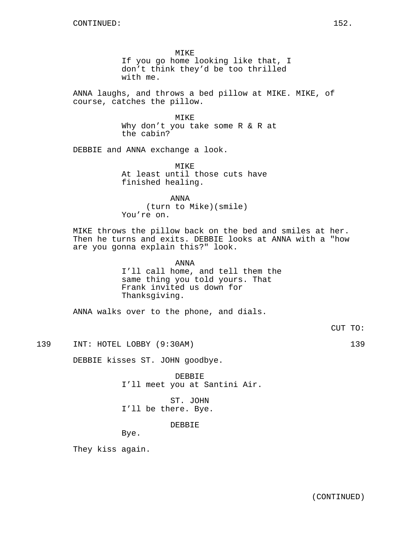MIKE If you go home looking like that, I don't think they'd be too thrilled with me.

ANNA laughs, and throws a bed pillow at MIKE. MIKE, of course, catches the pillow.

> MIKE Why don't you take some R & R at the cabin?

DEBBIE and ANNA exchange a look.

MIKE At least until those cuts have finished healing.

ANNA (turn to Mike)(smile) You're on.

MIKE throws the pillow back on the bed and smiles at her. Then he turns and exits. DEBBIE looks at ANNA with a "how are you gonna explain this?" look.

> ANNA I'll call home, and tell them the same thing you told yours. That Frank invited us down for Thanksgiving.

ANNA walks over to the phone, and dials.

CUT TO:

139 INT: HOTEL LOBBY (9:30AM) 139

DEBBIE kisses ST. JOHN goodbye.

DEBBIE I'll meet you at Santini Air.

ST. JOHN I'll be there. Bye.

DEBBIE

Bye.

They kiss again.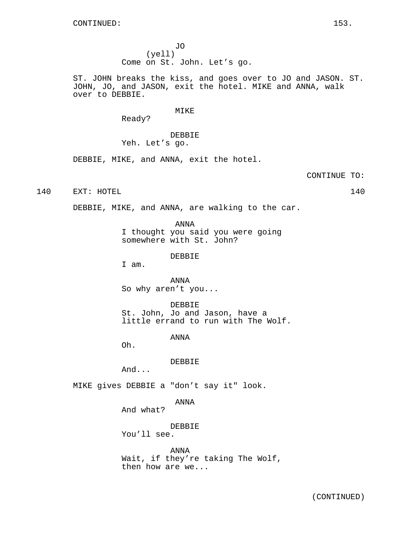JO (yell) Come on St. John. Let's go.

ST. JOHN breaks the kiss, and goes over to JO and JASON. ST. JOHN, JO, and JASON, exit the hotel. MIKE and ANNA, walk over to DEBBIE.

MIKE

Ready?

DEBBIE Yeh. Let's go.

DEBBIE, MIKE, and ANNA, exit the hotel.

CONTINUE TO:

140 EXT: HOTEL 140 140

DEBBIE, MIKE, and ANNA, are walking to the car.

ANNA I thought you said you were going somewhere with St. John?

DEBBIE

I am.

ANNA So why aren't you...

DEBBIE St. John, Jo and Jason, have a little errand to run with The Wolf.

ANNA

Oh.

DEBBIE

And...

MIKE gives DEBBIE a "don't say it" look.

ANNA

And what?

DEBBIE You'll see.

ANNA Wait, if they're taking The Wolf, then how are we...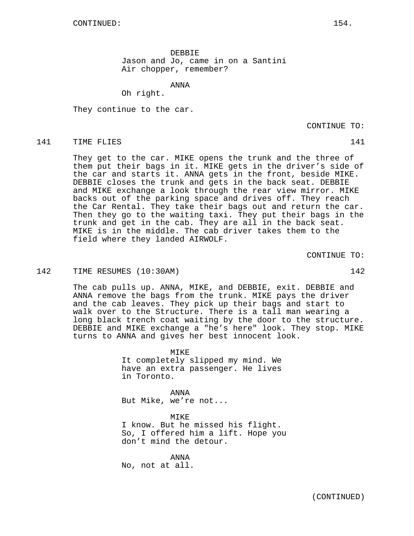DEBBIE Jason and Jo, came in on a Santini Air chopper, remember?

ANNA

Oh right.

They continue to the car.

CONTINUE TO:

## 141 TIME FLIES 141

They get to the car. MIKE opens the trunk and the three of them put their bags in it. MIKE gets in the driver's side of the car and starts it. ANNA gets in the front, beside MIKE. DEBBIE closes the trunk and gets in the back seat. DEBBIE and MIKE exchange a look through the rear view mirror. MIKE backs out of the parking space and drives off. They reach the Car Rental. They take their bags out and return the car. Then they go to the waiting taxi. They put their bags in the trunk and get in the cab. They are all in the back seat. MIKE is in the middle. The cab driver takes them to the field where they landed AIRWOLF.

CONTINUE TO:

## 142 TIME RESUMES (10:30AM) 142

The cab pulls up. ANNA, MIKE, and DEBBIE, exit. DEBBIE and ANNA remove the bags from the trunk. MIKE pays the driver and the cab leaves. They pick up their bags and start to walk over to the Structure. There is a tall man wearing a long black trench coat waiting by the door to the structure. DEBBIE and MIKE exchange a "he's here" look. They stop. MIKE turns to ANNA and gives her best innocent look.

> MTK<sub>E</sub> It completely slipped my mind. We have an extra passenger. He lives in Toronto.

ANNA But Mike, we're not...

MIKE I know. But he missed his flight. So, I offered him a lift. Hope you don't mind the detour.

ANNA No, not at all.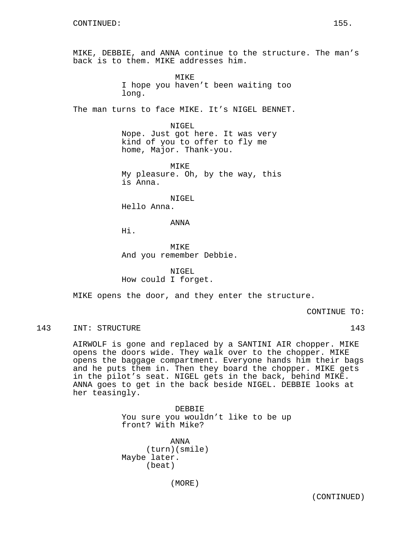MIKE, DEBBIE, and ANNA continue to the structure. The man's back is to them. MIKE addresses him.

> **MTKE** I hope you haven't been waiting too long.

The man turns to face MIKE. It's NIGEL BENNET.

NIGEL Nope. Just got here. It was very kind of you to offer to fly me home, Major. Thank-you.

MIKE My pleasure. Oh, by the way, this is Anna.

NIGEL

Hello Anna.

ANNA

Hi.

**MTKE** And you remember Debbie.

NIGEL How could I forget.

MIKE opens the door, and they enter the structure.

CONTINUE TO:

## 143 INT: STRUCTURE 143 143

AIRWOLF is gone and replaced by a SANTINI AIR chopper. MIKE opens the doors wide. They walk over to the chopper. MIKE opens the baggage compartment. Everyone hands him their bags and he puts them in. Then they board the chopper. MIKE gets in the pilot's seat. NIGEL gets in the back, behind MIKE. ANNA goes to get in the back beside NIGEL. DEBBIE looks at her teasingly.

> DEBBIE You sure you wouldn't like to be up front? With Mike?

ANNA (turn)(smile) Maybe later. (beat)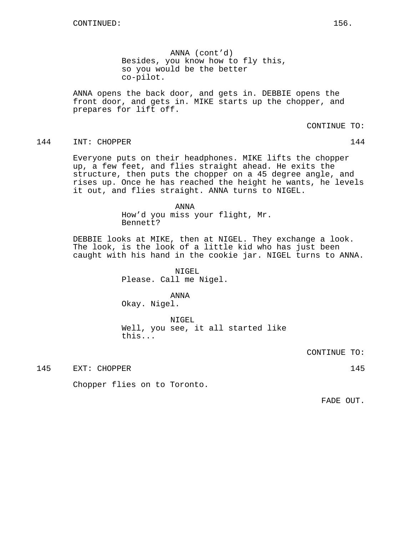ANNA (cont'd) Besides, you know how to fly this, so you would be the better co-pilot.

ANNA opens the back door, and gets in. DEBBIE opens the front door, and gets in. MIKE starts up the chopper, and prepares for lift off.

### CONTINUE TO:

## 144 INT: CHOPPER 144

Everyone puts on their headphones. MIKE lifts the chopper up, a few feet, and flies straight ahead. He exits the structure, then puts the chopper on a 45 degree angle, and rises up. Once he has reached the height he wants, he levels it out, and flies straight. ANNA turns to NIGEL.

#### ANNA

How'd you miss your flight, Mr. Bennett?

DEBBIE looks at MIKE, then at NIGEL. They exchange a look. The look, is the look of a little kid who has just been caught with his hand in the cookie jar. NIGEL turns to ANNA.

> NIGEL Please. Call me Nigel.

ANNA Okay. Nigel.

NIGEL Well, you see, it all started like this...

CONTINUE TO:

145 EXT: CHOPPER 145

Chopper flies on to Toronto.

FADE OUT.